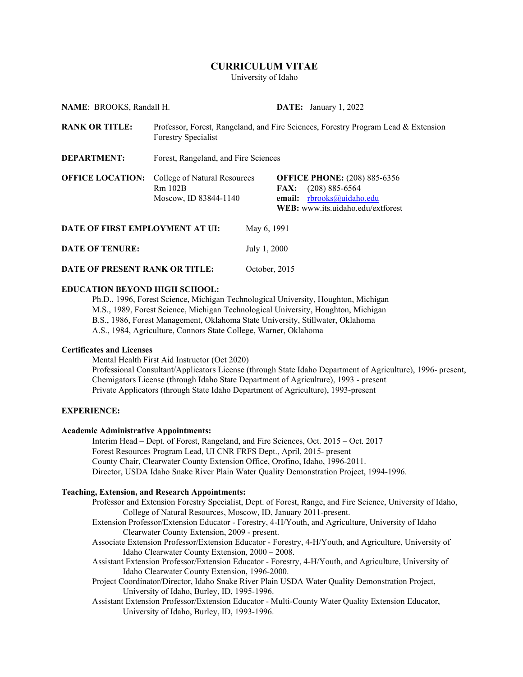# **CURRICULUM VITAE**

University of Idaho

**NAME**: BROOKS, Randall H. **DATE:** January 1, 2022 **RANK OR TITLE:** Professor, Forest, Rangeland, and Fire Sciences, Forestry Program Lead & Extension Forestry Specialist **DEPARTMENT:** Forest, Rangeland, and Fire Sciences **OFFICE LOCATION:** College of Natural Resources **OFFICE PHONE:** (208) 885-6356 Rm 102B **FAX:** (208) 885-6564 Moscow, ID 83844-1140 **email:** [rbrooks@uidaho.edu](mailto:rbrooks@uidaho.edu) **WEB:** www.its.uidaho.edu/extforest **DATE OF FIRST EMPLOYMENT AT UI:** May 6, 1991 **DATE OF TENURE:** July 1, 2000 **DATE OF PRESENT RANK OR TITLE:** October, 2015

## **EDUCATION BEYOND HIGH SCHOOL:**

Ph.D., 1996, Forest Science, Michigan Technological University, Houghton, Michigan M.S., 1989, Forest Science, Michigan Technological University, Houghton, Michigan B.S., 1986, Forest Management, Oklahoma State University, Stillwater, Oklahoma A.S., 1984, Agriculture, Connors State College, Warner, Oklahoma

# **Certificates and Licenses**

Mental Health First Aid Instructor (Oct 2020) Professional Consultant/Applicators License (through State Idaho Department of Agriculture), 1996- present, Chemigators License (through Idaho State Department of Agriculture), 1993 - present Private Applicators (through State Idaho Department of Agriculture), 1993-present

## **EXPERIENCE:**

#### **Academic Administrative Appointments:**

Interim Head – Dept. of Forest, Rangeland, and Fire Sciences, Oct. 2015 – Oct. 2017 Forest Resources Program Lead, UI CNR FRFS Dept., April, 2015- present County Chair, Clearwater County Extension Office, Orofino, Idaho, 1996-2011. Director, USDA Idaho Snake River Plain Water Quality Demonstration Project, 1994-1996.

## **Teaching, Extension, and Research Appointments:**

- Professor and Extension Forestry Specialist, Dept. of Forest, Range, and Fire Science, University of Idaho, College of Natural Resources, Moscow, ID, January 2011-present.
- Extension Professor/Extension Educator Forestry, 4-H/Youth, and Agriculture, University of Idaho Clearwater County Extension, 2009 - present.
- Associate Extension Professor/Extension Educator Forestry, 4-H/Youth, and Agriculture, University of Idaho Clearwater County Extension, 2000 – 2008.
- Assistant Extension Professor/Extension Educator Forestry, 4-H/Youth, and Agriculture, University of Idaho Clearwater County Extension, 1996-2000.
- Project Coordinator/Director, Idaho Snake River Plain USDA Water Quality Demonstration Project, University of Idaho, Burley, ID, 1995-1996.
- Assistant Extension Professor/Extension Educator Multi-County Water Quality Extension Educator, University of Idaho, Burley, ID, 1993-1996.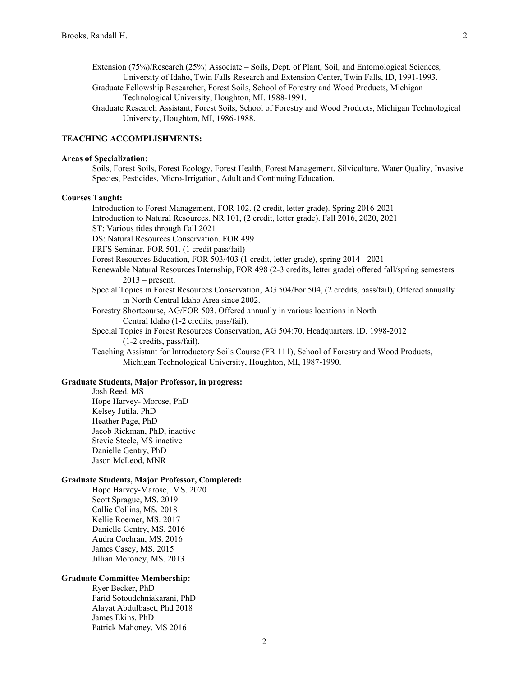- Extension (75%)/Research (25%) Associate Soils, Dept. of Plant, Soil, and Entomological Sciences, University of Idaho, Twin Falls Research and Extension Center, Twin Falls, ID, 1991-1993.
- Graduate Fellowship Researcher, Forest Soils, School of Forestry and Wood Products, Michigan Technological University, Houghton, MI. 1988-1991.
- Graduate Research Assistant, Forest Soils, School of Forestry and Wood Products, Michigan Technological University, Houghton, MI, 1986-1988.

# **TEACHING ACCOMPLISHMENTS:**

### **Areas of Specialization:**

Soils, Forest Soils, Forest Ecology, Forest Health, Forest Management, Silviculture, Water Quality, Invasive Species, Pesticides, Micro-Irrigation, Adult and Continuing Education,

### **Courses Taught:**

Introduction to Forest Management, FOR 102. (2 credit, letter grade). Spring 2016-2021 Introduction to Natural Resources. NR 101, (2 credit, letter grade). Fall 2016, 2020, 2021 ST: Various titles through Fall 2021 DS: Natural Resources Conservation. FOR 499 FRFS Seminar. FOR 501. (1 credit pass/fail) Forest Resources Education, FOR 503/403 (1 credit, letter grade), spring 2014 - 2021 Renewable Natural Resources Internship, FOR 498 (2-3 credits, letter grade) offered fall/spring semesters  $2013$  – present. Special Topics in Forest Resources Conservation, AG 504/For 504, (2 credits, pass/fail), Offered annually in North Central Idaho Area since 2002. Forestry Shortcourse, AG/FOR 503. Offered annually in various locations in North Central Idaho (1-2 credits, pass/fail). Special Topics in Forest Resources Conservation, AG 504:70, Headquarters, ID. 1998-2012

(1-2 credits, pass/fail).

Teaching Assistant for Introductory Soils Course (FR 111), School of Forestry and Wood Products, Michigan Technological University, Houghton, MI, 1987-1990.

# **Graduate Students, Major Professor, in progress:**

Josh Reed, MS Hope Harvey- Morose, PhD Kelsey Jutila, PhD Heather Page, PhD Jacob Rickman, PhD, inactive Stevie Steele, MS inactive Danielle Gentry, PhD Jason McLeod, MNR

## **Graduate Students, Major Professor, Completed:**

Hope Harvey-Marose, MS. 2020 Scott Sprague, MS. 2019 Callie Collins, MS. 2018 Kellie Roemer, MS. 2017 Danielle Gentry, MS. 2016 Audra Cochran, MS. 2016 James Casey, MS. 2015 Jillian Moroney, MS. 2013

## **Graduate Committee Membership:**

Ryer Becker, PhD Farid Sotoudehniakarani, PhD Alayat Abdulbaset, Phd 2018 James Ekins, PhD Patrick Mahoney, MS 2016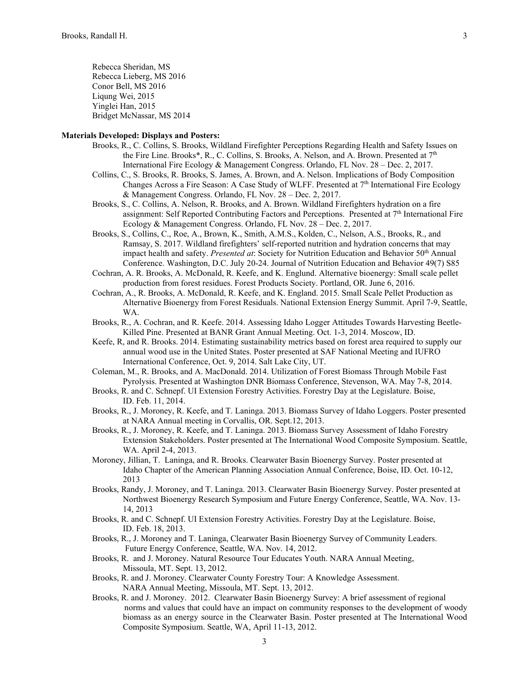Rebecca Sheridan, MS Rebecca Lieberg, MS 2016 Conor Bell, MS 2016 Liqung Wei, 2015 Yinglei Han, 2015 Bridget McNassar, MS 2014

# **Materials Developed: Displays and Posters:**

- Brooks, R., C. Collins, S. Brooks, Wildland Firefighter Perceptions Regarding Health and Safety Issues on the Fire Line. Brooks\*, R., C. Collins, S. Brooks, A. Nelson, and A. Brown. Presented at 7<sup>th</sup> International Fire Ecology & Management Congress. Orlando, FL Nov. 28 – Dec. 2, 2017.
- Collins, C., S. Brooks, R. Brooks, S. James, A. Brown, and A. Nelson. Implications of Body Composition Changes Across a Fire Season: A Case Study of WLFF. Presented at  $7<sup>th</sup>$  International Fire Ecology & Management Congress. Orlando, FL Nov. 28 – Dec. 2, 2017.
- Brooks, S., C. Collins, A. Nelson, R. Brooks, and A. Brown. Wildland Firefighters hydration on a fire assignment: Self Reported Contributing Factors and Perceptions. Presented at 7th International Fire Ecology & Management Congress. Orlando, FL Nov. 28 – Dec. 2, 2017.
- Brooks, S., Collins, C., Roe, A., Brown, K., Smith, A.M.S., Kolden, C., Nelson, A.S., Brooks, R., and Ramsay, S. 2017. Wildland firefighters' self-reported nutrition and hydration concerns that may impact health and safety. *Presented at*: Society for Nutrition Education and Behavior 50<sup>th</sup> Annual Conference. Washington, D.C. July 20-24. Journal of Nutrition Education and Behavior 49(7) S85
- Cochran, A. R. Brooks, A. McDonald, R. Keefe, and K. Englund. Alternative bioenergy: Small scale pellet production from forest residues. Forest Products Society. Portland, OR. June 6, 2016.
- Cochran, A., R. Brooks, A. McDonald, R. Keefe, and K. England. 2015. Small Scale Pellet Production as Alternative Bioenergy from Forest Residuals. National Extension Energy Summit. April 7-9, Seattle, WA.
- Brooks, R., A. Cochran, and R. Keefe. 2014. Assessing Idaho Logger Attitudes Towards Harvesting Beetle-Killed Pine. Presented at BANR Grant Annual Meeting. Oct. 1-3, 2014. Moscow, ID.
- Keefe, R, and R. Brooks. 2014. Estimating sustainability metrics based on forest area required to supply our annual wood use in the United States. Poster presented at SAF National Meeting and IUFRO International Conference, Oct. 9, 2014. Salt Lake City, UT.
- Coleman, M., R. Brooks, and A. MacDonald. 2014. Utilization of Forest Biomass Through Mobile Fast Pyrolysis. Presented at Washington DNR Biomass Conference, Stevenson, WA. May 7-8, 2014.
- Brooks, R. and C. Schnepf. UI Extension Forestry Activities. Forestry Day at the Legislature. Boise, ID. Feb. 11, 2014.
- Brooks, R., J. Moroney, R. Keefe, and T. Laninga. 2013. Biomass Survey of Idaho Loggers. Poster presented at NARA Annual meeting in Corvallis, OR. Sept.12, 2013.
- Brooks, R., J. Moroney, R. Keefe, and T. Laninga. 2013. Biomass Survey Assessment of Idaho Forestry Extension Stakeholders. Poster presented at The International Wood Composite Symposium. Seattle, WA. April 2-4, 2013.
- Moroney, Jillian, T. Laninga, and R. Brooks. Clearwater Basin Bioenergy Survey. Poster presented at Idaho Chapter of the American Planning Association Annual Conference, Boise, ID. Oct. 10-12, 2013
- Brooks, Randy, J. Moroney, and T. Laninga. 2013. Clearwater Basin Bioenergy Survey. Poster presented at Northwest Bioenergy Research Symposium and Future Energy Conference, Seattle, WA. Nov. 13- 14, 2013
- Brooks, R. and C. Schnepf. UI Extension Forestry Activities. Forestry Day at the Legislature. Boise, ID. Feb. 18, 2013.
- Brooks, R., J. Moroney and T. Laninga, Clearwater Basin Bioenergy Survey of Community Leaders. Future Energy Conference, Seattle, WA. Nov. 14, 2012.
- Brooks, R. and J. Moroney. Natural Resource Tour Educates Youth. NARA Annual Meeting, Missoula, MT. Sept. 13, 2012.
- Brooks, R. and J. Moroney. Clearwater County Forestry Tour: A Knowledge Assessment. NARA Annual Meeting, Missoula, MT. Sept. 13, 2012.
- Brooks, R. and J. Moroney. 2012. Clearwater Basin Bioenergy Survey: A brief assessment of regional norms and values that could have an impact on community responses to the development of woody biomass as an energy source in the Clearwater Basin. Poster presented at The International Wood Composite Symposium. Seattle, WA, April 11-13, 2012.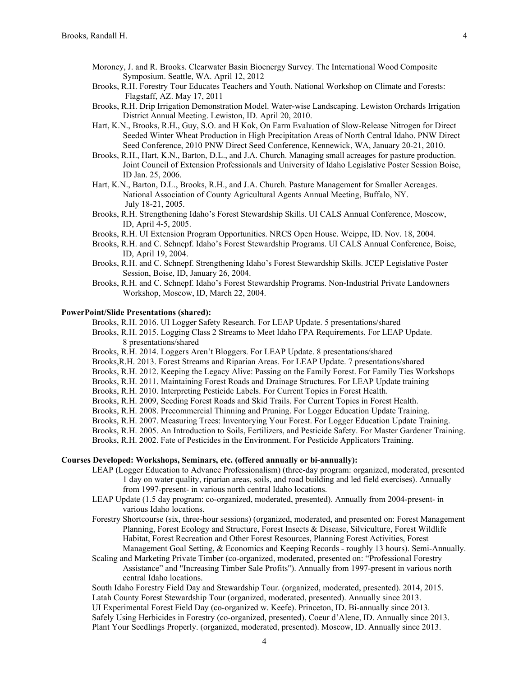- Moroney, J. and R. Brooks. Clearwater Basin Bioenergy Survey. The International Wood Composite Symposium. Seattle, WA. April 12, 2012
- Brooks, R.H. Forestry Tour Educates Teachers and Youth. National Workshop on Climate and Forests: Flagstaff, AZ. May 17, 2011
- Brooks, R.H. Drip Irrigation Demonstration Model. Water-wise Landscaping. Lewiston Orchards Irrigation District Annual Meeting. Lewiston, ID. April 20, 2010.
- Hart, K.N., Brooks, R.H., Guy, S.O. and H Kok, On Farm Evaluation of Slow-Release Nitrogen for Direct Seeded Winter Wheat Production in High Precipitation Areas of North Central Idaho. PNW Direct Seed Conference, 2010 PNW Direct Seed Conference, Kennewick, WA, January 20-21, 2010.
- Brooks, R.H., Hart, K.N., Barton, D.L., and J.A. Church. Managing small acreages for pasture production. Joint Council of Extension Professionals and University of Idaho Legislative Poster Session Boise, ID Jan. 25, 2006.
- Hart, K.N., Barton, D.L., Brooks, R.H., and J.A. Church. Pasture Management for Smaller Acreages. National Association of County Agricultural Agents Annual Meeting, Buffalo, NY. July 18-21, 2005.
- Brooks, R.H. Strengthening Idaho's Forest Stewardship Skills. UI CALS Annual Conference, Moscow, ID, April 4-5, 2005.
- Brooks, R.H. UI Extension Program Opportunities. NRCS Open House. Weippe, ID. Nov. 18, 2004.
- Brooks, R.H. and C. Schnepf. Idaho's Forest Stewardship Programs. UI CALS Annual Conference, Boise, ID, April 19, 2004.
- Brooks, R.H. and C. Schnepf. Strengthening Idaho's Forest Stewardship Skills. JCEP Legislative Poster Session, Boise, ID, January 26, 2004.
- Brooks, R.H. and C. Schnepf. Idaho's Forest Stewardship Programs. Non-Industrial Private Landowners Workshop, Moscow, ID, March 22, 2004.

### **PowerPoint/Slide Presentations (shared):**

Brooks, R.H. 2016. UI Logger Safety Research. For LEAP Update. 5 presentations/shared

- Brooks, R.H. 2015. Logging Class 2 Streams to Meet Idaho FPA Requirements. For LEAP Update. 8 presentations/shared
- Brooks, R.H. 2014. Loggers Aren't Bloggers. For LEAP Update. 8 presentations/shared
- Brooks,R.H. 2013. Forest Streams and Riparian Areas. For LEAP Update. 7 presentations/shared
- Brooks, R.H. 2012. Keeping the Legacy Alive: Passing on the Family Forest. For Family Ties Workshops
- Brooks, R.H. 2011. Maintaining Forest Roads and Drainage Structures. For LEAP Update training
- Brooks, R.H. 2010. Interpreting Pesticide Labels. For Current Topics in Forest Health.
- Brooks, R.H. 2009, Seeding Forest Roads and Skid Trails. For Current Topics in Forest Health.
- Brooks, R.H. 2008. Precommercial Thinning and Pruning. For Logger Education Update Training.
- Brooks, R.H. 2007. Measuring Trees: Inventorying Your Forest. For Logger Education Update Training.
- Brooks, R.H. 2005. An Introduction to Soils, Fertilizers, and Pesticide Safety. For Master Gardener Training.

Brooks, R.H. 2002. Fate of Pesticides in the Environment. For Pesticide Applicators Training.

# **Courses Developed: Workshops, Seminars, etc. (offered annually or bi-annually):**

- LEAP (Logger Education to Advance Professionalism) (three-day program: organized, moderated, presented 1 day on water quality, riparian areas, soils, and road building and led field exercises). Annually from 1997-present- in various north central Idaho locations.
- LEAP Update (1.5 day program: co-organized, moderated, presented). Annually from 2004-present- in various Idaho locations.
- Forestry Shortcourse (six, three-hour sessions) (organized, moderated, and presented on: Forest Management Planning, Forest Ecology and Structure, Forest Insects & Disease, Silviculture, Forest Wildlife Habitat, Forest Recreation and Other Forest Resources, Planning Forest Activities, Forest Management Goal Setting, & Economics and Keeping Records - roughly 13 hours). Semi-Annually.
- Scaling and Marketing Private Timber (co-organized, moderated, presented on: "Professional Forestry Assistance" and "Increasing Timber Sale Profits"). Annually from 1997-present in various north central Idaho locations.

South Idaho Forestry Field Day and Stewardship Tour. (organized, moderated, presented). 2014, 2015. Latah County Forest Stewardship Tour (organized, moderated, presented). Annually since 2013. UI Experimental Forest Field Day (co-organized w. Keefe). Princeton, ID. Bi-annually since 2013. Safely Using Herbicides in Forestry (co-organized, presented). Coeur d'Alene, ID. Annually since 2013. Plant Your Seedlings Properly. (organized, moderated, presented). Moscow, ID. Annually since 2013.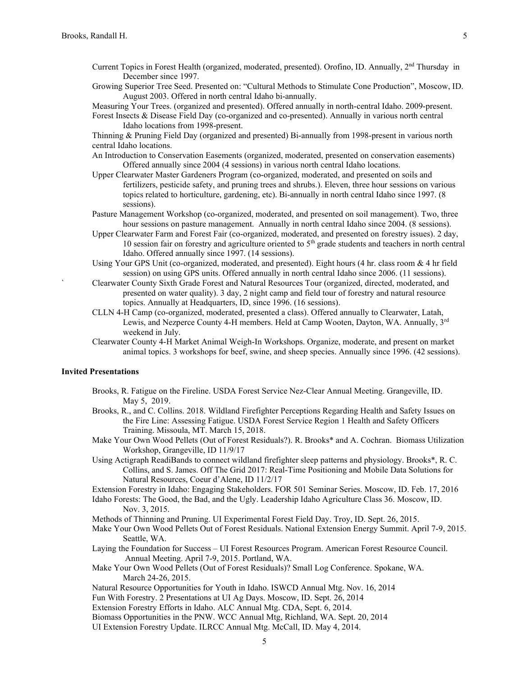- Current Topics in Forest Health (organized, moderated, presented). Orofino, ID. Annually, 2nd Thursday in December since 1997.
- Growing Superior Tree Seed. Presented on: "Cultural Methods to Stimulate Cone Production", Moscow, ID. August 2003. Offered in north central Idaho bi-annually.

Measuring Your Trees. (organized and presented). Offered annually in north-central Idaho. 2009-present. Forest Insects & Disease Field Day (co-organized and co-presented). Annually in various north central Idaho locations from 1998-present.

Thinning & Pruning Field Day (organized and presented) Bi-annually from 1998-present in various north central Idaho locations.

- An Introduction to Conservation Easements (organized, moderated, presented on conservation easements) Offered annually since 2004 (4 sessions) in various north central Idaho locations.
- Upper Clearwater Master Gardeners Program (co-organized, moderated, and presented on soils and fertilizers, pesticide safety, and pruning trees and shrubs.). Eleven, three hour sessions on various topics related to horticulture, gardening, etc). Bi-annually in north central Idaho since 1997. (8 sessions).
- Pasture Management Workshop (co-organized, moderated, and presented on soil management). Two, three hour sessions on pasture management. Annually in north central Idaho since 2004. (8 sessions).
- Upper Clearwater Farm and Forest Fair (co-organized, moderated, and presented on forestry issues). 2 day, 10 session fair on forestry and agriculture oriented to  $5<sup>th</sup>$  grade students and teachers in north central Idaho. Offered annually since 1997. (14 sessions).
- Using Your GPS Unit (co-organized, moderated, and presented). Eight hours (4 hr. class room & 4 hr field session) on using GPS units. Offered annually in north central Idaho since 2006. (11 sessions).
- ` Clearwater County Sixth Grade Forest and Natural Resources Tour (organized, directed, moderated, and presented on water quality). 3 day, 2 night camp and field tour of forestry and natural resource topics. Annually at Headquarters, ID, since 1996. (16 sessions).
- CLLN 4-H Camp (co-organized, moderated, presented a class). Offered annually to Clearwater, Latah, Lewis, and Nezperce County 4-H members. Held at Camp Wooten, Dayton, WA. Annually, 3rd weekend in July.
- Clearwater County 4-H Market Animal Weigh-In Workshops. Organize, moderate, and present on market animal topics. 3 workshops for beef, swine, and sheep species. Annually since 1996. (42 sessions).

## **Invited Presentations**

- Brooks, R. Fatigue on the Fireline. USDA Forest Service Nez-Clear Annual Meeting. Grangeville, ID. May 5, 2019.
- Brooks, R., and C. Collins. 2018. Wildland Firefighter Perceptions Regarding Health and Safety Issues on the Fire Line: Assessing Fatigue. USDA Forest Service Region 1 Health and Safety Officers Training. Missoula, MT. March 15, 2018.
- Make Your Own Wood Pellets (Out of Forest Residuals?). R. Brooks\* and A. Cochran. Biomass Utilization Workshop, Grangeville, ID 11/9/17
- Using Actigraph ReadiBands to connect wildland firefighter sleep patterns and physiology. Brooks\*, R. C. Collins, and S. James. Off The Grid 2017: Real-Time Positioning and Mobile Data Solutions for Natural Resources, Coeur d'Alene, ID 11/2/17

Extension Forestry in Idaho: Engaging Stakeholders. FOR 501 Seminar Series. Moscow, ID. Feb. 17, 2016

Idaho Forests: The Good, the Bad, and the Ugly. Leadership Idaho Agriculture Class 36. Moscow, ID. Nov. 3, 2015.

Methods of Thinning and Pruning. UI Experimental Forest Field Day. Troy, ID. Sept. 26, 2015.

- Make Your Own Wood Pellets Out of Forest Residuals. National Extension Energy Summit. April 7-9, 2015. Seattle, WA.
- Laying the Foundation for Success UI Forest Resources Program. American Forest Resource Council. Annual Meeting. April 7-9, 2015. Portland, WA.

Make Your Own Wood Pellets (Out of Forest Residuals)? Small Log Conference. Spokane, WA. March 24-26, 2015.

- Natural Resource Opportunities for Youth in Idaho. ISWCD Annual Mtg. Nov. 16, 2014
- Fun With Forestry. 2 Presentations at UI Ag Days. Moscow, ID. Sept. 26, 2014
- Extension Forestry Efforts in Idaho. ALC Annual Mtg. CDA, Sept. 6, 2014.

Biomass Opportunities in the PNW. WCC Annual Mtg, Richland, WA. Sept. 20, 2014

UI Extension Forestry Update. ILRCC Annual Mtg. McCall, ID. May 4, 2014.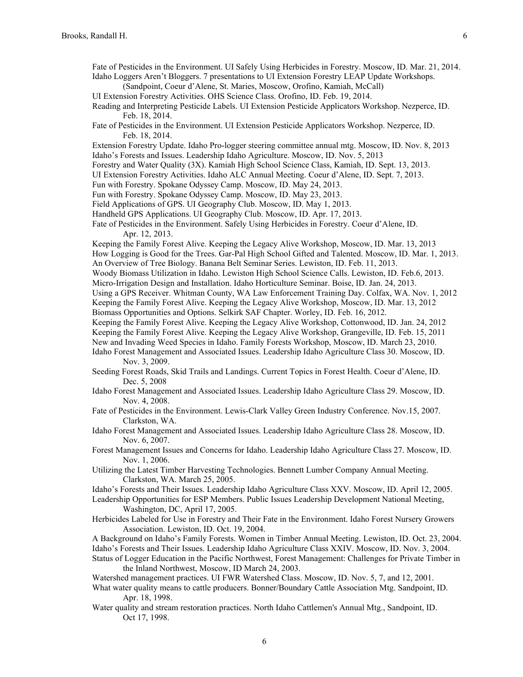| Fate of Pesticides in the Environment. UI Safely Using Herbicides in Forestry. Moscow, ID. Mar. 21, 2014.<br>Idaho Loggers Aren't Bloggers. 7 presentations to UI Extension Forestry LEAP Update Workshops.<br>(Sandpoint, Coeur d'Alene, St. Maries, Moscow, Orofino, Kamiah, McCall) |
|----------------------------------------------------------------------------------------------------------------------------------------------------------------------------------------------------------------------------------------------------------------------------------------|
| UI Extension Forestry Activities. OHS Science Class. Orofino, ID. Feb. 19, 2014.                                                                                                                                                                                                       |
| Reading and Interpreting Pesticide Labels. UI Extension Pesticide Applicators Workshop. Nezperce, ID.                                                                                                                                                                                  |
| Feb. 18, 2014.                                                                                                                                                                                                                                                                         |
| Fate of Pesticides in the Environment. UI Extension Pesticide Applicators Workshop. Nezperce, ID.<br>Feb. 18, 2014.                                                                                                                                                                    |
| Extension Forestry Update. Idaho Pro-logger steering committee annual mtg. Moscow, ID. Nov. 8, 2013                                                                                                                                                                                    |
| Idaho's Forests and Issues. Leadership Idaho Agriculture. Moscow, ID. Nov. 5, 2013                                                                                                                                                                                                     |
| Forestry and Water Quality (3X). Kamiah High School Science Class, Kamiah, ID. Sept. 13, 2013.                                                                                                                                                                                         |
| UI Extension Forestry Activities. Idaho ALC Annual Meeting. Coeur d'Alene, ID. Sept. 7, 2013.                                                                                                                                                                                          |
| Fun with Forestry. Spokane Odyssey Camp. Moscow, ID. May 24, 2013.                                                                                                                                                                                                                     |
| Fun with Forestry. Spokane Odyssey Camp. Moscow, ID. May 23, 2013.                                                                                                                                                                                                                     |
| Field Applications of GPS. UI Geography Club. Moscow, ID. May 1, 2013.                                                                                                                                                                                                                 |
| Handheld GPS Applications. UI Geography Club. Moscow, ID. Apr. 17, 2013.                                                                                                                                                                                                               |
| Fate of Pesticides in the Environment. Safely Using Herbicides in Forestry. Coeur d'Alene, ID.                                                                                                                                                                                         |
| Apr. 12, 2013.                                                                                                                                                                                                                                                                         |
| Keeping the Family Forest Alive. Keeping the Legacy Alive Workshop, Moscow, ID. Mar. 13, 2013                                                                                                                                                                                          |
| How Logging is Good for the Trees. Gar-Pal High School Gifted and Talented. Moscow, ID. Mar. 1, 2013.                                                                                                                                                                                  |
| An Overview of Tree Biology. Banana Belt Seminar Series. Lewiston, ID. Feb. 11, 2013.                                                                                                                                                                                                  |
| Woody Biomass Utilization in Idaho. Lewiston High School Science Calls. Lewiston, ID. Feb.6, 2013.                                                                                                                                                                                     |
| Micro-Irrigation Design and Installation. Idaho Horticulture Seminar. Boise, ID. Jan. 24, 2013.                                                                                                                                                                                        |
| Using a GPS Receiver. Whitman County, WA Law Enforcement Training Day. Colfax, WA. Nov. 1, 2012                                                                                                                                                                                        |
| Keeping the Family Forest Alive. Keeping the Legacy Alive Workshop, Moscow, ID. Mar. 13, 2012                                                                                                                                                                                          |
| Biomass Opportunities and Options. Selkirk SAF Chapter. Worley, ID. Feb. 16, 2012.                                                                                                                                                                                                     |
| Keeping the Family Forest Alive. Keeping the Legacy Alive Workshop, Cottonwood, ID. Jan. 24, 2012                                                                                                                                                                                      |
| Keeping the Family Forest Alive. Keeping the Legacy Alive Workshop, Grangeville, ID. Feb. 15, 2011                                                                                                                                                                                     |
| New and Invading Weed Species in Idaho. Family Forests Workshop, Moscow, ID. March 23, 2010.                                                                                                                                                                                           |
| Idaho Forest Management and Associated Issues. Leadership Idaho Agriculture Class 30. Moscow, ID.<br>Nov. 3, 2009.                                                                                                                                                                     |
| Seeding Forest Roads, Skid Trails and Landings. Current Topics in Forest Health. Coeur d'Alene, ID.<br>Dec. 5, 2008                                                                                                                                                                    |
| Idaho Forest Management and Associated Issues. Leadership Idaho Agriculture Class 29. Moscow, ID.<br>Nov. 4, 2008.                                                                                                                                                                     |
| Fate of Pesticides in the Environment. Lewis-Clark Valley Green Industry Conference. Nov.15, 2007.                                                                                                                                                                                     |
| Clarkston, WA.                                                                                                                                                                                                                                                                         |
| Idaho Forest Management and Associated Issues. Leadership Idaho Agriculture Class 28. Moscow, ID.<br>Nov. 6, 2007.                                                                                                                                                                     |
| Forest Management Issues and Concerns for Idaho. Leadership Idaho Agriculture Class 27. Moscow, ID.<br>Nov. 1, 2006.                                                                                                                                                                   |
| Utilizing the Latest Timber Harvesting Technologies. Bennett Lumber Company Annual Meeting.<br>Clarkston, WA. March 25, 2005.                                                                                                                                                          |
| Idaho's Forests and Their Issues. Leadership Idaho Agriculture Class XXV. Moscow, ID. April 12, 2005.                                                                                                                                                                                  |
| Leadership Opportunities for ESP Members. Public Issues Leadership Development National Meeting,<br>Washington, DC, April 17, 2005.                                                                                                                                                    |
| Herbicides Labeled for Use in Forestry and Their Fate in the Environment. Idaho Forest Nursery Growers<br>Association. Lewiston, ID. Oct. 19, 2004.                                                                                                                                    |
| A Background on Idaho's Family Forests. Women in Timber Annual Meeting. Lewiston, ID. Oct. 23, 2004.                                                                                                                                                                                   |
| Idaho's Forests and Their Issues. Leadership Idaho Agriculture Class XXIV. Moscow, ID. Nov. 3, 2004.                                                                                                                                                                                   |
| Status of Logger Education in the Pacific Northwest, Forest Management: Challenges for Private Timber in                                                                                                                                                                               |
| the Inland Northwest, Moscow, ID March 24, 2003.                                                                                                                                                                                                                                       |
| Watershed management practices. UI FWR Watershed Class. Moscow, ID. Nov. 5, 7, and 12, 2001.                                                                                                                                                                                           |
| What water quality means to cattle producers. Bonner/Boundary Cattle Association Mtg. Sandpoint, ID.<br>Apr. 18, 1998.                                                                                                                                                                 |

Water quality and stream restoration practices. North Idaho Cattlemen's Annual Mtg., Sandpoint, ID. Oct 17, 1998.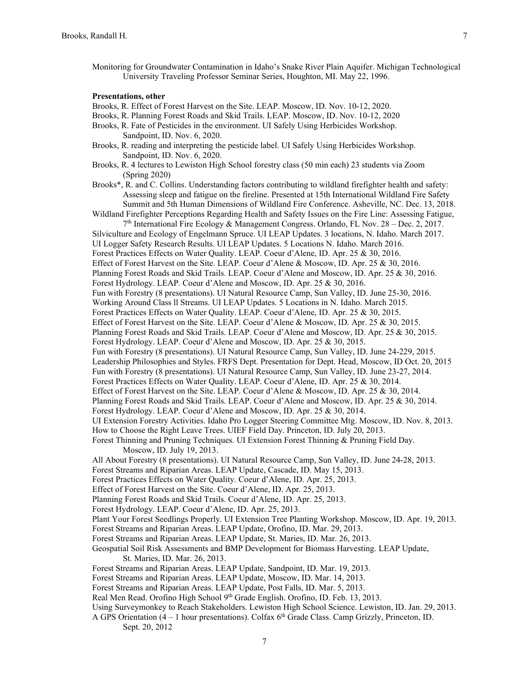Monitoring for Groundwater Contamination in Idaho's Snake River Plain Aquifer. Michigan Technological University Traveling Professor Seminar Series, Houghton, MI. May 22, 1996.

#### **Presentations, other**

Brooks, R. Effect of Forest Harvest on the Site. LEAP. Moscow, ID. Nov. 10-12, 2020.

- Brooks, R. Planning Forest Roads and Skid Trails. LEAP. Moscow, ID. Nov. 10-12, 2020
- Brooks, R. Fate of Pesticides in the environment. UI Safely Using Herbicides Workshop. Sandpoint, ID. Nov. 6, 2020.
- Brooks, R. reading and interpreting the pesticide label. UI Safely Using Herbicides Workshop. Sandpoint, ID. Nov. 6, 2020.
- Brooks, R. 4 lectures to Lewiston High School forestry class (50 min each) 23 students via Zoom (Spring 2020)

Brooks\*, R. and C. Collins. Understanding factors contributing to wildland firefighter health and safety: Assessing sleep and fatigue on the fireline. Presented at 15th International Wildland Fire Safety Summit and 5th Human Dimensions of Wildland Fire Conference. Asheville, NC. Dec. 13, 2018.

Wildland Firefighter Perceptions Regarding Health and Safety Issues on the Fire Line: Assessing Fatigue,  $7<sup>th</sup>$  International Fire Ecology & Management Congress. Orlando, FL Nov. 28 – Dec. 2, 2017. Silviculture and Ecology of Engelmann Spruce. UI LEAP Updates. 3 locations, N. Idaho. March 2017. UI Logger Safety Research Results. UI LEAP Updates. 5 Locations N. Idaho. March 2016. Forest Practices Effects on Water Quality. LEAP. Coeur d'Alene, ID. Apr. 25 & 30, 2016. Effect of Forest Harvest on the Site. LEAP. Coeur d'Alene & Moscow, ID. Apr. 25 & 30, 2016. Planning Forest Roads and Skid Trails. LEAP. Coeur d'Alene and Moscow, ID. Apr. 25 & 30, 2016. Forest Hydrology. LEAP. Coeur d'Alene and Moscow, ID. Apr. 25 & 30, 2016. Fun with Forestry (8 presentations). UI Natural Resource Camp, Sun Valley, ID. June 25-30, 2016. Working Around Class ll Streams. UI LEAP Updates. 5 Locations in N. Idaho. March 2015. Forest Practices Effects on Water Quality. LEAP. Coeur d'Alene, ID. Apr. 25 & 30, 2015. Effect of Forest Harvest on the Site. LEAP. Coeur d'Alene & Moscow, ID. Apr. 25 & 30, 2015. Planning Forest Roads and Skid Trails. LEAP. Coeur d'Alene and Moscow, ID. Apr. 25 & 30, 2015. Forest Hydrology. LEAP. Coeur d'Alene and Moscow, ID. Apr. 25 & 30, 2015. Fun with Forestry (8 presentations). UI Natural Resource Camp, Sun Valley, ID. June 24-229, 2015. Leadership Philosophies and Styles. FRFS Dept. Presentation for Dept. Head, Moscow, ID Oct. 20, 2015 Fun with Forestry (8 presentations). UI Natural Resource Camp, Sun Valley, ID. June 23-27, 2014. Forest Practices Effects on Water Quality. LEAP. Coeur d'Alene, ID. Apr. 25 & 30, 2014. Effect of Forest Harvest on the Site. LEAP. Coeur d'Alene & Moscow, ID. Apr. 25 & 30, 2014. Planning Forest Roads and Skid Trails. LEAP. Coeur d'Alene and Moscow, ID. Apr. 25 & 30, 2014. Forest Hydrology. LEAP. Coeur d'Alene and Moscow, ID. Apr. 25 & 30, 2014. UI Extension Forestry Activities. Idaho Pro Logger Steering Committee Mtg. Moscow, ID. Nov. 8, 2013. How to Choose the Right Leave Trees. UIEF Field Day. Princeton, ID. July 20, 2013. Forest Thinning and Pruning Techniques. UI Extension Forest Thinning & Pruning Field Day.

- Moscow, ID. July 19, 2013.
- All About Forestry (8 presentations). UI Natural Resource Camp, Sun Valley, ID. June 24-28, 2013.
- Forest Streams and Riparian Areas. LEAP Update, Cascade, ID. May 15, 2013.
- Forest Practices Effects on Water Quality. Coeur d'Alene, ID. Apr. 25, 2013.
- Effect of Forest Harvest on the Site. Coeur d'Alene, ID. Apr. 25, 2013.
- Planning Forest Roads and Skid Trails. Coeur d'Alene, ID. Apr. 25, 2013.
- Forest Hydrology. LEAP. Coeur d'Alene, ID. Apr. 25, 2013.
- Plant Your Forest Seedlings Properly. UI Extension Tree Planting Workshop. Moscow, ID. Apr. 19, 2013.
- Forest Streams and Riparian Areas. LEAP Update, Orofino, ID. Mar. 29, 2013.
- Forest Streams and Riparian Areas. LEAP Update, St. Maries, ID. Mar. 26, 2013.
- Geospatial Soil Risk Assessments and BMP Development for Biomass Harvesting. LEAP Update, St. Maries, ID. Mar. 26, 2013.
- Forest Streams and Riparian Areas. LEAP Update, Sandpoint, ID. Mar. 19, 2013.
- Forest Streams and Riparian Areas. LEAP Update, Moscow, ID. Mar. 14, 2013.
- Forest Streams and Riparian Areas. LEAP Update, Post Falls, ID. Mar. 5, 2013.
- Real Men Read. Orofino High School 9<sup>th</sup> Grade English. Orofino, ID. Feb. 13, 2013.
- Using Surveymonkey to Reach Stakeholders. Lewiston High School Science. Lewiston, ID. Jan. 29, 2013.
- A GPS Orientation  $(4 1)$  hour presentations). Colfax  $6<sup>th</sup>$  Grade Class. Camp Grizzly, Princeton, ID. Sept. 20, 2012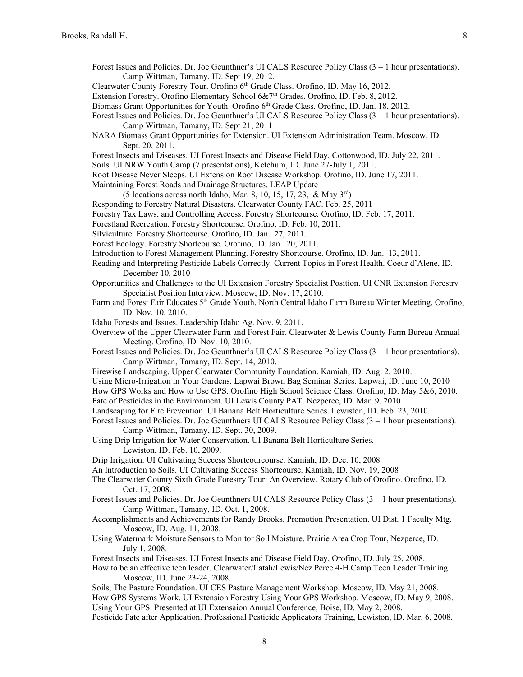- Forest Issues and Policies. Dr. Joe Geunthner's UI CALS Resource Policy Class (3 1 hour presentations). Camp Wittman, Tamany, ID. Sept 19, 2012.
- Clearwater County Forestry Tour. Orofino 6<sup>th</sup> Grade Class. Orofino, ID. May 16, 2012.
- Extension Forestry. Orofino Elementary School 6&7<sup>th</sup> Grades. Orofino, ID. Feb. 8, 2012.
- Biomass Grant Opportunities for Youth. Orofino 6<sup>th</sup> Grade Class. Orofino, ID. Jan. 18, 2012.
- Forest Issues and Policies. Dr. Joe Geunthner's UI CALS Resource Policy Class (3 1 hour presentations). Camp Wittman, Tamany, ID. Sept 21, 2011
- NARA Biomass Grant Opportunities for Extension. UI Extension Administration Team. Moscow, ID. Sept. 20, 2011.
- Forest Insects and Diseases. UI Forest Insects and Disease Field Day, Cottonwood, ID. July 22, 2011.
- Soils. UI NRW Youth Camp (7 presentations), Ketchum, ID. June 27-July 1, 2011.
- Root Disease Never Sleeps. UI Extension Root Disease Workshop. Orofino, ID. June 17, 2011.
- Maintaining Forest Roads and Drainage Structures. LEAP Update
- (5 locations across north Idaho, Mar. 8, 10, 15, 17, 23, & May  $3<sup>rd</sup>$ )
- Responding to Forestry Natural Disasters. Clearwater County FAC. Feb. 25, 2011
- Forestry Tax Laws, and Controlling Access. Forestry Shortcourse. Orofino, ID. Feb. 17, 2011.
- Forestland Recreation. Forestry Shortcourse. Orofino, ID. Feb. 10, 2011.
- Silviculture. Forestry Shortcourse. Orofino, ID. Jan. 27, 2011.
- Forest Ecology. Forestry Shortcourse. Orofino, ID. Jan. 20, 2011.
- Introduction to Forest Management Planning. Forestry Shortcourse. Orofino, ID. Jan. 13, 2011.
- Reading and Interpreting Pesticide Labels Correctly. Current Topics in Forest Health. Coeur d'Alene, ID. December 10, 2010
- Opportunities and Challenges to the UI Extension Forestry Specialist Position. UI CNR Extension Forestry Specialist Position Interview. Moscow, ID. Nov. 17, 2010.
- Farm and Forest Fair Educates 5<sup>th</sup> Grade Youth. North Central Idaho Farm Bureau Winter Meeting. Orofino, ID. Nov. 10, 2010.
- Idaho Forests and Issues. Leadership Idaho Ag. Nov. 9, 2011.
- Overview of the Upper Clearwater Farm and Forest Fair. Clearwater & Lewis County Farm Bureau Annual Meeting. Orofino, ID. Nov. 10, 2010.
- Forest Issues and Policies. Dr. Joe Geunthner's UI CALS Resource Policy Class (3 1 hour presentations). Camp Wittman, Tamany, ID. Sept. 14, 2010.
- Firewise Landscaping. Upper Clearwater Community Foundation. Kamiah, ID. Aug. 2. 2010.
- Using Micro-Irrigation in Your Gardens. Lapwai Brown Bag Seminar Series. Lapwai, ID. June 10, 2010
- How GPS Works and How to Use GPS. Orofino High School Science Class. Orofino, ID. May 5&6, 2010.
- Fate of Pesticides in the Environment. UI Lewis County PAT. Nezperce, ID. Mar. 9. 2010
- Landscaping for Fire Prevention. UI Banana Belt Horticulture Series. Lewiston, ID. Feb. 23, 2010.
- Forest Issues and Policies. Dr. Joe Geunthners UI CALS Resource Policy Class (3 1 hour presentations). Camp Wittman, Tamany, ID. Sept. 30, 2009.

Using Drip Irrigation for Water Conservation. UI Banana Belt Horticulture Series. Lewiston, ID. Feb. 10, 2009.

- Drip Irrigation. UI Cultivating Success Shortcourcourse. Kamiah, ID. Dec. 10, 2008
- An Introduction to Soils. UI Cultivating Success Shortcourse. Kamiah, ID. Nov. 19, 2008

The Clearwater County Sixth Grade Forestry Tour: An Overview. Rotary Club of Orofino. Orofino, ID. Oct. 17, 2008.

- Forest Issues and Policies. Dr. Joe Geunthners UI CALS Resource Policy Class (3 1 hour presentations). Camp Wittman, Tamany, ID. Oct. 1, 2008.
- Accomplishments and Achievements for Randy Brooks. Promotion Presentation. UI Dist. 1 Faculty Mtg. Moscow, ID. Aug. 11, 2008.
- Using Watermark Moisture Sensors to Monitor Soil Moisture. Prairie Area Crop Tour, Nezperce, ID. July 1, 2008.
- Forest Insects and Diseases. UI Forest Insects and Disease Field Day, Orofino, ID. July 25, 2008.
- How to be an effective teen leader. Clearwater/Latah/Lewis/Nez Perce 4-H Camp Teen Leader Training. Moscow, ID. June 23-24, 2008.

Soils, The Pasture Foundation. UI CES Pasture Management Workshop. Moscow, ID. May 21, 2008. How GPS Systems Work. UI Extension Forestry Using Your GPS Workshop. Moscow, ID. May 9, 2008. Using Your GPS. Presented at UI Extensaion Annual Conference, Boise, ID. May 2, 2008. Pesticide Fate after Application. Professional Pesticide Applicators Training, Lewiston, ID. Mar. 6, 2008.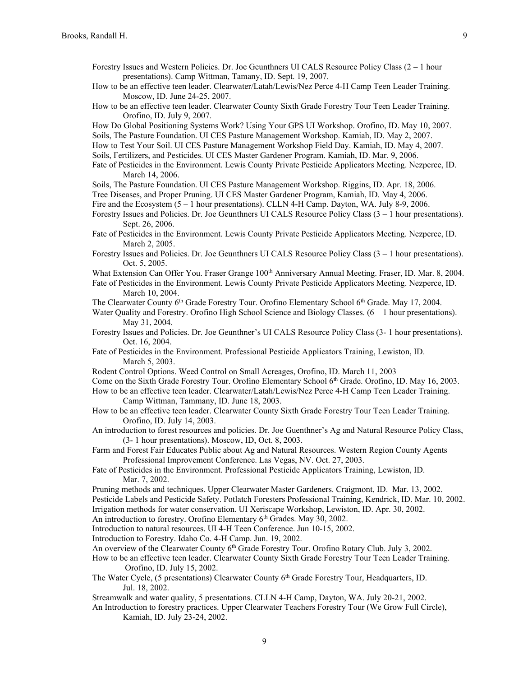- How to be an effective teen leader. Clearwater/Latah/Lewis/Nez Perce 4-H Camp Teen Leader Training. Moscow, ID. June 24-25, 2007.
- How to be an effective teen leader. Clearwater County Sixth Grade Forestry Tour Teen Leader Training. Orofino, ID. July 9, 2007.
- How Do Global Positioning Systems Work? Using Your GPS UI Workshop. Orofino, ID. May 10, 2007.

Soils, The Pasture Foundation. UI CES Pasture Management Workshop. Kamiah, ID. May 2, 2007.

- How to Test Your Soil. UI CES Pasture Management Workshop Field Day. Kamiah, ID. May 4, 2007.
- Soils, Fertilizers, and Pesticides. UI CES Master Gardener Program. Kamiah, ID. Mar. 9, 2006.
- Fate of Pesticides in the Environment. Lewis County Private Pesticide Applicators Meeting. Nezperce, ID. March 14, 2006.
- Soils, The Pasture Foundation. UI CES Pasture Management Workshop. Riggins, ID. Apr. 18, 2006.
- Tree Diseases, and Proper Pruning. UI CES Master Gardener Program, Kamiah, ID. May 4, 2006.
- Fire and the Ecosystem  $(5 1)$  hour presentations). CLLN 4-H Camp. Dayton, WA. July 8-9, 2006.
- Forestry Issues and Policies. Dr. Joe Geunthners UI CALS Resource Policy Class (3 1 hour presentations). Sept. 26, 2006.
- Fate of Pesticides in the Environment. Lewis County Private Pesticide Applicators Meeting. Nezperce, ID. March 2, 2005.
- Forestry Issues and Policies. Dr. Joe Geunthners UI CALS Resource Policy Class (3 1 hour presentations). Oct. 5, 2005.
- What Extension Can Offer You. Fraser Grange 100<sup>th</sup> Anniversary Annual Meeting. Fraser, ID. Mar. 8, 2004.
- Fate of Pesticides in the Environment. Lewis County Private Pesticide Applicators Meeting. Nezperce, ID. March 10, 2004.
- The Clearwater County 6<sup>th</sup> Grade Forestry Tour. Orofino Elementary School 6<sup>th</sup> Grade. May 17, 2004.
- Water Quality and Forestry. Orofino High School Science and Biology Classes.  $(6 1)$  hour presentations). May 31, 2004.
- Forestry Issues and Policies. Dr. Joe Geunthner's UI CALS Resource Policy Class (3- 1 hour presentations). Oct. 16, 2004.
- Fate of Pesticides in the Environment. Professional Pesticide Applicators Training, Lewiston, ID. March 5, 2003.
- Rodent Control Options. Weed Control on Small Acreages, Orofino, ID. March 11, 2003
- Come on the Sixth Grade Forestry Tour. Orofino Elementary School 6th Grade. Orofino, ID. May 16, 2003.
- How to be an effective teen leader. Clearwater/Latah/Lewis/Nez Perce 4-H Camp Teen Leader Training. Camp Wittman, Tammany, ID. June 18, 2003.
- How to be an effective teen leader. Clearwater County Sixth Grade Forestry Tour Teen Leader Training. Orofino, ID. July 14, 2003.
- An introduction to forest resources and policies. Dr. Joe Guenthner's Ag and Natural Resource Policy Class, (3- 1 hour presentations). Moscow, ID, Oct. 8, 2003.
- Farm and Forest Fair Educates Public about Ag and Natural Resources. Western Region County Agents Professional Improvement Conference. Las Vegas, NV. Oct. 27, 2003.
- Fate of Pesticides in the Environment. Professional Pesticide Applicators Training, Lewiston, ID. Mar. 7, 2002.
- Pruning methods and techniques. Upper Clearwater Master Gardeners. Craigmont, ID. Mar. 13, 2002.
- Pesticide Labels and Pesticide Safety. Potlatch Foresters Professional Training, Kendrick, ID. Mar. 10, 2002. Irrigation methods for water conservation. UI Xeriscape Workshop, Lewiston, ID. Apr. 30, 2002.

An introduction to forestry. Orofino Elementary  $6<sup>th</sup>$  Grades. May 30, 2002.

Introduction to natural resources. UI 4-H Teen Conference. Jun 10-15, 2002.

Introduction to Forestry. Idaho Co. 4-H Camp. Jun. 19, 2002.

- An overview of the Clearwater County 6<sup>th</sup> Grade Forestry Tour. Orofino Rotary Club. July 3, 2002.
- How to be an effective teen leader. Clearwater County Sixth Grade Forestry Tour Teen Leader Training. Orofino, ID. July 15, 2002.
- The Water Cycle, (5 presentations) Clearwater County 6<sup>th</sup> Grade Forestry Tour, Headquarters, ID. Jul. 18, 2002.
- Streamwalk and water quality, 5 presentations. CLLN 4-H Camp, Dayton, WA. July 20-21, 2002.
- An Introduction to forestry practices. Upper Clearwater Teachers Forestry Tour (We Grow Full Circle), Kamiah, ID. July 23-24, 2002.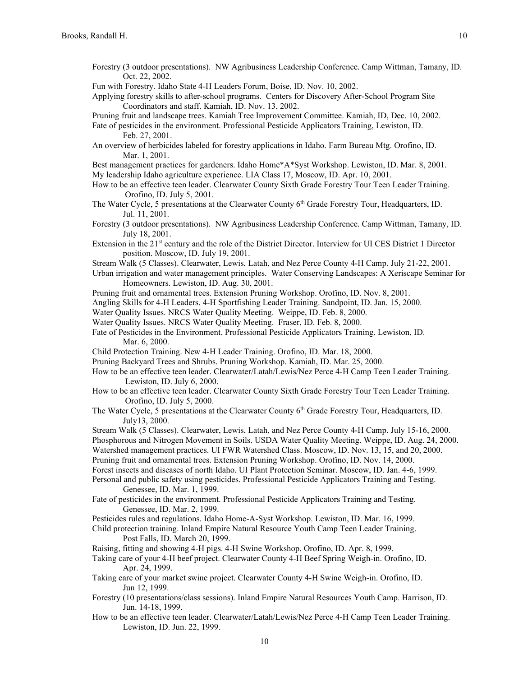- Forestry (3 outdoor presentations). NW Agribusiness Leadership Conference. Camp Wittman, Tamany, ID. Oct. 22, 2002.
- Fun with Forestry. Idaho State 4-H Leaders Forum, Boise, ID. Nov. 10, 2002.
- Applying forestry skills to after-school programs. Centers for Discovery After-School Program Site Coordinators and staff. Kamiah, ID. Nov. 13, 2002.
- Pruning fruit and landscape trees. Kamiah Tree Improvement Committee. Kamiah, ID, Dec. 10, 2002.
- Fate of pesticides in the environment. Professional Pesticide Applicators Training, Lewiston, ID. Feb. 27, 2001.
- An overview of herbicides labeled for forestry applications in Idaho. Farm Bureau Mtg. Orofino, ID. Mar. 1, 2001.
- Best management practices for gardeners. Idaho Home\*A\*Syst Workshop. Lewiston, ID. Mar. 8, 2001. My leadership Idaho agriculture experience. LIA Class 17, Moscow, ID. Apr. 10, 2001.
- How to be an effective teen leader. Clearwater County Sixth Grade Forestry Tour Teen Leader Training. Orofino, ID. July 5, 2001.
- The Water Cycle, 5 presentations at the Clearwater County 6<sup>th</sup> Grade Forestry Tour, Headquarters, ID. Jul. 11, 2001.
- Forestry (3 outdoor presentations). NW Agribusiness Leadership Conference. Camp Wittman, Tamany, ID. July 18, 2001.
- Extension in the 21st century and the role of the District Director. Interview for UI CES District 1 Director position. Moscow, ID. July 19, 2001.
- Stream Walk (5 Classes). Clearwater, Lewis, Latah, and Nez Perce County 4-H Camp. July 21-22, 2001.
- Urban irrigation and water management principles. Water Conserving Landscapes: A Xeriscape Seminar for Homeowners. Lewiston, ID. Aug. 30, 2001.
- Pruning fruit and ornamental trees. Extension Pruning Workshop. Orofino, ID. Nov. 8, 2001.
- Angling Skills for 4-H Leaders. 4-H Sportfishing Leader Training. Sandpoint, ID. Jan. 15, 2000.
- Water Quality Issues. NRCS Water Quality Meeting. Weippe, ID. Feb. 8, 2000.
- Water Quality Issues. NRCS Water Quality Meeting. Fraser, ID. Feb. 8, 2000.
- Fate of Pesticides in the Environment. Professional Pesticide Applicators Training. Lewiston, ID. Mar. 6, 2000.
- Child Protection Training. New 4-H Leader Training. Orofino, ID. Mar. 18, 2000.
- Pruning Backyard Trees and Shrubs. Pruning Workshop. Kamiah, ID. Mar. 25, 2000.
- How to be an effective teen leader. Clearwater/Latah/Lewis/Nez Perce 4-H Camp Teen Leader Training. Lewiston, ID. July 6, 2000.
- How to be an effective teen leader. Clearwater County Sixth Grade Forestry Tour Teen Leader Training. Orofino, ID. July 5, 2000.
- The Water Cycle, 5 presentations at the Clearwater County  $6<sup>th</sup>$  Grade Forestry Tour, Headquarters, ID. July13, 2000.
- Stream Walk (5 Classes). Clearwater, Lewis, Latah, and Nez Perce County 4-H Camp. July 15-16, 2000. Phosphorous and Nitrogen Movement in Soils. USDA Water Quality Meeting. Weippe, ID. Aug. 24, 2000. Watershed management practices. UI FWR Watershed Class. Moscow, ID. Nov. 13, 15, and 20, 2000. Pruning fruit and ornamental trees. Extension Pruning Workshop. Orofino, ID. Nov. 14, 2000.
- Forest insects and diseases of north Idaho. UI Plant Protection Seminar. Moscow, ID. Jan. 4-6, 1999.
- Personal and public safety using pesticides. Professional Pesticide Applicators Training and Testing. Genessee, ID. Mar. 1, 1999.
- Fate of pesticides in the environment. Professional Pesticide Applicators Training and Testing. Genessee, ID. Mar. 2, 1999.
- Pesticides rules and regulations. Idaho Home-A-Syst Workshop. Lewiston, ID. Mar. 16, 1999.
- Child protection training. Inland Empire Natural Resource Youth Camp Teen Leader Training. Post Falls, ID. March 20, 1999.
- Raising, fitting and showing 4-H pigs. 4-H Swine Workshop. Orofino, ID. Apr. 8, 1999.
- Taking care of your 4-H beef project. Clearwater County 4-H Beef Spring Weigh-in. Orofino, ID. Apr. 24, 1999.
- Taking care of your market swine project. Clearwater County 4-H Swine Weigh-in. Orofino, ID. Jun 12, 1999.
- Forestry (10 presentations/class sessions). Inland Empire Natural Resources Youth Camp. Harrison, ID. Jun. 14-18, 1999.
- How to be an effective teen leader. Clearwater/Latah/Lewis/Nez Perce 4-H Camp Teen Leader Training. Lewiston, ID. Jun. 22, 1999.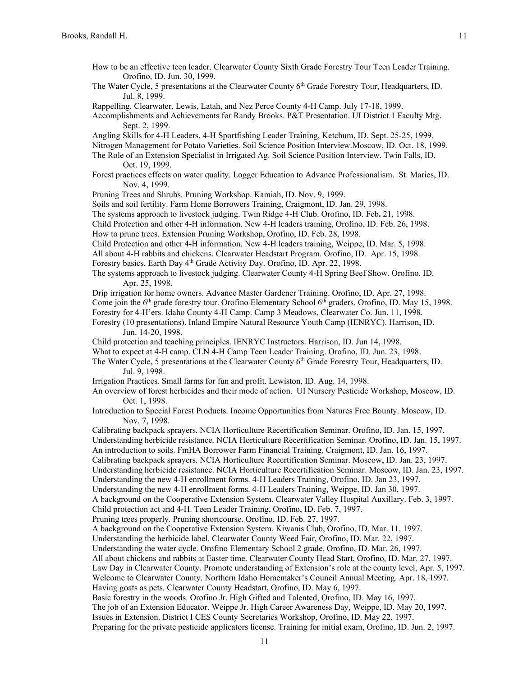- How to be an effective teen leader. Clearwater County Sixth Grade Forestry Tour Teen Leader Training. Orofino, ID. Jun. 30, 1999.
- The Water Cycle, 5 presentations at the Clearwater County  $6<sup>th</sup>$  Grade Forestry Tour, Headquarters, ID. Jul. 8, 1999.

Rappelling. Clearwater, Lewis, Latah, and Nez Perce County 4-H Camp. July 17-18, 1999.

Pruning Trees and Shrubs. Pruning Workshop. Kamiah, ID. Nov. 9, 1999.

Accomplishments and Achievements for Randy Brooks. P&T Presentation. UI District 1 Faculty Mtg. Sept. 2, 1999.

Angling Skills for 4-H Leaders. 4-H Sportfishing Leader Training, Ketchum, ID. Sept. 25-25, 1999. Nitrogen Management for Potato Varieties. Soil Science Position Interview.Moscow, ID. Oct. 18, 1999. The Role of an Extension Specialist in Irrigated Ag. Soil Science Position Interview. Twin Falls, ID.

Oct. 19, 1999.

Forest practices effects on water quality. Logger Education to Advance Professionalism. St. Maries, ID. Nov. 4, 1999.

11 Soils and soil fertility. Farm Home Borrowers Training, Craigmont, ID. Jan. 29, 1998. The systems approach to livestock judging. Twin Ridge 4-H Club. Orofino, ID. Feb**.** 21, 1998. Child Protection and other 4-H information. New 4-H leaders training, Orofino, ID. Feb. 26, 1998. How to prune trees. Extension Pruning Workshop, Orofino, ID. Feb. 28, 1998. Child Protection and other 4-H information. New 4-H leaders training, Weippe, ID. Mar. 5, 1998. All about 4-H rabbits and chickens. Clearwater Headstart Program. Orofino, ID. Apr. 15, 1998. Forestry basics. Earth Day 4<sup>th</sup> Grade Activity Day. Orofino, ID. Apr. 22, 1998. The systems approach to livestock judging. Clearwater County 4-H Spring Beef Show. Orofino, ID. Apr. 25, 1998. Drip irrigation for home owners. Advance Master Gardener Training. Orofino, ID. Apr. 27, 1998. Come join the  $6<sup>th</sup>$  grade forestry tour. Orofino Elementary School  $6<sup>th</sup>$  graders. Orofino, ID. May 15, 1998. Forestry for 4-H'ers. Idaho County 4-H Camp. Camp 3 Meadows, Clearwater Co. Jun. 11, 1998. Forestry (10 presentations). Inland Empire Natural Resource Youth Camp (IENRYC). Harrison, ID. Jun. 14-20, 1998. Child protection and teaching principles. IENRYC Instructors. Harrison, ID. Jun 14, 1998. What to expect at 4-H camp. CLN 4-H Camp Teen Leader Training. Orofino, ID. Jun. 23, 1998. The Water Cycle, 5 presentations at the Clearwater County 6<sup>th</sup> Grade Forestry Tour, Headquarters, ID. Jul. 9, 1998. Irrigation Practices. Small farms for fun and profit. Lewiston, ID. Aug. 14, 1998. An overview of forest herbicides and their mode of action. UI Nursery Pesticide Workshop, Moscow, ID. Oct. 1, 1998. Introduction to Special Forest Products. Income Opportunities from Natures Free Bounty. Moscow, ID. Nov. 7, 1998. Calibrating backpack sprayers. NCIA Horticulture Recertification Seminar. Orofino, ID. Jan. 15, 1997. Understanding herbicide resistance. NCIA Horticulture Recertification Seminar. Orofino, ID. Jan. 15, 1997. An introduction to soils. FmHA Borrower Farm Financial Training, Craigmont, ID. Jan. 16, 1997. Calibrating backpack sprayers. NCIA Horticulture Recertification Seminar. Moscow, ID. Jan. 23, 1997. Understanding herbicide resistance. NCIA Horticulture Recertification Seminar. Moscow, ID. Jan. 23, 1997. Understanding the new 4-H enrollment forms. 4-H Leaders Training, Orofino, ID. Jan 23, 1997. Understanding the new 4-H enrollment forms. 4-H Leaders Training, Weippe, ID. Jan 30, 1997. A background on the Cooperative Extension System. Clearwater Valley Hospital Auxillary. Feb. 3, 1997. Child protection act and 4-H. Teen Leader Training, Orofino, ID. Feb. 7, 1997. Pruning trees properly. Pruning shortcourse. Orofino, ID. Feb. 27, 1997. A background on the Cooperative Extension System. Kiwanis Club, Orofino, ID. Mar. 11, 1997. Understanding the herbicide label. Clearwater County Weed Fair, Orofino, ID. Mar. 22, 1997. Understanding the water cycle. Orofino Elementary School 2 grade, Orofino, ID. Mar. 26, 1997. All about chickens and rabbits at Easter time. Clearwater County Head Start, Orofino, ID. Mar. 27, 1997. Law Day in Clearwater County. Promote understanding of Extension's role at the county level, Apr. 5, 1997. Welcome to Clearwater County. Northern Idaho Homemaker's Council Annual Meeting. Apr. 18, 1997. Having goats as pets. Clearwater County Headstart, Orofino, ID. May 6, 1997. Basic forestry in the woods. Orofino Jr. High Gifted and Talented, Orofino, ID. May 16, 1997. The job of an Extension Educator. Weippe Jr. High Career Awareness Day, Weippe, ID. May 20, 1997. Issues in Extension. District I CES County Secretaries Workshop, Orofino, ID. May 22, 1997. Preparing for the private pesticide applicators license. Training for initial exam, Orofino, ID. Jun. 2, 1997.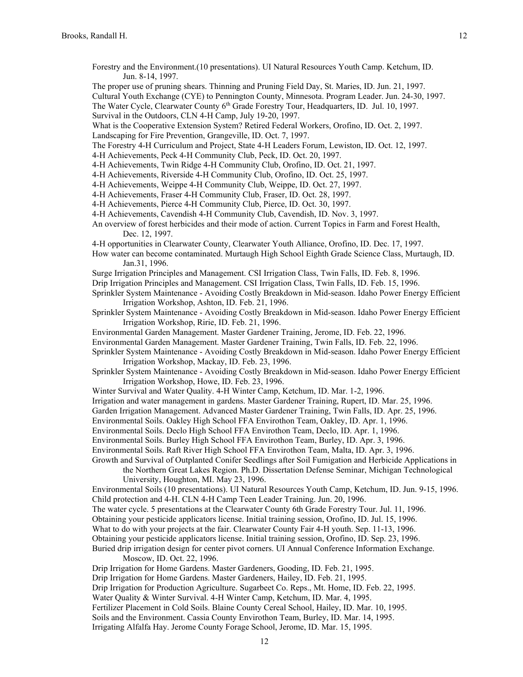- Forestry and the Environment.(10 presentations). UI Natural Resources Youth Camp. Ketchum, ID. Jun. 8-14, 1997.
- The proper use of pruning shears. Thinning and Pruning Field Day, St. Maries, ID. Jun. 21, 1997.
- Cultural Youth Exchange (CYE) to Pennington County, Minnesota. Program Leader. Jun. 24-30, 1997.

The Water Cycle, Clearwater County 6<sup>th</sup> Grade Forestry Tour, Headquarters, ID. Jul. 10, 1997.

Survival in the Outdoors, CLN 4-H Camp, July 19-20, 1997.

What is the Cooperative Extension System? Retired Federal Workers, Orofino, ID. Oct. 2, 1997.

- Landscaping for Fire Prevention, Grangeville, ID. Oct. 7, 1997.
- The Forestry 4-H Curriculum and Project, State 4-H Leaders Forum, Lewiston, ID. Oct. 12, 1997.

4-H Achievements, Peck 4-H Community Club, Peck, ID. Oct. 20, 1997.

- 4-H Achievements, Twin Ridge 4-H Community Club, Orofino, ID. Oct. 21, 1997.
- 4-H Achievements, Riverside 4-H Community Club, Orofino, ID. Oct. 25, 1997.
- 4-H Achievements, Weippe 4-H Community Club, Weippe, ID. Oct. 27, 1997.
- 4-H Achievements, Fraser 4-H Community Club, Fraser, ID. Oct. 28, 1997.
- 4-H Achievements, Pierce 4-H Community Club, Pierce, ID. Oct. 30, 1997.
- 4-H Achievements, Cavendish 4-H Community Club, Cavendish, ID. Nov. 3, 1997.
- An overview of forest herbicides and their mode of action. Current Topics in Farm and Forest Health, Dec. 12, 1997.
- 4-H opportunities in Clearwater County, Clearwater Youth Alliance, Orofino, ID. Dec. 17, 1997.
- How water can become contaminated. Murtaugh High School Eighth Grade Science Class, Murtaugh, ID. Jan.31, 1996.
- Surge Irrigation Principles and Management. CSI Irrigation Class, Twin Falls, ID. Feb. 8, 1996.
- Drip Irrigation Principles and Management. CSI Irrigation Class, Twin Falls, ID. Feb. 15, 1996.
- Sprinkler System Maintenance Avoiding Costly Breakdown in Mid-season. Idaho Power Energy Efficient Irrigation Workshop, Ashton, ID. Feb. 21, 1996.
- Sprinkler System Maintenance Avoiding Costly Breakdown in Mid-season. Idaho Power Energy Efficient Irrigation Workshop, Ririe, ID. Feb. 21, 1996.
- Environmental Garden Management. Master Gardener Training, Jerome, ID. Feb. 22, 1996.
- Environmental Garden Management. Master Gardener Training, Twin Falls, ID. Feb. 22, 1996.
- Sprinkler System Maintenance Avoiding Costly Breakdown in Mid-season. Idaho Power Energy Efficient Irrigation Workshop, Mackay, ID. Feb. 23, 1996.
- Sprinkler System Maintenance Avoiding Costly Breakdown in Mid-season. Idaho Power Energy Efficient Irrigation Workshop, Howe, ID. Feb. 23, 1996.
- Winter Survival and Water Quality. 4-H Winter Camp, Ketchum, ID. Mar. 1-2, 1996.
- Irrigation and water management in gardens. Master Gardener Training, Rupert, ID. Mar. 25, 1996.
- Garden Irrigation Management. Advanced Master Gardener Training, Twin Falls, ID. Apr. 25, 1996.
- Environmental Soils. Oakley High School FFA Envirothon Team, Oakley, ID. Apr. 1, 1996.

Environmental Soils. Declo High School FFA Envirothon Team, Declo, ID. Apr. 1, 1996.

- Environmental Soils. Burley High School FFA Envirothon Team, Burley, ID. Apr. 3, 1996.
- Environmental Soils. Raft River High School FFA Envirothon Team, Malta, ID. Apr. 3, 1996.
- Growth and Survival of Outplanted Conifer Seedlings after Soil Fumigation and Herbicide Applications in
	- the Northern Great Lakes Region. Ph.D. Dissertation Defense Seminar, Michigan Technological University, Houghton, MI. May 23, 1996.

Environmental Soils (10 presentations). UI Natural Resources Youth Camp, Ketchum, ID. Jun. 9-15, 1996. Child protection and 4-H. CLN 4-H Camp Teen Leader Training. Jun. 20, 1996.

- The water cycle. 5 presentations at the Clearwater County 6th Grade Forestry Tour. Jul. 11, 1996.
- Obtaining your pesticide applicators license. Initial training session, Orofino, ID. Jul. 15, 1996.
- What to do with your projects at the fair. Clearwater County Fair 4-H youth. Sep. 11-13, 1996.

Obtaining your pesticide applicators license. Initial training session, Orofino, ID. Sep. 23, 1996.

## Buried drip irrigation design for center pivot corners. UI Annual Conference Information Exchange. Moscow, ID. Oct. 22, 1996.

- Drip Irrigation for Home Gardens. Master Gardeners, Gooding, ID. Feb. 21, 1995.
- Drip Irrigation for Home Gardens. Master Gardeners, Hailey, ID. Feb. 21, 1995.
- Drip Irrigation for Production Agriculture. Sugarbeet Co. Reps., Mt. Home, ID. Feb. 22, 1995.
- Water Quality & Winter Survival. 4-H Winter Camp, Ketchum, ID. Mar. 4, 1995.
- Fertilizer Placement in Cold Soils. Blaine County Cereal School, Hailey, ID. Mar. 10, 1995.
- Soils and the Environment. Cassia County Envirothon Team, Burley, ID. Mar. 14, 1995.

Irrigating Alfalfa Hay. Jerome County Forage School, Jerome, ID. Mar. 15, 1995.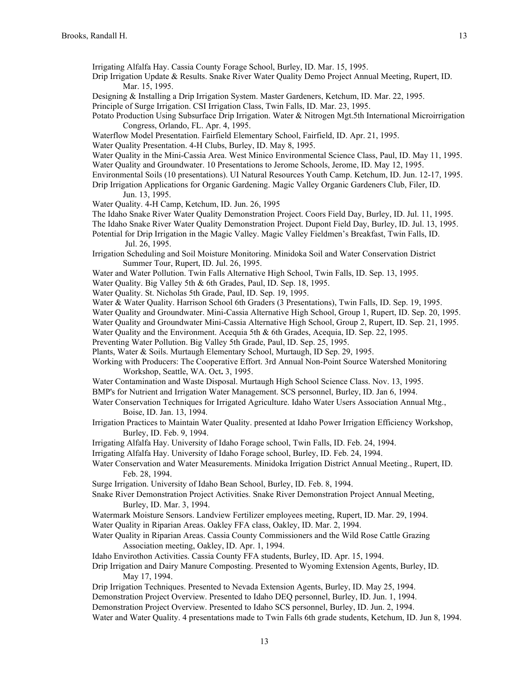Irrigating Alfalfa Hay. Cassia County Forage School, Burley, ID. Mar. 15, 1995.

- Drip Irrigation Update & Results. Snake River Water Quality Demo Project Annual Meeting, Rupert, ID. Mar. 15, 1995.
- Designing & Installing a Drip Irrigation System. Master Gardeners, Ketchum, ID. Mar. 22, 1995.

Principle of Surge Irrigation. CSI Irrigation Class, Twin Falls, ID. Mar. 23, 1995.

- Potato Production Using Subsurface Drip Irrigation. Water & Nitrogen Mgt.5th International Microirrigation Congress, Orlando, FL. Apr. 4, 1995.
- Waterflow Model Presentation. Fairfield Elementary School, Fairfield, ID. Apr. 21, 1995.
- Water Quality Presentation. 4-H Clubs, Burley, ID. May 8, 1995.
- Water Quality in the Mini-Cassia Area. West Minico Environmental Science Class, Paul, ID. May 11, 1995. Water Quality and Groundwater. 10 Presentations to Jerome Schools, Jerome, ID. May 12, 1995.
- 
- Environmental Soils (10 presentations). UI Natural Resources Youth Camp. Ketchum, ID. Jun. 12-17, 1995. Drip Irrigation Applications for Organic Gardening. Magic Valley Organic Gardeners Club, Filer, ID.

Jun. 13, 1995.

- Water Quality. 4-H Camp, Ketchum, ID. Jun. 26, 1995
- The Idaho Snake River Water Quality Demonstration Project. Coors Field Day, Burley, ID. Jul. 11, 1995.
- The Idaho Snake River Water Quality Demonstration Project. Dupont Field Day, Burley, ID. Jul. 13, 1995.
- Potential for Drip Irrigation in the Magic Valley. Magic Valley Fieldmen's Breakfast, Twin Falls, ID. Jul. 26, 1995.
- Irrigation Scheduling and Soil Moisture Monitoring. Minidoka Soil and Water Conservation District Summer Tour, Rupert, ID. Jul. 26, 1995.
- Water and Water Pollution. Twin Falls Alternative High School, Twin Falls, ID. Sep. 13, 1995.
- Water Quality. Big Valley 5th & 6th Grades, Paul, ID. Sep. 18, 1995.
- Water Quality. St. Nicholas 5th Grade, Paul, ID. Sep. 19, 1995.
- Water & Water Quality. Harrison School 6th Graders (3 Presentations), Twin Falls, ID. Sep. 19, 1995.
- Water Quality and Groundwater. Mini-Cassia Alternative High School, Group 1, Rupert, ID. Sep. 20, 1995.
- Water Quality and Groundwater Mini-Cassia Alternative High School, Group 2, Rupert, ID. Sep. 21, 1995.
- Water Quality and the Environment. Acequia 5th & 6th Grades, Acequia, ID. Sep. 22, 1995.
- Preventing Water Pollution. Big Valley 5th Grade, Paul, ID. Sep. 25, 1995.
- Plants, Water & Soils. Murtaugh Elementary School, Murtaugh, ID Sep. 29, 1995.
- Working with Producers: The Cooperative Effort. 3rd Annual Non-Point Source Watershed Monitoring Workshop, Seattle, WA. Oct**.** 3, 1995.
- Water Contamination and Waste Disposal. Murtaugh High School Science Class. Nov. 13, 1995.
- BMP's for Nutrient and Irrigation Water Management. SCS personnel, Burley, ID. Jan 6, 1994.
- Water Conservation Techniques for Irrigated Agriculture. Idaho Water Users Association Annual Mtg., Boise, ID. Jan. 13, 1994.
- Irrigation Practices to Maintain Water Quality. presented at Idaho Power Irrigation Efficiency Workshop, Burley, ID. Feb. 9, 1994.
- Irrigating Alfalfa Hay. University of Idaho Forage school, Twin Falls, ID. Feb. 24, 1994.
- Irrigating Alfalfa Hay. University of Idaho Forage school, Burley, ID. Feb. 24, 1994.
- Water Conservation and Water Measurements. Minidoka Irrigation District Annual Meeting., Rupert, ID. Feb. 28, 1994.
- Surge Irrigation. University of Idaho Bean School, Burley, ID. Feb. 8, 1994.
- Snake River Demonstration Project Activities. Snake River Demonstration Project Annual Meeting, Burley, ID. Mar. 3, 1994.
- Watermark Moisture Sensors. Landview Fertilizer employees meeting, Rupert, ID. Mar. 29, 1994.
- Water Quality in Riparian Areas. Oakley FFA class, Oakley, ID. Mar. 2, 1994.
- Water Quality in Riparian Areas. Cassia County Commissioners and the Wild Rose Cattle Grazing Association meeting, Oakley, ID. Apr. 1, 1994.
- Idaho Envirothon Activities. Cassia County FFA students, Burley, ID. Apr. 15, 1994.
- Drip Irrigation and Dairy Manure Composting. Presented to Wyoming Extension Agents, Burley, ID. May 17, 1994.
- Drip Irrigation Techniques. Presented to Nevada Extension Agents, Burley, ID. May 25, 1994.
- Demonstration Project Overview. Presented to Idaho DEQ personnel, Burley, ID. Jun. 1, 1994.
- Demonstration Project Overview. Presented to Idaho SCS personnel, Burley, ID. Jun. 2, 1994.

Water and Water Quality. 4 presentations made to Twin Falls 6th grade students, Ketchum, ID. Jun 8, 1994.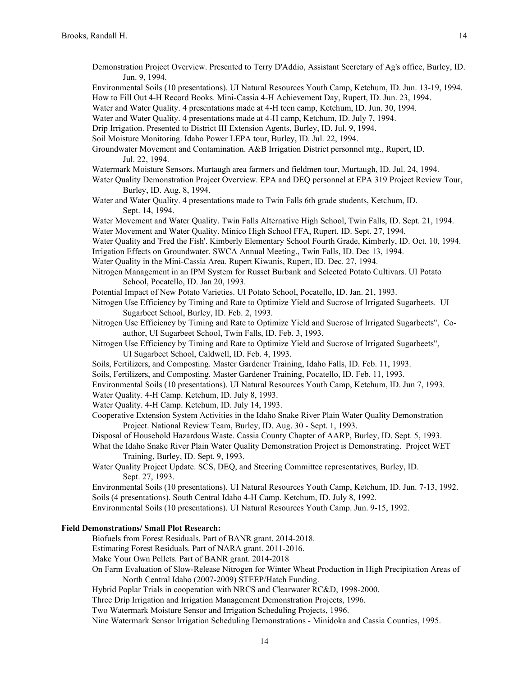- Demonstration Project Overview. Presented to Terry D'Addio, Assistant Secretary of Ag's office, Burley, ID. Jun. 9, 1994.
- Environmental Soils (10 presentations). UI Natural Resources Youth Camp, Ketchum, ID. Jun. 13-19, 1994.

Water and Water Quality. 4 presentations made at 4-H teen camp, Ketchum, ID. Jun. 30, 1994.

- Water and Water Quality. 4 presentations made at 4-H camp, Ketchum, ID. July 7, 1994.
- Drip Irrigation. Presented to District III Extension Agents, Burley, ID. Jul. 9, 1994.
- Soil Moisture Monitoring. Idaho Power LEPA tour, Burley, ID. Jul. 22, 1994.
- Groundwater Movement and Contamination. A&B Irrigation District personnel mtg., Rupert, ID. Jul. 22, 1994.
- Watermark Moisture Sensors. Murtaugh area farmers and fieldmen tour, Murtaugh, ID. Jul. 24, 1994.
- Water Quality Demonstration Project Overview. EPA and DEQ personnel at EPA 319 Project Review Tour, Burley, ID. Aug. 8, 1994.
- Water and Water Quality. 4 presentations made to Twin Falls 6th grade students, Ketchum, ID. Sept. 14, 1994.

Water Movement and Water Quality. Twin Falls Alternative High School, Twin Falls, ID. Sept. 21, 1994. Water Movement and Water Quality. Minico High School FFA, Rupert, ID. Sept. 27, 1994.

Water Quality and 'Fred the Fish'. Kimberly Elementary School Fourth Grade, Kimberly, ID. Oct. 10, 1994. Irrigation Effects on Groundwater. SWCA Annual Meeting., Twin Falls, ID. Dec 13, 1994.

Water Quality in the Mini-Cassia Area. Rupert Kiwanis, Rupert, ID. Dec. 27, 1994.

Nitrogen Management in an IPM System for Russet Burbank and Selected Potato Cultivars. UI Potato School, Pocatello, ID. Jan 20, 1993.

Potential Impact of New Potato Varieties. UI Potato School, Pocatello, ID. Jan. 21, 1993.

- Nitrogen Use Efficiency by Timing and Rate to Optimize Yield and Sucrose of Irrigated Sugarbeets. UI Sugarbeet School, Burley, ID. Feb. 2, 1993.
- Nitrogen Use Efficiency by Timing and Rate to Optimize Yield and Sucrose of Irrigated Sugarbeets", Coauthor, UI Sugarbeet School, Twin Falls, ID. Feb. 3, 1993.
- Nitrogen Use Efficiency by Timing and Rate to Optimize Yield and Sucrose of Irrigated Sugarbeets", UI Sugarbeet School, Caldwell, ID. Feb. 4, 1993.
- Soils, Fertilizers, and Composting. Master Gardener Training, Idaho Falls, ID. Feb. 11, 1993.
- Soils, Fertilizers, and Composting. Master Gardener Training, Pocatello, ID. Feb. 11, 1993.
- Environmental Soils (10 presentations). UI Natural Resources Youth Camp, Ketchum, ID. Jun 7, 1993.

Water Quality. 4-H Camp. Ketchum, ID. July 8, 1993.

- Water Quality. 4-H Camp. Ketchum, ID. July 14, 1993.
- Cooperative Extension System Activities in the Idaho Snake River Plain Water Quality Demonstration Project. National Review Team, Burley, ID. Aug. 30 - Sept. 1, 1993.
- Disposal of Household Hazardous Waste. Cassia County Chapter of AARP, Burley, ID. Sept. 5, 1993.

What the Idaho Snake River Plain Water Quality Demonstration Project is Demonstrating. Project WET Training, Burley, ID. Sept. 9, 1993.

Water Quality Project Update. SCS, DEQ, and Steering Committee representatives, Burley, ID. Sept. 27, 1993.

Environmental Soils (10 presentations). UI Natural Resources Youth Camp, Ketchum, ID. Jun. 7-13, 1992. Soils (4 presentations). South Central Idaho 4-H Camp. Ketchum, ID. July 8, 1992.

Environmental Soils (10 presentations). UI Natural Resources Youth Camp. Jun. 9-15, 1992.

## **Field Demonstrations/ Small Plot Research:**

Biofuels from Forest Residuals. Part of BANR grant. 2014-2018.

Estimating Forest Residuals. Part of NARA grant. 2011-2016.

- Make Your Own Pellets. Part of BANR grant. 2014-2018
- On Farm Evaluation of Slow-Release Nitrogen for Winter Wheat Production in High Precipitation Areas of North Central Idaho (2007-2009) STEEP/Hatch Funding.
- Hybrid Poplar Trials in cooperation with NRCS and Clearwater RC&D, 1998-2000.

Three Drip Irrigation and Irrigation Management Demonstration Projects, 1996.

Two Watermark Moisture Sensor and Irrigation Scheduling Projects, 1996.

Nine Watermark Sensor Irrigation Scheduling Demonstrations - Minidoka and Cassia Counties, 1995.

How to Fill Out 4-H Record Books. Mini-Cassia 4-H Achievement Day, Rupert, ID. Jun. 23, 1994.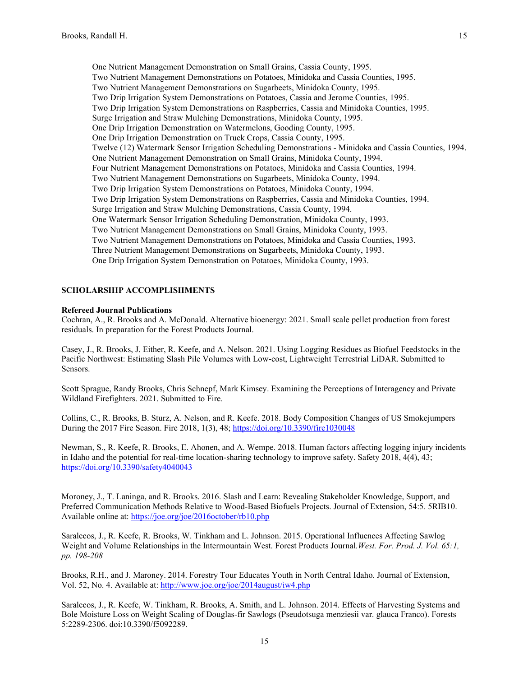One Nutrient Management Demonstration on Small Grains, Cassia County, 1995. Two Nutrient Management Demonstrations on Potatoes, Minidoka and Cassia Counties, 1995. Two Nutrient Management Demonstrations on Sugarbeets, Minidoka County, 1995. Two Drip Irrigation System Demonstrations on Potatoes, Cassia and Jerome Counties, 1995. Two Drip Irrigation System Demonstrations on Raspberries, Cassia and Minidoka Counties, 1995. Surge Irrigation and Straw Mulching Demonstrations, Minidoka County, 1995. One Drip Irrigation Demonstration on Watermelons, Gooding County, 1995. One Drip Irrigation Demonstration on Truck Crops, Cassia County, 1995. Twelve (12) Watermark Sensor Irrigation Scheduling Demonstrations - Minidoka and Cassia Counties, 1994. One Nutrient Management Demonstration on Small Grains, Minidoka County, 1994. Four Nutrient Management Demonstrations on Potatoes, Minidoka and Cassia Counties, 1994. Two Nutrient Management Demonstrations on Sugarbeets, Minidoka County, 1994. Two Drip Irrigation System Demonstrations on Potatoes, Minidoka County, 1994. Two Drip Irrigation System Demonstrations on Raspberries, Cassia and Minidoka Counties, 1994. Surge Irrigation and Straw Mulching Demonstrations, Cassia County, 1994. One Watermark Sensor Irrigation Scheduling Demonstration, Minidoka County, 1993. Two Nutrient Management Demonstrations on Small Grains, Minidoka County, 1993. Two Nutrient Management Demonstrations on Potatoes, Minidoka and Cassia Counties, 1993. Three Nutrient Management Demonstrations on Sugarbeets, Minidoka County, 1993. One Drip Irrigation System Demonstration on Potatoes, Minidoka County, 1993.

# **SCHOLARSHIP ACCOMPLISHMENTS**

## **Refereed Journal Publications**

Cochran, A., R. Brooks and A. McDonald. Alternative bioenergy: 2021. Small scale pellet production from forest residuals. In preparation for the Forest Products Journal.

Casey, J., R. Brooks, J. Either, R. Keefe, and A. Nelson. 2021. Using Logging Residues as Biofuel Feedstocks in the Pacific Northwest: Estimating Slash Pile Volumes with Low-cost, Lightweight Terrestrial LiDAR. Submitted to Sensors.

Scott Sprague, Randy Brooks, Chris Schnepf, Mark Kimsey. Examining the Perceptions of Interagency and Private Wildland Firefighters. 2021. Submitted to Fire.

Collins, C., R. Brooks, B. Sturz, A. Nelson, and R. Keefe. 2018. Body Composition Changes of US Smokejumpers During the 2017 Fire Season. Fire 2018, 1(3), 48[; https://doi.org/10.3390/fire1030048](https://doi.org/10.3390/fire1030048)

Newman, S., R. Keefe, R. Brooks, E. Ahonen, and A. Wempe. 2018. Human factors affecting logging injury incidents in Idaho and the potential for real-time location-sharing technology to improve safety. Safety 2018, 4(4), 43; <https://doi.org/10.3390/safety4040043>

Moroney, J., T. Laninga, and R. Brooks. 2016. Slash and Learn: Revealing Stakeholder Knowledge, Support, and Preferred Communication Methods Relative to Wood-Based Biofuels Projects. Journal of Extension, 54:5. 5RIB10. Available online at:<https://joe.org/joe/2016october/rb10.php>

Saralecos, J., R. Keefe, R. Brooks, W. Tinkham and L. Johnson. 2015. Operational Influences Affecting Sawlog Weight and Volume Relationships in the Intermountain West. Forest Products Journal*.West. For. Prod. J. Vol. 65:1, pp. 198-208*

Brooks, R.H., and J. Maroney. 2014. Forestry Tour Educates Youth in North Central Idaho. Journal of Extension, Vol. 52, No. 4. Available at:<http://www.joe.org/joe/2014august/iw4.php>

Saralecos, J., R. Keefe, W. Tinkham, R. Brooks, A. Smith, and L. Johnson. 2014. Effects of Harvesting Systems and Bole Moisture Loss on Weight Scaling of Douglas-fir Sawlogs (Pseudotsuga menziesii var. glauca Franco). Forests 5:2289-2306. doi:10.3390/f5092289.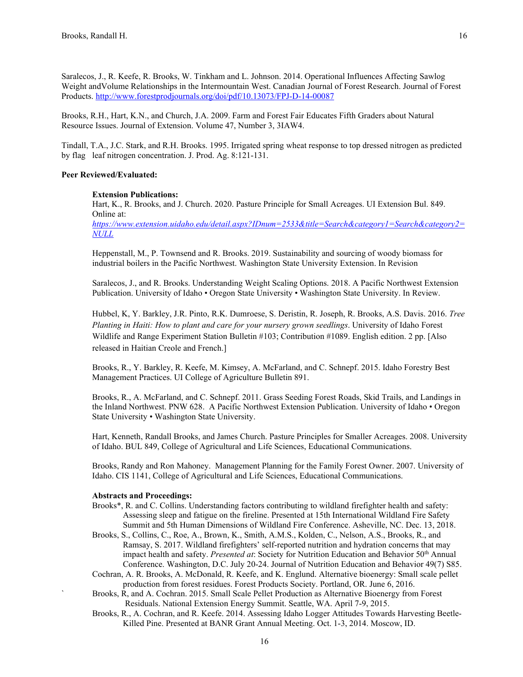Saralecos, J., R. Keefe, R. Brooks, W. Tinkham and L. Johnson. 2014. Operational Influences Affecting Sawlog Weight andVolume Relationships in the Intermountain West. Canadian Journal of Forest Research. Journal of Forest Products.<http://www.forestprodjournals.org/doi/pdf/10.13073/FPJ-D-14-00087>

Brooks, R.H., Hart, K.N., and Church, J.A. 2009. Farm and Forest Fair Educates Fifth Graders about Natural Resource Issues. Journal of Extension. Volume 47, Number 3, 3IAW4.

Tindall, T.A., J.C. Stark, and R.H. Brooks. 1995. Irrigated spring wheat response to top dressed nitrogen as predicted by flag leaf nitrogen concentration. J. Prod. Ag. 8:121-131.

# **Peer Reviewed/Evaluated:**

### **Extension Publications:**

Hart, K., R. Brooks, and J. Church. 2020. Pasture Principle for Small Acreages. UI Extension Bul. 849. Online at:

*[https://www.extension.uidaho.edu/detail.aspx?IDnum=2533&title=Search&category1=Search&category2=](https://www.extension.uidaho.edu/detail.aspx?IDnum=2533&title=Search&category1=Search&category2=NULL) [NULL](https://www.extension.uidaho.edu/detail.aspx?IDnum=2533&title=Search&category1=Search&category2=NULL)*

Heppenstall, M., P. Townsend and R. Brooks. 2019. Sustainability and sourcing of woody biomass for industrial boilers in the Pacific Northwest. Washington State University Extension. In Revision

Saralecos, J., and R. Brooks. Understanding Weight Scaling Options. 2018. A Pacific Northwest Extension Publication. University of Idaho • Oregon State University • Washington State University. In Review.

Hubbel, K, Y. Barkley, J.R. Pinto, R.K. Dumroese, S. Deristin, R. Joseph, R. Brooks, A.S. Davis. 2016. *Tree Planting in Haiti: How to plant and care for your nursery grown seedlings*. University of Idaho Forest Wildlife and Range Experiment Station Bulletin #103; Contribution #1089. English edition. 2 pp. [Also released in Haitian Creole and French.]

Brooks, R., Y. Barkley, R. Keefe, M. Kimsey, A. McFarland, and C. Schnepf. 2015. Idaho Forestry Best Management Practices. UI College of Agriculture Bulletin 891.

Brooks, R., A. McFarland, and C. Schnepf. 2011. Grass Seeding Forest Roads, Skid Trails, and Landings in the Inland Northwest. PNW 628. A Pacific Northwest Extension Publication. University of Idaho • Oregon State University • Washington State University.

Hart, Kenneth, Randall Brooks, and James Church. Pasture Principles for Smaller Acreages. 2008. University of Idaho. BUL 849, College of Agricultural and Life Sciences, Educational Communications.

Brooks, Randy and Ron Mahoney. Management Planning for the Family Forest Owner. 2007. University of Idaho. CIS 1141, College of Agricultural and Life Sciences, Educational Communications.

### **Abstracts and Proceedings:**

- Brooks\*, R. and C. Collins. Understanding factors contributing to wildland firefighter health and safety: Assessing sleep and fatigue on the fireline. Presented at 15th International Wildland Fire Safety Summit and 5th Human Dimensions of Wildland Fire Conference. Asheville, NC. Dec. 13, 2018.
- Brooks, S., Collins, C., Roe, A., Brown, K., Smith, A.M.S., Kolden, C., Nelson, A.S., Brooks, R., and Ramsay, S. 2017. Wildland firefighters' self-reported nutrition and hydration concerns that may impact health and safety. *Presented at*: Society for Nutrition Education and Behavior 50<sup>th</sup> Annual Conference. Washington, D.C. July 20-24. Journal of Nutrition Education and Behavior 49(7) S85.
- Cochran, A. R. Brooks, A. McDonald, R. Keefe, and K. Englund. Alternative bioenergy: Small scale pellet production from forest residues. Forest Products Society. Portland, OR. June 6, 2016.
- ` Brooks, R, and A. Cochran. 2015. Small Scale Pellet Production as Alternative Bioenergy from Forest Residuals. National Extension Energy Summit. Seattle, WA. April 7-9, 2015.
- Brooks, R., A. Cochran, and R. Keefe. 2014. Assessing Idaho Logger Attitudes Towards Harvesting Beetle- Killed Pine. Presented at BANR Grant Annual Meeting. Oct. 1-3, 2014. Moscow, ID.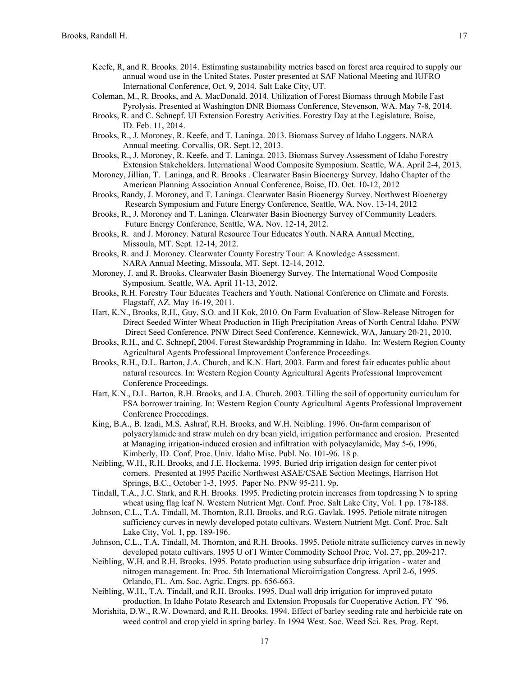- Keefe, R, and R. Brooks. 2014. Estimating sustainability metrics based on forest area required to supply our annual wood use in the United States. Poster presented at SAF National Meeting and IUFRO International Conference, Oct. 9, 2014. Salt Lake City, UT.
- Coleman, M., R. Brooks, and A. MacDonald. 2014. Utilization of Forest Biomass through Mobile Fast Pyrolysis. Presented at Washington DNR Biomass Conference, Stevenson, WA. May 7-8, 2014.
- Brooks, R. and C. Schnepf. UI Extension Forestry Activities. Forestry Day at the Legislature. Boise, ID. Feb. 11, 2014.
- Brooks, R., J. Moroney, R. Keefe, and T. Laninga. 2013. Biomass Survey of Idaho Loggers. NARA Annual meeting. Corvallis, OR. Sept.12, 2013.
- Brooks, R., J. Moroney, R. Keefe, and T. Laninga. 2013. Biomass Survey Assessment of Idaho Forestry Extension Stakeholders. International Wood Composite Symposium. Seattle, WA. April 2-4, 2013.
- Moroney, Jillian, T. Laninga, and R. Brooks . Clearwater Basin Bioenergy Survey. Idaho Chapter of the American Planning Association Annual Conference, Boise, ID. Oct. 10-12, 2012
- Brooks, Randy, J. Moroney, and T. Laninga. Clearwater Basin Bioenergy Survey. Northwest Bioenergy Research Symposium and Future Energy Conference, Seattle, WA. Nov. 13-14, 2012
- Brooks, R., J. Moroney and T. Laninga. Clearwater Basin Bioenergy Survey of Community Leaders. Future Energy Conference, Seattle, WA. Nov. 12-14, 2012.
- Brooks, R. and J. Moroney. Natural Resource Tour Educates Youth. NARA Annual Meeting, Missoula, MT. Sept. 12-14, 2012.
- Brooks, R. and J. Moroney. Clearwater County Forestry Tour: A Knowledge Assessment. NARA Annual Meeting, Missoula, MT. Sept. 12-14, 2012.
- Moroney, J. and R. Brooks. Clearwater Basin Bioenergy Survey. The International Wood Composite Symposium. Seattle, WA. April 11-13, 2012.
- Brooks, R.H. Forestry Tour Educates Teachers and Youth. National Conference on Climate and Forests. Flagstaff, AZ. May 16-19, 2011.
- Hart, K.N., Brooks, R.H., Guy, S.O. and H Kok, 2010. On Farm Evaluation of Slow-Release Nitrogen for Direct Seeded Winter Wheat Production in High Precipitation Areas of North Central Idaho. PNW Direct Seed Conference, PNW Direct Seed Conference, Kennewick, WA, January 20-21, 2010.
- Brooks, R.H., and C. Schnepf, 2004. Forest Stewardship Programming in Idaho. In: Western Region County Agricultural Agents Professional Improvement Conference Proceedings.
- Brooks, R.H., D.L. Barton, J.A. Church, and K.N. Hart, 2003. Farm and forest fair educates public about natural resources. In: Western Region County Agricultural Agents Professional Improvement Conference Proceedings.
- Hart, K.N., D.L. Barton, R.H. Brooks, and J.A. Church. 2003. Tilling the soil of opportunity curriculum for FSA borrower training. In: Western Region County Agricultural Agents Professional Improvement Conference Proceedings.
- King, B.A., B. Izadi, M.S. Ashraf, R.H. Brooks, and W.H. Neibling. 1996. On-farm comparison of polyacrylamide and straw mulch on dry bean yield, irrigation performance and erosion. Presented at Managing irrigation-induced erosion and infiltration with polyacylamide, May 5-6, 1996, Kimberly, ID. Conf. Proc. Univ. Idaho Misc. Publ. No. 101-96. 18 p.
- Neibling, W.H., R.H. Brooks, and J.E. Hockema. 1995. Buried drip irrigation design for center pivot corners. Presented at 1995 Pacific Northwest ASAE/CSAE Section Meetings, Harrison Hot Springs, B.C., October 1-3, 1995. Paper No. PNW 95-211. 9p.
- Tindall, T.A., J.C. Stark, and R.H. Brooks. 1995. Predicting protein increases from topdressing N to spring wheat using flag leaf N. Western Nutrient Mgt. Conf. Proc. Salt Lake City, Vol. 1 pp. 178-188.
- Johnson, C.L., T.A. Tindall, M. Thornton, R.H. Brooks, and R.G. Gavlak. 1995. Petiole nitrate nitrogen sufficiency curves in newly developed potato cultivars. Western Nutrient Mgt. Conf. Proc. Salt Lake City, Vol. 1, pp. 189-196.
- Johnson, C.L., T.A. Tindall, M. Thornton, and R.H. Brooks. 1995. Petiole nitrate sufficiency curves in newly developed potato cultivars. 1995 U of I Winter Commodity School Proc. Vol. 27, pp. 209-217.
- Neibling, W.H. and R.H. Brooks. 1995. Potato production using subsurface drip irrigation water and nitrogen management. In: Proc. 5th International Microirrigation Congress. April 2-6, 1995. Orlando, FL. Am. Soc. Agric. Engrs. pp. 656-663.
- Neibling, W.H., T.A. Tindall, and R.H. Brooks. 1995. Dual wall drip irrigation for improved potato production. In Idaho Potato Research and Extension Proposals for Cooperative Action. FY '96.
- Morishita, D.W., R.W. Downard, and R.H. Brooks. 1994. Effect of barley seeding rate and herbicide rate on weed control and crop yield in spring barley. In 1994 West. Soc. Weed Sci. Res. Prog. Rept.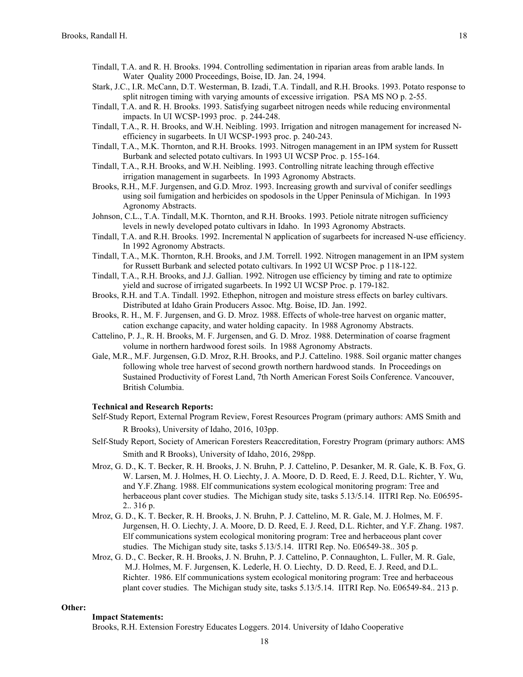- Tindall, T.A. and R. H. Brooks. 1994. Controlling sedimentation in riparian areas from arable lands. In Water Quality 2000 Proceedings, Boise, ID. Jan. 24, 1994.
- Stark, J.C., I.R. McCann, D.T. Westerman, B. Izadi, T.A. Tindall, and R.H. Brooks. 1993. Potato response to split nitrogen timing with varying amounts of excessive irrigation. PSA MS NO p. 2-55.
- Tindall, T.A. and R. H. Brooks. 1993. Satisfying sugarbeet nitrogen needs while reducing environmental impacts. In UI WCSP-1993 proc. p. 244-248.
- Tindall, T.A., R. H. Brooks, and W.H. Neibling. 1993. Irrigation and nitrogen management for increased Nefficiency in sugarbeets. In UI WCSP-1993 proc. p. 240-243.
- Tindall, T.A., M.K. Thornton, and R.H. Brooks. 1993. Nitrogen management in an IPM system for Russett Burbank and selected potato cultivars. In 1993 UI WCSP Proc. p. 155-164.
- Tindall, T.A., R.H. Brooks, and W.H. Neibling. 1993. Controlling nitrate leaching through effective irrigation management in sugarbeets. In 1993 Agronomy Abstracts.
- Brooks, R.H., M.F. Jurgensen, and G.D. Mroz. 1993. Increasing growth and survival of conifer seedlings using soil fumigation and herbicides on spodosols in the Upper Peninsula of Michigan. In 1993 Agronomy Abstracts.
- Johnson, C.L., T.A. Tindall, M.K. Thornton, and R.H. Brooks. 1993. Petiole nitrate nitrogen sufficiency levels in newly developed potato cultivars in Idaho. In 1993 Agronomy Abstracts.
- Tindall, T.A. and R.H. Brooks. 1992. Incremental N application of sugarbeets for increased N-use efficiency. In 1992 Agronomy Abstracts.
- Tindall, T.A., M.K. Thornton, R.H. Brooks, and J.M. Torrell. 1992. Nitrogen management in an IPM system for Russett Burbank and selected potato cultivars. In 1992 UI WCSP Proc. p 118-122.
- Tindall, T.A., R.H. Brooks, and J.J. Gallian. 1992. Nitrogen use efficiency by timing and rate to optimize yield and sucrose of irrigated sugarbeets. In 1992 UI WCSP Proc. p. 179-182.
- Brooks, R.H. and T.A. Tindall. 1992. Ethephon, nitrogen and moisture stress effects on barley cultivars. Distributed at Idaho Grain Producers Assoc. Mtg. Boise, ID. Jan. 1992.
- Brooks, R. H., M. F. Jurgensen, and G. D. Mroz. 1988. Effects of whole-tree harvest on organic matter, cation exchange capacity, and water holding capacity. In 1988 Agronomy Abstracts.
- Cattelino, P. J., R. H. Brooks, M. F. Jurgensen, and G. D. Mroz. 1988. Determination of coarse fragment volume in northern hardwood forest soils. In 1988 Agronomy Abstracts.
- Gale, M.R., M.F. Jurgensen, G.D. Mroz, R.H. Brooks, and P.J. Cattelino. 1988. Soil organic matter changes following whole tree harvest of second growth northern hardwood stands. In Proceedings on Sustained Productivity of Forest Land, 7th North American Forest Soils Conference. Vancouver, British Columbia.

### **Technical and Research Reports:**

- Self-Study Report, External Program Review, Forest Resources Program (primary authors: AMS Smith and R Brooks), University of Idaho, 2016, 103pp.
- Self-Study Report, Society of American Foresters Reaccreditation, Forestry Program (primary authors: AMS Smith and R Brooks), University of Idaho, 2016, 298pp.
- Mroz, G. D., K. T. Becker, R. H. Brooks, J. N. Bruhn, P. J. Cattelino, P. Desanker, M. R. Gale, K. B. Fox, G. W. Larsen, M. J. Holmes, H. O. Liechty, J. A. Moore, D. D. Reed, E. J. Reed, D.L. Richter, Y. Wu, and Y.F.Zhang. 1988. Elf communications system ecological monitoring program: Tree and herbaceous plant cover studies. The Michigan study site, tasks 5.13/5.14. IITRI Rep. No. E06595- 2.. 316 p.
- Mroz, G. D., K. T. Becker, R. H. Brooks, J. N. Bruhn, P. J. Cattelino, M. R. Gale, M. J. Holmes, M. F. Jurgensen, H. O. Liechty, J. A. Moore, D. D. Reed, E. J. Reed, D.L. Richter, and Y.F. Zhang. 1987. Elf communications system ecological monitoring program: Tree and herbaceous plant cover studies. The Michigan study site, tasks 5.13/5.14. IITRI Rep. No. E06549-38.. 305 p.
- Mroz, G. D., C. Becker, R. H. Brooks, J. N. Bruhn, P. J. Cattelino, P. Connaughton, L. Fuller, M. R. Gale, M.J. Holmes, M. F. Jurgensen, K. Lederle, H. O. Liechty, D. D. Reed, E. J. Reed, and D.L. Richter. 1986. Elf communications system ecological monitoring program: Tree and herbaceous plant cover studies. The Michigan study site, tasks 5.13/5.14. IITRI Rep. No. E06549-84.. 213 p.

# **Other:**

# **Impact Statements:**

Brooks, R.H. Extension Forestry Educates Loggers. 2014. University of Idaho Cooperative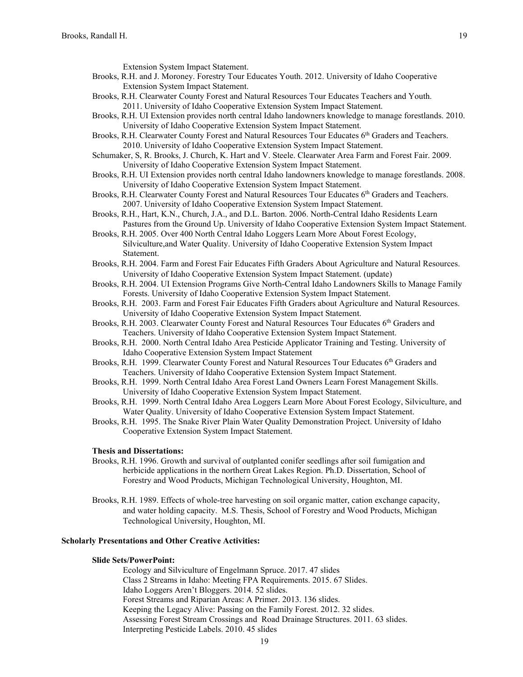Extension System Impact Statement.

- Brooks, R.H. and J. Moroney. Forestry Tour Educates Youth. 2012. University of Idaho Cooperative Extension System Impact Statement.
- Brooks, R.H. Clearwater County Forest and Natural Resources Tour Educates Teachers and Youth. 2011. University of Idaho Cooperative Extension System Impact Statement.
- Brooks, R.H. UI Extension provides north central Idaho landowners knowledge to manage forestlands. 2010. University of Idaho Cooperative Extension System Impact Statement.
- Brooks, R.H. Clearwater County Forest and Natural Resources Tour Educates 6<sup>th</sup> Graders and Teachers. 2010. University of Idaho Cooperative Extension System Impact Statement.
- Schumaker, S, R. Brooks, J. Church, K. Hart and V. Steele. Clearwater Area Farm and Forest Fair. 2009. University of Idaho Cooperative Extension System Impact Statement.
- Brooks, R.H. UI Extension provides north central Idaho landowners knowledge to manage forestlands. 2008. University of Idaho Cooperative Extension System Impact Statement.
- Brooks, R.H. Clearwater County Forest and Natural Resources Tour Educates 6<sup>th</sup> Graders and Teachers. 2007. University of Idaho Cooperative Extension System Impact Statement.
- Brooks, R.H., Hart, K.N., Church, J.A., and D.L. Barton. 2006. North-Central Idaho Residents Learn Pastures from the Ground Up. University of Idaho Cooperative Extension System Impact Statement.
- Brooks, R.H. 2005. Over 400 North Central Idaho Loggers Learn More About Forest Ecology, Silviculture,and Water Quality. University of Idaho Cooperative Extension System Impact Statement.
- Brooks, R.H. 2004. Farm and Forest Fair Educates Fifth Graders About Agriculture and Natural Resources. University of Idaho Cooperative Extension System Impact Statement. (update)
- Brooks, R.H. 2004. UI Extension Programs Give North-Central Idaho Landowners Skills to Manage Family Forests. University of Idaho Cooperative Extension System Impact Statement.
- Brooks, R.H. 2003. Farm and Forest Fair Educates Fifth Graders about Agriculture and Natural Resources. University of Idaho Cooperative Extension System Impact Statement.
- Brooks, R.H. 2003. Clearwater County Forest and Natural Resources Tour Educates 6<sup>th</sup> Graders and Teachers. University of Idaho Cooperative Extension System Impact Statement.
- Brooks, R.H. 2000. North Central Idaho Area Pesticide Applicator Training and Testing. University of Idaho Cooperative Extension System Impact Statement
- Brooks, R.H. 1999. Clearwater County Forest and Natural Resources Tour Educates 6<sup>th</sup> Graders and Teachers. University of Idaho Cooperative Extension System Impact Statement.
- Brooks, R.H. 1999. North Central Idaho Area Forest Land Owners Learn Forest Management Skills. University of Idaho Cooperative Extension System Impact Statement.
- Brooks, R.H. 1999. North Central Idaho Area Loggers Learn More About Forest Ecology, Silviculture, and Water Quality. University of Idaho Cooperative Extension System Impact Statement.
- Brooks, R.H. 1995. The Snake River Plain Water Quality Demonstration Project. University of Idaho Cooperative Extension System Impact Statement.

## **Thesis and Dissertations:**

- Brooks, R.H. 1996. Growth and survival of outplanted conifer seedlings after soil fumigation and herbicide applications in the northern Great Lakes Region. Ph.D. Dissertation, School of Forestry and Wood Products, Michigan Technological University, Houghton, MI.
- Brooks, R.H. 1989. Effects of whole-tree harvesting on soil organic matter, cation exchange capacity, and water holding capacity. M.S. Thesis, School of Forestry and Wood Products, Michigan Technological University, Houghton, MI.

## **Scholarly Presentations and Other Creative Activities:**

# **Slide Sets/PowerPoint:**

Ecology and Silviculture of Engelmann Spruce. 2017. 47 slides Class 2 Streams in Idaho: Meeting FPA Requirements. 2015. 67 Slides. Idaho Loggers Aren't Bloggers. 2014. 52 slides. Forest Streams and Riparian Areas: A Primer. 2013. 136 slides. Keeping the Legacy Alive: Passing on the Family Forest. 2012. 32 slides. Assessing Forest Stream Crossings and Road Drainage Structures. 2011. 63 slides. Interpreting Pesticide Labels. 2010. 45 slides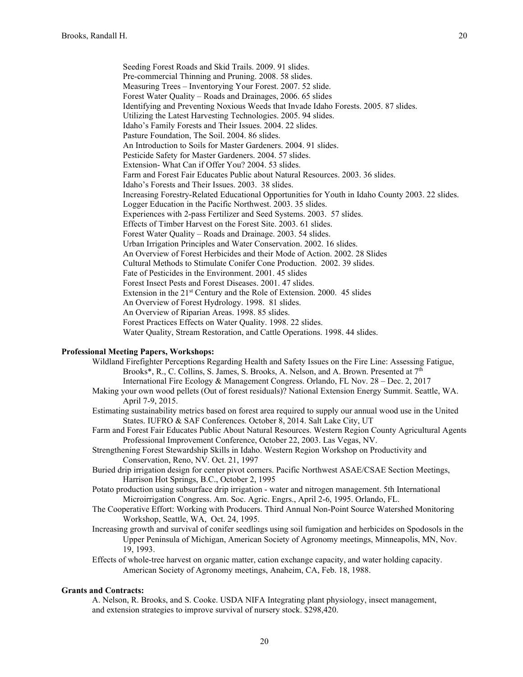Seeding Forest Roads and Skid Trails. 2009. 91 slides. Pre-commercial Thinning and Pruning. 2008. 58 slides. Measuring Trees – Inventorying Your Forest. 2007. 52 slide. Forest Water Quality – Roads and Drainages, 2006. 65 slides Identifying and Preventing Noxious Weeds that Invade Idaho Forests. 2005. 87 slides. Utilizing the Latest Harvesting Technologies. 2005. 94 slides. Idaho's Family Forests and Their Issues. 2004. 22 slides. Pasture Foundation, The Soil. 2004. 86 slides. An Introduction to Soils for Master Gardeners. 2004. 91 slides. Pesticide Safety for Master Gardeners. 2004. 57 slides. Extension- What Can if Offer You? 2004. 53 slides. Farm and Forest Fair Educates Public about Natural Resources. 2003. 36 slides. Idaho's Forests and Their Issues. 2003. 38 slides. Increasing Forestry-Related Educational Opportunities for Youth in Idaho County 2003. 22 slides. Logger Education in the Pacific Northwest. 2003. 35 slides. Experiences with 2-pass Fertilizer and Seed Systems. 2003. 57 slides. Effects of Timber Harvest on the Forest Site. 2003. 61 slides. Forest Water Quality – Roads and Drainage. 2003. 54 slides. Urban Irrigation Principles and Water Conservation. 2002. 16 slides. An Overview of Forest Herbicides and their Mode of Action. 2002. 28 Slides Cultural Methods to Stimulate Conifer Cone Production. 2002. 39 slides. Fate of Pesticides in the Environment. 2001. 45 slides Forest Insect Pests and Forest Diseases. 2001. 47 slides. Extension in the 21st Century and the Role of Extension. 2000. 45 slides An Overview of Forest Hydrology. 1998. 81 slides. An Overview of Riparian Areas. 1998. 85 slides. Forest Practices Effects on Water Quality. 1998. 22 slides. Water Quality, Stream Restoration, and Cattle Operations. 1998. 44 slides.

## **Professional Meeting Papers, Workshops:**

- Wildland Firefighter Perceptions Regarding Health and Safety Issues on the Fire Line: Assessing Fatigue, Brooks\*, R., C. Collins, S. James, S. Brooks, A. Nelson, and A. Brown. Presented at 7th International Fire Ecology & Management Congress. Orlando, FL Nov. 28 – Dec. 2, 2017
- Making your own wood pellets (Out of forest residuals)? National Extension Energy Summit. Seattle, WA. April 7-9, 2015.
- Estimating sustainability metrics based on forest area required to supply our annual wood use in the United States. IUFRO & SAF Conferences. October 8, 2014. Salt Lake City, UT
- Farm and Forest Fair Educates Public About Natural Resources. Western Region County Agricultural Agents Professional Improvement Conference, October 22, 2003. Las Vegas, NV.
- Strengthening Forest Stewardship Skills in Idaho. Western Region Workshop on Productivity and Conservation, Reno, NV. Oct. 21, 1997
- Buried drip irrigation design for center pivot corners. Pacific Northwest ASAE/CSAE Section Meetings, Harrison Hot Springs, B.C., October 2, 1995
- Potato production using subsurface drip irrigation water and nitrogen management. 5th International Microirrigation Congress. Am. Soc. Agric. Engrs., April 2-6, 1995. Orlando, FL.
- The Cooperative Effort: Working with Producers. Third Annual Non-Point Source Watershed Monitoring Workshop, Seattle, WA, Oct. 24, 1995.
- Increasing growth and survival of conifer seedlings using soil fumigation and herbicides on Spodosols in the Upper Peninsula of Michigan, American Society of Agronomy meetings, Minneapolis, MN, Nov. 19, 1993.
- Effects of whole-tree harvest on organic matter, cation exchange capacity, and water holding capacity. American Society of Agronomy meetings, Anaheim, CA, Feb. 18, 1988.

### **Grants and Contracts:**

A. Nelson, R. Brooks, and S. Cooke. USDA NIFA Integrating plant physiology, insect management, and extension strategies to improve survival of nursery stock. \$298,420.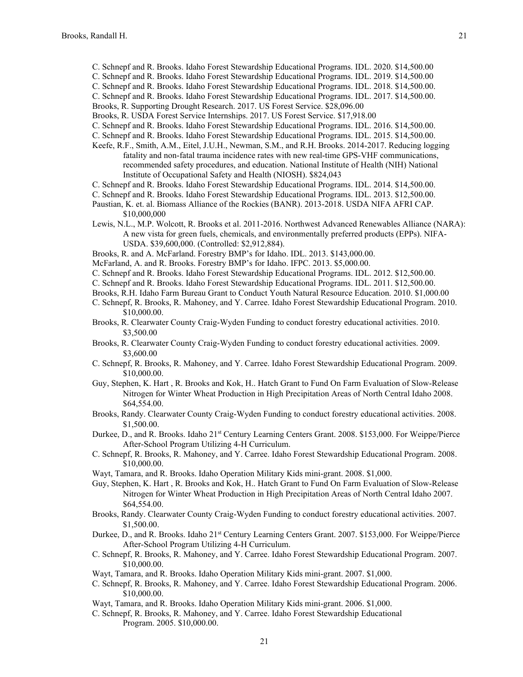- C. Schnepf and R. Brooks. Idaho Forest Stewardship Educational Programs. IDL. 2020. \$14,500.00
- C. Schnepf and R. Brooks. Idaho Forest Stewardship Educational Programs. IDL. 2019. \$14,500.00
- C. Schnepf and R. Brooks. Idaho Forest Stewardship Educational Programs. IDL. 2018. \$14,500.00.
- C. Schnepf and R. Brooks. Idaho Forest Stewardship Educational Programs. IDL. 2017. \$14,500.00.
- Brooks, R. Supporting Drought Research. 2017. US Forest Service. \$28,096.00
- Brooks, R. USDA Forest Service Internships. 2017. US Forest Service. \$17,918.00
- C. Schnepf and R. Brooks. Idaho Forest Stewardship Educational Programs. IDL. 2016. \$14,500.00.
- C. Schnepf and R. Brooks. Idaho Forest Stewardship Educational Programs. IDL. 2015. \$14,500.00.
- Keefe, R.F., Smith, A.M., Eitel, J.U.H., Newman, S.M., and R.H. Brooks. 2014-2017. Reducing logging fatality and non-fatal trauma incidence rates with new real-time GPS-VHF communications, recommended safety procedures, and education. National Institute of Health (NIH) National Institute of Occupational Safety and Health (NIOSH). \$824,043
- C. Schnepf and R. Brooks. Idaho Forest Stewardship Educational Programs. IDL. 2014. \$14,500.00.
- C. Schnepf and R. Brooks. Idaho Forest Stewardship Educational Programs. IDL. 2013. \$12,500.00.
- Paustian, K. et. al. Biomass Alliance of the Rockies (BANR). 2013-2018. USDA NIFA AFRI CAP. \$10,000,000
- Lewis, N.L., M.P. Wolcott, R. Brooks et al. 2011-2016. Northwest Advanced Renewables Alliance (NARA): A new vista for green fuels, chemicals, and environmentally preferred products (EPPs). NIFA-USDA. \$39,600,000. (Controlled: \$2,912,884).
- Brooks, R. and A. McFarland. Forestry BMP's for Idaho. IDL. 2013. \$143,000.00.
- McFarland, A. and R. Brooks. Forestry BMP's for Idaho. IFPC. 2013. \$5,000.00.
- C. Schnepf and R. Brooks. Idaho Forest Stewardship Educational Programs. IDL. 2012. \$12,500.00.
- C. Schnepf and R. Brooks. Idaho Forest Stewardship Educational Programs. IDL. 2011. \$12,500.00.
- Brooks, R.H. Idaho Farm Bureau Grant to Conduct Youth Natural Resource Education. 2010. \$1,000.00
- C. Schnepf, R. Brooks, R. Mahoney, and Y. Carree. Idaho Forest Stewardship Educational Program. 2010. \$10,000.00.
- Brooks, R. Clearwater County Craig-Wyden Funding to conduct forestry educational activities. 2010. \$3,500.00
- Brooks, R. Clearwater County Craig-Wyden Funding to conduct forestry educational activities. 2009. \$3,600.00
- C. Schnepf, R. Brooks, R. Mahoney, and Y. Carree. Idaho Forest Stewardship Educational Program. 2009. \$10,000.00.
- Guy, Stephen, K. Hart , R. Brooks and Kok, H.. Hatch Grant to Fund On Farm Evaluation of Slow-Release Nitrogen for Winter Wheat Production in High Precipitation Areas of North Central Idaho 2008. \$64,554.00.
- Brooks, Randy. Clearwater County Craig-Wyden Funding to conduct forestry educational activities. 2008. \$1,500.00.
- Durkee, D., and R. Brooks. Idaho 21<sup>st</sup> Century Learning Centers Grant. 2008. \$153,000. For Weippe/Pierce After-School Program Utilizing 4-H Curriculum.
- C. Schnepf, R. Brooks, R. Mahoney, and Y. Carree. Idaho Forest Stewardship Educational Program. 2008. \$10,000.00.
- Wayt, Tamara, and R. Brooks. Idaho Operation Military Kids mini-grant. 2008. \$1,000.
- Guy, Stephen, K. Hart , R. Brooks and Kok, H.. Hatch Grant to Fund On Farm Evaluation of Slow-Release Nitrogen for Winter Wheat Production in High Precipitation Areas of North Central Idaho 2007. \$64,554.00.
- Brooks, Randy. Clearwater County Craig-Wyden Funding to conduct forestry educational activities. 2007. \$1,500.00.
- Durkee, D., and R. Brooks. Idaho 21<sup>st</sup> Century Learning Centers Grant. 2007. \$153,000. For Weippe/Pierce After-School Program Utilizing 4-H Curriculum.
- C. Schnepf, R. Brooks, R. Mahoney, and Y. Carree. Idaho Forest Stewardship Educational Program. 2007. \$10,000.00.
- Wayt, Tamara, and R. Brooks. Idaho Operation Military Kids mini-grant. 2007. \$1,000.
- C. Schnepf, R. Brooks, R. Mahoney, and Y. Carree. Idaho Forest Stewardship Educational Program. 2006. \$10,000.00.
- Wayt, Tamara, and R. Brooks. Idaho Operation Military Kids mini-grant. 2006. \$1,000.
- C. Schnepf, R. Brooks, R. Mahoney, and Y. Carree. Idaho Forest Stewardship Educational Program. 2005. \$10,000.00.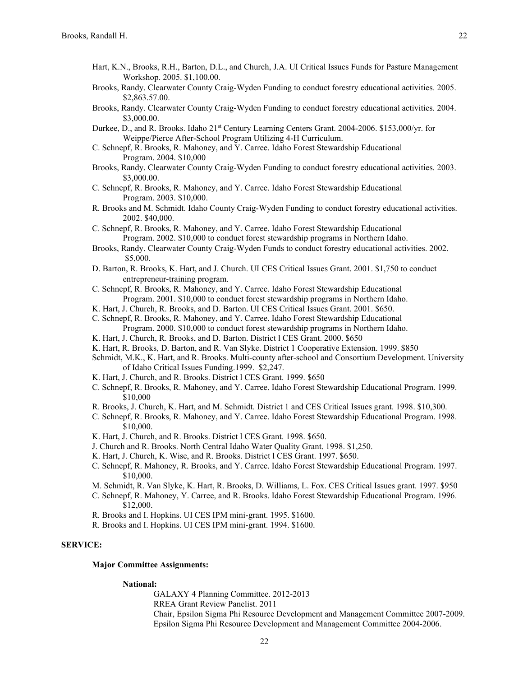- Hart, K.N., Brooks, R.H., Barton, D.L., and Church, J.A. UI Critical Issues Funds for Pasture Management Workshop. 2005. \$1,100.00.
- Brooks, Randy. Clearwater County Craig-Wyden Funding to conduct forestry educational activities. 2005. \$2,863.57.00.
- Brooks, Randy. Clearwater County Craig-Wyden Funding to conduct forestry educational activities. 2004. \$3,000.00.
- Durkee, D., and R. Brooks. Idaho  $21<sup>st</sup>$  Century Learning Centers Grant. 2004-2006. \$153,000/yr. for Weippe/Pierce After-School Program Utilizing 4-H Curriculum.
- C. Schnepf, R. Brooks, R. Mahoney, and Y. Carree. Idaho Forest Stewardship Educational Program. 2004. \$10,000
- Brooks, Randy. Clearwater County Craig-Wyden Funding to conduct forestry educational activities. 2003. \$3,000.00.
- C. Schnepf, R. Brooks, R. Mahoney, and Y. Carree. Idaho Forest Stewardship Educational Program. 2003. \$10,000.
- R. Brooks and M. Schmidt. Idaho County Craig-Wyden Funding to conduct forestry educational activities. 2002. \$40,000.
- C. Schnepf, R. Brooks, R. Mahoney, and Y. Carree. Idaho Forest Stewardship Educational Program. 2002. \$10,000 to conduct forest stewardship programs in Northern Idaho.
- Brooks, Randy. Clearwater County Craig-Wyden Funds to conduct forestry educational activities. 2002. \$5,000.
- D. Barton, R. Brooks, K. Hart, and J. Church. UI CES Critical Issues Grant. 2001. \$1,750 to conduct entrepreneur-training program.
- C. Schnepf, R. Brooks, R. Mahoney, and Y. Carree. Idaho Forest Stewardship Educational Program. 2001. \$10,000 to conduct forest stewardship programs in Northern Idaho.
- K. Hart, J. Church, R. Brooks, and D. Barton. UI CES Critical Issues Grant. 2001. \$650.
- C. Schnepf, R. Brooks, R. Mahoney, and Y. Carree. Idaho Forest Stewardship Educational Program. 2000. \$10,000 to conduct forest stewardship programs in Northern Idaho.
- K. Hart, J. Church, R. Brooks, and D. Barton. District l CES Grant. 2000. \$650
- K. Hart, R. Brooks, D. Barton, and R. Van Slyke. District 1 Cooperative Extension. 1999. \$850
- Schmidt, M.K., K. Hart, and R. Brooks. Multi-county after-school and Consortium Development. University of Idaho Critical Issues Funding.1999. \$2,247.
- K. Hart, J. Church, and R. Brooks. District l CES Grant. 1999. \$650
- C. Schnepf, R. Brooks, R. Mahoney, and Y. Carree. Idaho Forest Stewardship Educational Program. 1999. \$10,000
- R. Brooks, J. Church, K. Hart, and M. Schmidt. District 1 and CES Critical Issues grant. 1998. \$10,300.
- C. Schnepf, R. Brooks, R. Mahoney, and Y. Carree. Idaho Forest Stewardship Educational Program. 1998. \$10,000.
- K. Hart, J. Church, and R. Brooks. District l CES Grant. 1998. \$650.
- J. Church and R. Brooks. North Central Idaho Water Quality Grant. 1998. \$1,250.
- K. Hart, J. Church, K. Wise, and R. Brooks. District l CES Grant. 1997. \$650.
- C. Schnepf, R. Mahoney, R. Brooks, and Y. Carree. Idaho Forest Stewardship Educational Program. 1997. \$10,000.
- M. Schmidt, R. Van Slyke, K. Hart, R. Brooks, D. Williams, L. Fox. CES Critical Issues grant. 1997. \$950
- C. Schnepf, R. Mahoney, Y. Carree, and R. Brooks. Idaho Forest Stewardship Educational Program. 1996. \$12,000.
- R. Brooks and I. Hopkins. UI CES IPM mini-grant. 1995. \$1600.
- R. Brooks and I. Hopkins. UI CES IPM mini-grant. 1994. \$1600.

# **SERVICE:**

# **Major Committee Assignments:**

## **National:**

GALAXY 4 Planning Committee. 2012-2013 RREA Grant Review Panelist. 2011 Chair, Epsilon Sigma Phi Resource Development and Management Committee 2007-2009. Epsilon Sigma Phi Resource Development and Management Committee 2004-2006.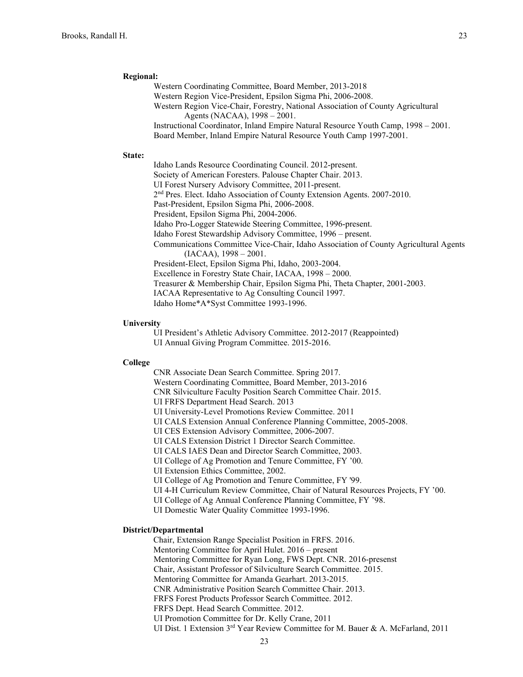## **Regional:**

Western Coordinating Committee, Board Member, 2013-2018 Western Region Vice-President, Epsilon Sigma Phi, 2006-2008. Western Region Vice-Chair, Forestry, National Association of County Agricultural Agents (NACAA), 1998 – 2001. Instructional Coordinator, Inland Empire Natural Resource Youth Camp, 1998 – 2001. Board Member, Inland Empire Natural Resource Youth Camp 1997-2001.

#### **State:**

Idaho Lands Resource Coordinating Council. 2012-present. Society of American Foresters. Palouse Chapter Chair. 2013. UI Forest Nursery Advisory Committee, 2011-present. 2<sup>nd</sup> Pres. Elect. Idaho Association of County Extension Agents. 2007-2010. Past-President, Epsilon Sigma Phi, 2006-2008. President, Epsilon Sigma Phi, 2004-2006. Idaho Pro-Logger Statewide Steering Committee, 1996-present. Idaho Forest Stewardship Advisory Committee, 1996 – present. Communications Committee Vice-Chair, Idaho Association of County Agricultural Agents (IACAA), 1998 – 2001. President-Elect, Epsilon Sigma Phi, Idaho, 2003-2004. Excellence in Forestry State Chair, IACAA, 1998 – 2000. Treasurer & Membership Chair, Epsilon Sigma Phi, Theta Chapter, 2001-2003. IACAA Representative to Ag Consulting Council 1997. Idaho Home\*A\*Syst Committee 1993-1996.

### **University**

UI President's Athletic Advisory Committee. 2012-2017 (Reappointed) UI Annual Giving Program Committee. 2015-2016.

#### **College**

CNR Associate Dean Search Committee. Spring 2017. Western Coordinating Committee, Board Member, 2013-2016 CNR Silviculture Faculty Position Search Committee Chair. 2015. UI FRFS Department Head Search. 2013 UI University-Level Promotions Review Committee. 2011 UI CALS Extension Annual Conference Planning Committee, 2005-2008. UI CES Extension Advisory Committee, 2006-2007. UI CALS Extension District 1 Director Search Committee. UI CALS IAES Dean and Director Search Committee, 2003. UI College of Ag Promotion and Tenure Committee, FY '00. UI Extension Ethics Committee, 2002. UI College of Ag Promotion and Tenure Committee, FY '99. UI 4-H Curriculum Review Committee, Chair of Natural Resources Projects, FY '00. UI College of Ag Annual Conference Planning Committee, FY '98.

UI Domestic Water Quality Committee 1993-1996.

# **District/Departmental**

Chair, Extension Range Specialist Position in FRFS. 2016. Mentoring Committee for April Hulet. 2016 – present Mentoring Committee for Ryan Long, FWS Dept. CNR. 2016-presenst Chair, Assistant Professor of Silviculture Search Committee. 2015. Mentoring Committee for Amanda Gearhart. 2013-2015. CNR Administrative Position Search Committee Chair. 2013. FRFS Forest Products Professor Search Committee. 2012. FRFS Dept. Head Search Committee. 2012. UI Promotion Committee for Dr. Kelly Crane, 2011 UI Dist. 1 Extension 3rd Year Review Committee for M. Bauer & A. McFarland, 2011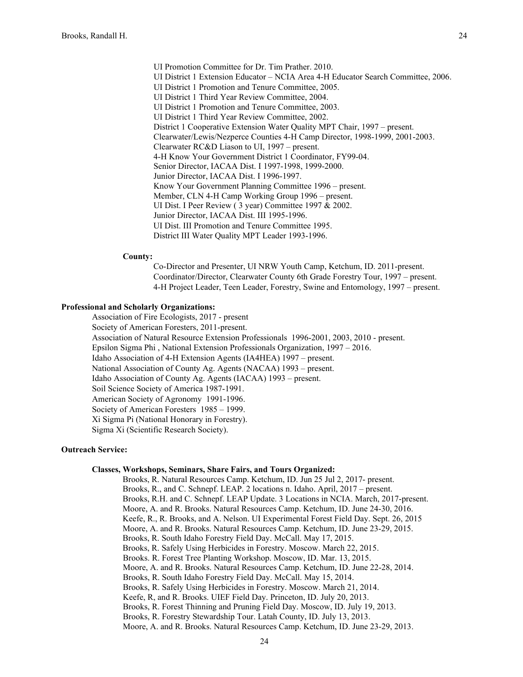UI Promotion Committee for Dr. Tim Prather. 2010. UI District 1 Extension Educator – NCIA Area 4-H Educator Search Committee, 2006. UI District 1 Promotion and Tenure Committee, 2005. UI District 1 Third Year Review Committee, 2004. UI District 1 Promotion and Tenure Committee, 2003. UI District 1 Third Year Review Committee, 2002. District 1 Cooperative Extension Water Quality MPT Chair, 1997 – present. Clearwater/Lewis/Nezperce Counties 4-H Camp Director, 1998-1999, 2001-2003. Clearwater RC&D Liason to UI, 1997 – present. 4-H Know Your Government District 1 Coordinator, FY99-04. Senior Director, IACAA Dist. I 1997-1998, 1999-2000. Junior Director, IACAA Dist. I 1996-1997. Know Your Government Planning Committee 1996 – present. Member, CLN 4-H Camp Working Group 1996 – present. UI Dist. I Peer Review ( 3 year) Committee 1997 & 2002. Junior Director, IACAA Dist. III 1995-1996. UI Dist. III Promotion and Tenure Committee 1995. District III Water Quality MPT Leader 1993-1996.

#### **County:**

Co-Director and Presenter, UI NRW Youth Camp, Ketchum, ID. 2011-present. Coordinator/Director, Clearwater County 6th Grade Forestry Tour, 1997 – present. 4-H Project Leader, Teen Leader, Forestry, Swine and Entomology, 1997 – present.

## **Professional and Scholarly Organizations:**

Association of Fire Ecologists, 2017 - present

Society of American Foresters, 2011-present.

Association of Natural Resource Extension Professionals 1996-2001, 2003, 2010 - present.

Epsilon Sigma Phi , National Extension Professionals Organization, 1997 – 2016.

Idaho Association of 4-H Extension Agents (IA4HEA) 1997 – present.

National Association of County Ag. Agents (NACAA) 1993 – present.

Idaho Association of County Ag. Agents (IACAA) 1993 – present.

Soil Science Society of America 1987-1991.

American Society of Agronomy 1991-1996.

Society of American Foresters 1985 – 1999.

Xi Sigma Pi (National Honorary in Forestry).

Sigma Xi (Scientific Research Society).

# **Outreach Service:**

# **Classes, Workshops, Seminars, Share Fairs, and Tours Organized:**

Brooks, R. Natural Resources Camp. Ketchum, ID. Jun 25 Jul 2, 2017- present. Brooks, R., and C. Schnepf. LEAP. 2 locations n. Idaho. April, 2017 – present. Brooks, R.H. and C. Schnepf. LEAP Update. 3 Locations in NCIA. March, 2017-present. Moore, A. and R. Brooks. Natural Resources Camp. Ketchum, ID. June 24-30, 2016. Keefe, R., R. Brooks, and A. Nelson. UI Experimental Forest Field Day. Sept. 26, 2015 Moore, A. and R. Brooks. Natural Resources Camp. Ketchum, ID. June 23-29, 2015. Brooks, R. South Idaho Forestry Field Day. McCall. May 17, 2015. Brooks, R. Safely Using Herbicides in Forestry. Moscow. March 22, 2015. Brooks. R. Forest Tree Planting Workshop. Moscow, ID. Mar. 13, 2015. Moore, A. and R. Brooks. Natural Resources Camp. Ketchum, ID. June 22-28, 2014. Brooks, R. South Idaho Forestry Field Day. McCall. May 15, 2014. Brooks, R. Safely Using Herbicides in Forestry. Moscow. March 21, 2014. Keefe, R, and R. Brooks. UIEF Field Day. Princeton, ID. July 20, 2013. Brooks, R. Forest Thinning and Pruning Field Day. Moscow, ID. July 19, 2013. Brooks, R. Forestry Stewardship Tour. Latah County, ID. July 13, 2013. Moore, A. and R. Brooks. Natural Resources Camp. Ketchum, ID. June 23-29, 2013.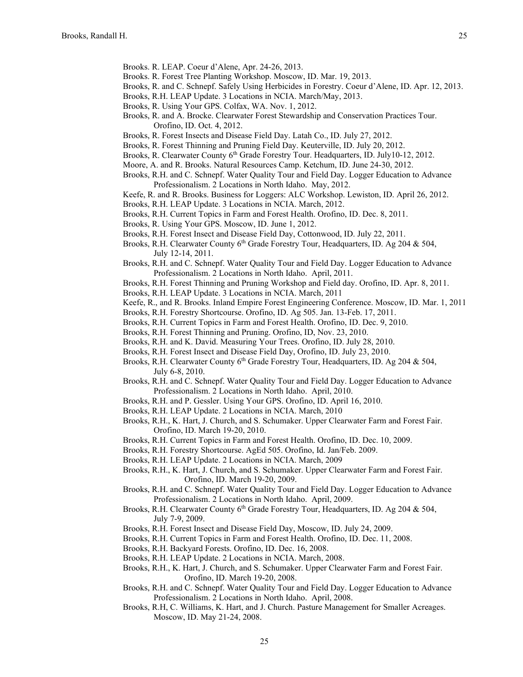- Brooks. R. LEAP. Coeur d'Alene, Apr. 24-26, 2013.
- Brooks. R. Forest Tree Planting Workshop. Moscow, ID. Mar. 19, 2013.
- Brooks, R. and C. Schnepf. Safely Using Herbicides in Forestry. Coeur d'Alene, ID. Apr. 12, 2013.
- Brooks, R.H. LEAP Update. 3 Locations in NCIA. March/May, 2013.
- Brooks, R. Using Your GPS. Colfax, WA. Nov. 1, 2012.
- Brooks, R. and A. Brocke. Clearwater Forest Stewardship and Conservation Practices Tour. Orofino, ID. Oct. 4, 2012.
- Brooks, R. Forest Insects and Disease Field Day. Latah Co., ID. July 27, 2012.
- Brooks, R. Forest Thinning and Pruning Field Day. Keuterville, ID. July 20, 2012.
- Brooks, R. Clearwater County 6<sup>th</sup> Grade Forestry Tour. Headquarters, ID. July10-12, 2012.
- Moore, A. and R. Brooks. Natural Resources Camp. Ketchum, ID. June 24-30, 2012.
- Brooks, R.H. and C. Schnepf. Water Quality Tour and Field Day. Logger Education to Advance Professionalism. 2 Locations in North Idaho. May, 2012.
- Keefe, R. and R. Brooks. Business for Loggers: ALC Workshop. Lewiston, ID. April 26, 2012.
- Brooks, R.H. LEAP Update. 3 Locations in NCIA. March, 2012.
- Brooks, R.H. Current Topics in Farm and Forest Health. Orofino, ID. Dec. 8, 2011.
- Brooks, R. Using Your GPS. Moscow, ID. June 1, 2012.
- Brooks, R.H. Forest Insect and Disease Field Day, Cottonwood, ID. July 22, 2011.
- Brooks, R.H. Clearwater County 6<sup>th</sup> Grade Forestry Tour, Headquarters, ID. Ag 204 & 504, July 12-14, 2011.
- Brooks, R.H. and C. Schnepf. Water Quality Tour and Field Day. Logger Education to Advance Professionalism. 2 Locations in North Idaho. April, 2011.
- Brooks, R.H. Forest Thinning and Pruning Workshop and Field day. Orofino, ID. Apr. 8, 2011.
- Brooks, R.H. LEAP Update. 3 Locations in NCIA. March, 2011
- Keefe, R., and R. Brooks. Inland Empire Forest Engineering Conference. Moscow, ID. Mar. 1, 2011
- Brooks, R.H. Forestry Shortcourse. Orofino, ID. Ag 505. Jan. 13-Feb. 17, 2011.
- Brooks, R.H. Current Topics in Farm and Forest Health. Orofino, ID. Dec. 9, 2010.
- Brooks, R.H. Forest Thinning and Pruning. Orofino, ID, Nov. 23, 2010.
- Brooks, R.H. and K. David. Measuring Your Trees. Orofino, ID. July 28, 2010.
- Brooks, R.H. Forest Insect and Disease Field Day, Orofino, ID. July 23, 2010.
- Brooks, R.H. Clearwater County 6<sup>th</sup> Grade Forestry Tour, Headquarters, ID. Ag 204 & 504, July 6-8, 2010.
- Brooks, R.H. and C. Schnepf. Water Quality Tour and Field Day. Logger Education to Advance Professionalism. 2 Locations in North Idaho. April, 2010.
- Brooks, R.H. and P. Gessler. Using Your GPS. Orofino, ID. April 16, 2010.
- Brooks, R.H. LEAP Update. 2 Locations in NCIA. March, 2010
- Brooks, R.H., K. Hart, J. Church, and S. Schumaker. Upper Clearwater Farm and Forest Fair. Orofino, ID. March 19-20, 2010.
- Brooks, R.H. Current Topics in Farm and Forest Health. Orofino, ID. Dec. 10, 2009.
- Brooks, R.H. Forestry Shortcourse. AgEd 505. Orofino, Id. Jan/Feb. 2009.
- Brooks, R.H. LEAP Update. 2 Locations in NCIA. March, 2009
- Brooks, R.H., K. Hart, J. Church, and S. Schumaker. Upper Clearwater Farm and Forest Fair. Orofino, ID. March 19-20, 2009.
- Brooks, R.H. and C. Schnepf. Water Quality Tour and Field Day. Logger Education to Advance Professionalism. 2 Locations in North Idaho. April, 2009.
- Brooks, R.H. Clearwater County 6<sup>th</sup> Grade Forestry Tour, Headquarters, ID. Ag 204 & 504, July 7-9, 2009.
- Brooks, R.H. Forest Insect and Disease Field Day, Moscow, ID. July 24, 2009.
- Brooks, R.H. Current Topics in Farm and Forest Health. Orofino, ID. Dec. 11, 2008.
- Brooks, R.H. Backyard Forests. Orofino, ID. Dec. 16, 2008.
- Brooks, R.H. LEAP Update. 2 Locations in NCIA. March, 2008.
- Brooks, R.H., K. Hart, J. Church, and S. Schumaker. Upper Clearwater Farm and Forest Fair. Orofino, ID. March 19-20, 2008.
- Brooks, R.H. and C. Schnepf. Water Quality Tour and Field Day. Logger Education to Advance Professionalism. 2 Locations in North Idaho. April, 2008.
- Brooks, R.H, C. Williams, K. Hart, and J. Church. Pasture Management for Smaller Acreages. Moscow, ID. May 21-24, 2008.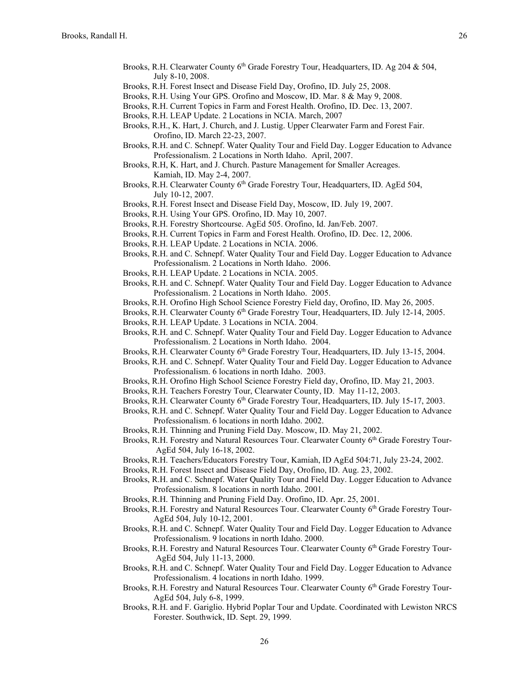- Brooks, R.H. Clearwater County 6<sup>th</sup> Grade Forestry Tour, Headquarters, ID. Ag 204 & 504, July 8-10, 2008.
- Brooks, R.H. Forest Insect and Disease Field Day, Orofino, ID. July 25, 2008.
- Brooks, R.H. Using Your GPS. Orofino and Moscow, ID. Mar. 8 & May 9, 2008.
- Brooks, R.H. Current Topics in Farm and Forest Health. Orofino, ID. Dec. 13, 2007.
- Brooks, R.H. LEAP Update. 2 Locations in NCIA. March, 2007
- Brooks, R.H., K. Hart, J. Church, and J. Lustig. Upper Clearwater Farm and Forest Fair. Orofino, ID. March 22-23, 2007.
- Brooks, R.H. and C. Schnepf. Water Quality Tour and Field Day. Logger Education to Advance Professionalism. 2 Locations in North Idaho. April, 2007.
- Brooks, R.H, K. Hart, and J. Church. Pasture Management for Smaller Acreages. Kamiah, ID. May 2-4, 2007.
- Brooks, R.H. Clearwater County  $6<sup>th</sup>$  Grade Forestry Tour, Headquarters, ID. AgEd 504, July 10-12, 2007.
- Brooks, R.H. Forest Insect and Disease Field Day, Moscow, ID. July 19, 2007.
- Brooks, R.H. Using Your GPS. Orofino, ID. May 10, 2007.
- Brooks, R.H. Forestry Shortcourse. AgEd 505. Orofino, Id. Jan/Feb. 2007.
- Brooks, R.H. Current Topics in Farm and Forest Health. Orofino, ID. Dec. 12, 2006.
- Brooks, R.H. LEAP Update. 2 Locations in NCIA. 2006.
- Brooks, R.H. and C. Schnepf. Water Quality Tour and Field Day. Logger Education to Advance Professionalism. 2 Locations in North Idaho. 2006.
- Brooks, R.H. LEAP Update. 2 Locations in NCIA. 2005.
- Brooks, R.H. and C. Schnepf. Water Quality Tour and Field Day. Logger Education to Advance Professionalism. 2 Locations in North Idaho. 2005.
- Brooks, R.H. Orofino High School Science Forestry Field day, Orofino, ID. May 26, 2005.
- Brooks, R.H. Clearwater County 6th Grade Forestry Tour, Headquarters, ID. July 12-14, 2005.
- Brooks, R.H. LEAP Update. 3 Locations in NCIA. 2004.
- Brooks, R.H. and C. Schnepf. Water Quality Tour and Field Day. Logger Education to Advance Professionalism. 2 Locations in North Idaho. 2004.
- Brooks, R.H. Clearwater County 6th Grade Forestry Tour, Headquarters, ID. July 13-15, 2004.
- Brooks, R.H. and C. Schnepf. Water Quality Tour and Field Day. Logger Education to Advance Professionalism. 6 locations in north Idaho. 2003.
- Brooks, R.H. Orofino High School Science Forestry Field day, Orofino, ID. May 21, 2003.
- Brooks, R.H. Teachers Forestry Tour, Clearwater County, ID. May 11-12, 2003.
- Brooks, R.H. Clearwater County 6<sup>th</sup> Grade Forestry Tour, Headquarters, ID. July 15-17, 2003.
- Brooks, R.H. and C. Schnepf. Water Quality Tour and Field Day. Logger Education to Advance Professionalism. 6 locations in north Idaho. 2002.
- Brooks, R.H. Thinning and Pruning Field Day. Moscow, ID. May 21, 2002.
- Brooks, R.H. Forestry and Natural Resources Tour. Clearwater County 6<sup>th</sup> Grade Forestry Tour-AgEd 504, July 16-18, 2002.
- Brooks, R.H. Teachers/Educators Forestry Tour, Kamiah, ID AgEd 504:71, July 23-24, 2002.
- Brooks, R.H. Forest Insect and Disease Field Day, Orofino, ID. Aug. 23, 2002.
- Brooks, R.H. and C. Schnepf. Water Quality Tour and Field Day. Logger Education to Advance Professionalism. 8 locations in north Idaho. 2001.
- Brooks, R.H. Thinning and Pruning Field Day. Orofino, ID. Apr. 25, 2001.
- Brooks, R.H. Forestry and Natural Resources Tour. Clearwater County 6<sup>th</sup> Grade Forestry Tour-AgEd 504, July 10-12, 2001.
- Brooks, R.H. and C. Schnepf. Water Quality Tour and Field Day. Logger Education to Advance Professionalism. 9 locations in north Idaho. 2000.
- Brooks, R.H. Forestry and Natural Resources Tour. Clearwater County 6th Grade Forestry Tour-AgEd 504, July 11-13, 2000.
- Brooks, R.H. and C. Schnepf. Water Quality Tour and Field Day. Logger Education to Advance Professionalism. 4 locations in north Idaho. 1999.
- Brooks, R.H. Forestry and Natural Resources Tour. Clearwater County 6<sup>th</sup> Grade Forestry Tour-AgEd 504, July 6-8, 1999.
- Brooks, R.H. and F. Gariglio. Hybrid Poplar Tour and Update. Coordinated with Lewiston NRCS Forester. Southwick, ID. Sept. 29, 1999.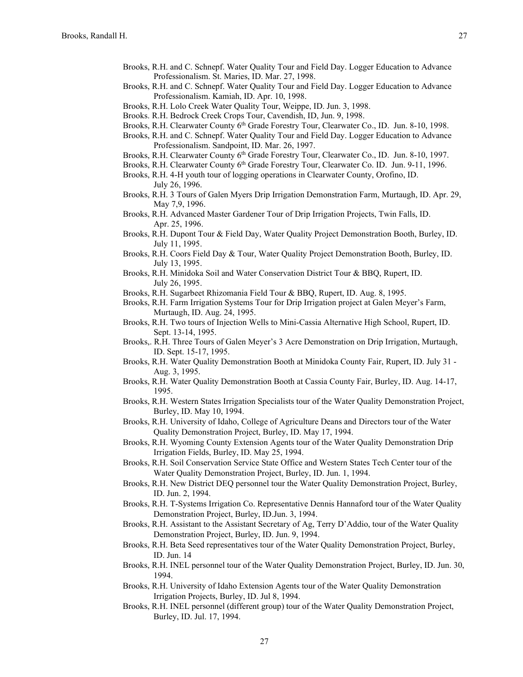- Brooks, R.H. and C. Schnepf. Water Quality Tour and Field Day. Logger Education to Advance Professionalism. St. Maries, ID. Mar. 27, 1998.
- Brooks, R.H. and C. Schnepf. Water Quality Tour and Field Day. Logger Education to Advance Professionalism. Kamiah, ID. Apr. 10, 1998.
- Brooks, R.H. Lolo Creek Water Quality Tour, Weippe, ID. Jun. 3, 1998.
- Brooks. R.H. Bedrock Creek Crops Tour, Cavendish, ID, Jun. 9, 1998.
- Brooks, R.H. Clearwater County 6<sup>th</sup> Grade Forestry Tour, Clearwater Co., ID. Jun. 8-10, 1998.
- Brooks, R.H. and C. Schnepf. Water Quality Tour and Field Day. Logger Education to Advance Professionalism. Sandpoint, ID. Mar. 26, 1997.
- Brooks, R.H. Clearwater County 6<sup>th</sup> Grade Forestry Tour, Clearwater Co., ID. Jun. 8-10, 1997.
- Brooks, R.H. Clearwater County 6<sup>th</sup> Grade Forestry Tour, Clearwater Co. ID. Jun. 9-11, 1996.
- Brooks, R.H. 4-H youth tour of logging operations in Clearwater County, Orofino, ID. July 26, 1996.
- Brooks, R.H. 3 Tours of Galen Myers Drip Irrigation Demonstration Farm, Murtaugh, ID. Apr. 29, May 7,9, 1996.
- Brooks, R.H. Advanced Master Gardener Tour of Drip Irrigation Projects, Twin Falls, ID. Apr. 25, 1996.
- Brooks, R.H. Dupont Tour & Field Day, Water Quality Project Demonstration Booth, Burley, ID. July 11, 1995.
- Brooks, R.H. Coors Field Day & Tour, Water Quality Project Demonstration Booth, Burley, ID. July 13, 1995.
- Brooks, R.H. Minidoka Soil and Water Conservation District Tour & BBQ, Rupert, ID. July 26, 1995.
- Brooks, R.H. Sugarbeet Rhizomania Field Tour & BBQ, Rupert, ID. Aug. 8, 1995.
- Brooks, R.H. Farm Irrigation Systems Tour for Drip Irrigation project at Galen Meyer's Farm, Murtaugh, ID. Aug. 24, 1995.
- Brooks, R.H. Two tours of Injection Wells to Mini-Cassia Alternative High School, Rupert, ID. Sept. 13-14, 1995.
- Brooks,. R.H. Three Tours of Galen Meyer's 3 Acre Demonstration on Drip Irrigation, Murtaugh, ID. Sept. 15-17, 1995.
- Brooks, R.H. Water Quality Demonstration Booth at Minidoka County Fair, Rupert, ID. July 31 Aug. 3, 1995.
- Brooks, R.H. Water Quality Demonstration Booth at Cassia County Fair, Burley, ID. Aug. 14-17, 1995.
- Brooks, R.H. Western States Irrigation Specialists tour of the Water Quality Demonstration Project, Burley, ID. May 10, 1994.
- Brooks, R.H. University of Idaho, College of Agriculture Deans and Directors tour of the Water Quality Demonstration Project, Burley, ID. May 17, 1994.
- Brooks, R.H. Wyoming County Extension Agents tour of the Water Quality Demonstration Drip Irrigation Fields, Burley, ID. May 25, 1994.
- Brooks, R.H. Soil Conservation Service State Office and Western States Tech Center tour of the Water Quality Demonstration Project, Burley, ID. Jun. 1, 1994.
- Brooks, R.H. New District DEQ personnel tour the Water Quality Demonstration Project, Burley, ID. Jun. 2, 1994.
- Brooks, R.H. T-Systems Irrigation Co. Representative Dennis Hannaford tour of the Water Quality Demonstration Project, Burley, ID.Jun. 3, 1994.
- Brooks, R.H. Assistant to the Assistant Secretary of Ag, Terry D'Addio, tour of the Water Quality Demonstration Project, Burley, ID. Jun. 9, 1994.
- Brooks, R.H. Beta Seed representatives tour of the Water Quality Demonstration Project, Burley, ID. Jun. 14
- Brooks, R.H. INEL personnel tour of the Water Quality Demonstration Project, Burley, ID. Jun. 30, 1994.
- Brooks, R.H. University of Idaho Extension Agents tour of the Water Quality Demonstration Irrigation Projects, Burley, ID. Jul 8, 1994.
- Brooks, R.H. INEL personnel (different group) tour of the Water Quality Demonstration Project, Burley, ID. Jul. 17, 1994.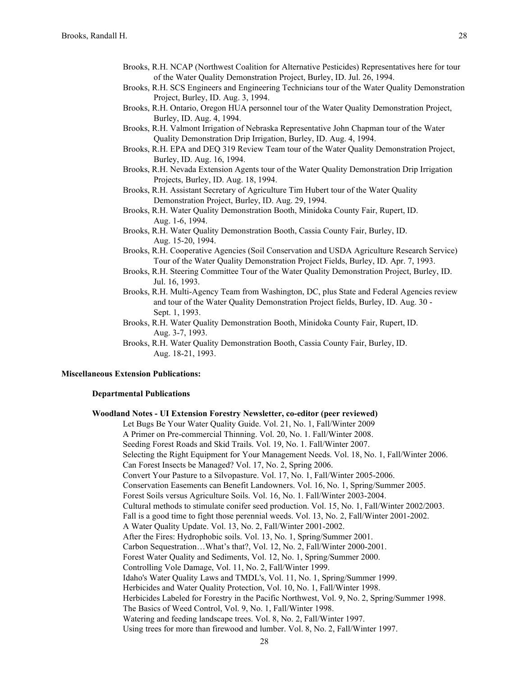- Brooks, R.H. NCAP (Northwest Coalition for Alternative Pesticides) Representatives here for tour of the Water Quality Demonstration Project, Burley, ID. Jul. 26, 1994.
- Brooks, R.H. SCS Engineers and Engineering Technicians tour of the Water Quality Demonstration Project, Burley, ID. Aug. 3, 1994.
- Brooks, R.H. Ontario, Oregon HUA personnel tour of the Water Quality Demonstration Project, Burley, ID. Aug. 4, 1994.
- Brooks, R.H. Valmont Irrigation of Nebraska Representative John Chapman tour of the Water Quality Demonstration Drip Irrigation, Burley, ID. Aug. 4, 1994.
- Brooks, R.H. EPA and DEQ 319 Review Team tour of the Water Quality Demonstration Project, Burley, ID. Aug. 16, 1994.
- Brooks, R.H. Nevada Extension Agents tour of the Water Quality Demonstration Drip Irrigation Projects, Burley, ID. Aug. 18, 1994.
- Brooks, R.H. Assistant Secretary of Agriculture Tim Hubert tour of the Water Quality Demonstration Project, Burley, ID. Aug. 29, 1994.
- Brooks, R.H. Water Quality Demonstration Booth, Minidoka County Fair, Rupert, ID. Aug. 1-6, 1994.
- Brooks, R.H. Water Quality Demonstration Booth, Cassia County Fair, Burley, ID. Aug. 15-20, 1994.
- Brooks, R.H. Cooperative Agencies (Soil Conservation and USDA Agriculture Research Service) Tour of the Water Quality Demonstration Project Fields, Burley, ID. Apr. 7, 1993.
- Brooks, R.H. Steering Committee Tour of the Water Quality Demonstration Project, Burley, ID. Jul. 16, 1993.
- Brooks, R.H. Multi-Agency Team from Washington, DC, plus State and Federal Agencies review and tour of the Water Quality Demonstration Project fields, Burley, ID. Aug. 30 - Sept. 1, 1993.
- Brooks, R.H. Water Quality Demonstration Booth, Minidoka County Fair, Rupert, ID. Aug. 3-7, 1993.
- Brooks, R.H. Water Quality Demonstration Booth, Cassia County Fair, Burley, ID. Aug. 18-21, 1993.

**Woodland Notes - UI Extension Forestry Newsletter, co-editor (peer reviewed)**

#### **Miscellaneous Extension Publications:**

## **Departmental Publications**

# Let Bugs Be Your Water Quality Guide. Vol. 21, No. 1, Fall/Winter 2009 A Primer on Pre-commercial Thinning. Vol. 20, No. 1. Fall/Winter 2008. Seeding Forest Roads and Skid Trails. Vol. 19, No. 1. Fall/Winter 2007. Selecting the Right Equipment for Your Management Needs. Vol. 18, No. 1, Fall/Winter 2006. Can Forest Insects be Managed? Vol. 17, No. 2, Spring 2006. Convert Your Pasture to a Silvopasture. Vol. 17, No. 1, Fall/Winter 2005-2006. Conservation Easements can Benefit Landowners. Vol. 16, No. 1, Spring/Summer 2005. Forest Soils versus Agriculture Soils. Vol. 16, No. 1. Fall/Winter 2003-2004. Cultural methods to stimulate conifer seed production. Vol. 15, No. 1, Fall/Winter 2002/2003. Fall is a good time to fight those perennial weeds. Vol. 13, No. 2, Fall/Winter 2001-2002. A Water Quality Update. Vol. 13, No. 2, Fall/Winter 2001-2002. After the Fires: Hydrophobic soils. Vol. 13, No. 1, Spring/Summer 2001. Carbon Sequestration…What's that?, Vol. 12, No. 2, Fall/Winter 2000-2001. Forest Water Quality and Sediments, Vol. 12, No. 1, Spring/Summer 2000. Controlling Vole Damage, Vol. 11, No. 2, Fall/Winter 1999. Idaho's Water Quality Laws and TMDL's, Vol. 11, No. 1, Spring/Summer 1999. Herbicides and Water Quality Protection, Vol. 10, No. 1, Fall/Winter 1998. Herbicides Labeled for Forestry in the Pacific Northwest, Vol. 9, No. 2, Spring/Summer 1998. The Basics of Weed Control, Vol. 9, No. 1, Fall/Winter 1998. Watering and feeding landscape trees. Vol. 8, No. 2, Fall/Winter 1997. Using trees for more than firewood and lumber. Vol. 8, No. 2, Fall/Winter 1997.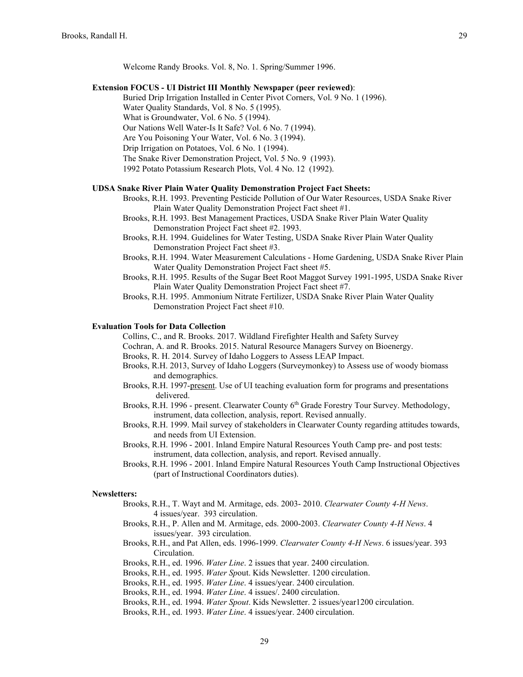Welcome Randy Brooks. Vol. 8, No. 1. Spring/Summer 1996.

### **Extension FOCUS - UI District III Monthly Newspaper (peer reviewed)**:

Buried Drip Irrigation Installed in Center Pivot Corners, Vol. 9 No. 1 (1996).

Water Quality Standards, Vol. 8 No. 5 (1995).

- What is Groundwater, Vol. 6 No. 5 (1994).
- Our Nations Well Water-Is It Safe? Vol. 6 No. 7 (1994).

Are You Poisoning Your Water, Vol. 6 No. 3 (1994).

- Drip Irrigation on Potatoes, Vol. 6 No. 1 (1994).
- The Snake River Demonstration Project, Vol. 5 No. 9 (1993).

1992 Potato Potassium Research Plots, Vol. 4 No. 12 (1992).

# **UDSA Snake River Plain Water Quality Demonstration Project Fact Sheets:**

- Brooks, R.H. 1993. Preventing Pesticide Pollution of Our Water Resources, USDA Snake River Plain Water Quality Demonstration Project Fact sheet #1.
- Brooks, R.H. 1993. Best Management Practices, USDA Snake River Plain Water Quality Demonstration Project Fact sheet #2. 1993.
- Brooks, R.H. 1994. Guidelines for Water Testing, USDA Snake River Plain Water Quality Demonstration Project Fact sheet #3.
- Brooks, R.H. 1994. Water Measurement Calculations Home Gardening, USDA Snake River Plain Water Quality Demonstration Project Fact sheet #5.
- Brooks, R.H. 1995. Results of the Sugar Beet Root Maggot Survey 1991-1995, USDA Snake River Plain Water Quality Demonstration Project Fact sheet #7.
- Brooks, R.H. 1995. Ammonium Nitrate Fertilizer, USDA Snake River Plain Water Quality Demonstration Project Fact sheet #10.

## **Evaluation Tools for Data Collection**

Collins, C., and R. Brooks. 2017. Wildland Firefighter Health and Safety Survey

- Cochran, A. and R. Brooks. 2015. Natural Resource Managers Survey on Bioenergy.
- Brooks, R. H. 2014. Survey of Idaho Loggers to Assess LEAP Impact.
- Brooks, R.H. 2013, Survey of Idaho Loggers (Surveymonkey) to Assess use of woody biomass and demographics.
- Brooks, R.H. 1997-present. Use of UI teaching evaluation form for programs and presentations delivered.
- Brooks, R.H. 1996 present. Clearwater County 6<sup>th</sup> Grade Forestry Tour Survey. Methodology, instrument, data collection, analysis, report. Revised annually.
- Brooks, R.H. 1999. Mail survey of stakeholders in Clearwater County regarding attitudes towards, and needs from UI Extension.
- Brooks, R.H. 1996 2001. Inland Empire Natural Resources Youth Camp pre- and post tests: instrument, data collection, analysis, and report. Revised annually.
- Brooks, R.H. 1996 2001. Inland Empire Natural Resources Youth Camp Instructional Objectives (part of Instructional Coordinators duties).

## **Newsletters:**

- Brooks, R.H., T. Wayt and M. Armitage, eds. 2003- 2010. *Clearwater County 4-H News*. 4 issues/year. 393 circulation.
- Brooks, R.H., P. Allen and M. Armitage, eds. 2000-2003. *Clearwater County 4-H News*. 4 issues/year. 393 circulation.
- Brooks, R.H., and Pat Allen, eds. 1996-1999. *Clearwater County 4-H News*. 6 issues/year. 393 Circulation.
- Brooks, R.H., ed. 1996. *Water Line*. 2 issues that year. 2400 circulation.
- Brooks, R.H., ed. 1995. *Water Sp*out. Kids Newsletter. 1200 circulation.
- Brooks, R.H., ed. 1995. *Water Line*. 4 issues/year. 2400 circulation.
- Brooks, R.H., ed. 1994. *Water Line*. 4 issues/. 2400 circulation.
- Brooks, R.H., ed. 1994. *Water Spout*. Kids Newsletter. 2 issues/year1200 circulation.
- Brooks, R.H., ed. 1993. *Water Line*. 4 issues/year. 2400 circulation.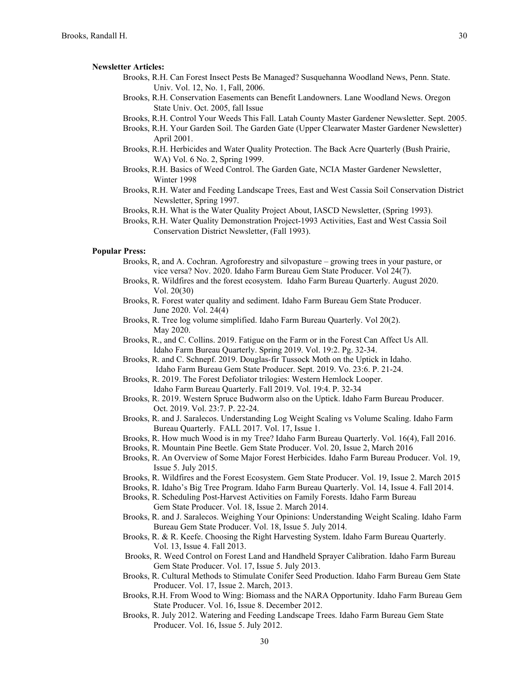#### **Newsletter Articles:**

- Brooks, R.H. Can Forest Insect Pests Be Managed? Susquehanna Woodland News, Penn. State. Univ. Vol. 12, No. 1, Fall, 2006.
- Brooks, R.H. Conservation Easements can Benefit Landowners. Lane Woodland News. Oregon State Univ. Oct. 2005, fall Issue
- Brooks, R.H. Control Your Weeds This Fall. Latah County Master Gardener Newsletter. Sept. 2005.
- Brooks, R.H. Your Garden Soil. The Garden Gate (Upper Clearwater Master Gardener Newsletter) April 2001.
- Brooks, R.H. Herbicides and Water Quality Protection. The Back Acre Quarterly (Bush Prairie, WA) Vol. 6 No. 2, Spring 1999.
- Brooks, R.H. Basics of Weed Control. The Garden Gate, NCIA Master Gardener Newsletter, Winter 1998
- Brooks, R.H. Water and Feeding Landscape Trees, East and West Cassia Soil Conservation District Newsletter, Spring 1997.
- Brooks, R.H. What is the Water Quality Project About, IASCD Newsletter, (Spring 1993).
- Brooks, R.H. Water Quality Demonstration Project-1993 Activities, East and West Cassia Soil Conservation District Newsletter, (Fall 1993).

# **Popular Press:**

- Brooks, R, and A. Cochran. Agroforestry and silvopasture growing trees in your pasture, or vice versa? Nov. 2020. Idaho Farm Bureau Gem State Producer. Vol 24(7).
- Brooks, R. Wildfires and the forest ecosystem. Idaho Farm Bureau Quarterly. August 2020. Vol. 20(30)
- Brooks, R. Forest water quality and sediment. Idaho Farm Bureau Gem State Producer. June 2020. Vol. 24(4)
- Brooks, R. Tree log volume simplified. Idaho Farm Bureau Quarterly. Vol 20(2). May 2020.
- Brooks, R., and C. Collins. 2019. Fatigue on the Farm or in the Forest Can Affect Us All. Idaho Farm Bureau Quarterly. Spring 2019. Vol. 19:2. Pg. 32-34.
- Brooks, R. and C. Schnepf. 2019. Douglas-fir Tussock Moth on the Uptick in Idaho. Idaho Farm Bureau Gem State Producer. Sept. 2019. Vo. 23:6. P. 21-24.
- Brooks, R. 2019. The Forest Defoliator trilogies: Western Hemlock Looper. Idaho Farm Bureau Quarterly. Fall 2019. Vol. 19:4. P. 32-34
- Brooks, R. 2019. Western Spruce Budworm also on the Uptick. Idaho Farm Bureau Producer. Oct. 2019. Vol. 23:7. P. 22-24.
- Brooks, R. and J. Saralecos. Understanding Log Weight Scaling vs Volume Scaling. Idaho Farm Bureau Quarterly. FALL 2017. Vol. 17, Issue 1.
- Brooks, R. How much Wood is in my Tree? Idaho Farm Bureau Quarterly. Vol. 16(4), Fall 2016.
- Brooks, R. Mountain Pine Beetle. Gem State Producer. Vol. 20, Issue 2, March 2016
- Brooks, R. An Overview of Some Major Forest Herbicides. Idaho Farm Bureau Producer. Vol. 19, Issue 5. July 2015.
- Brooks, R. Wildfires and the Forest Ecosystem. Gem State Producer. Vol. 19, Issue 2. March 2015
- Brooks, R. Idaho's Big Tree Program. Idaho Farm Bureau Quarterly. Vol. 14, Issue 4. Fall 2014.
- Brooks, R. Scheduling Post-Harvest Activities on Family Forests. Idaho Farm Bureau Gem State Producer. Vol. 18, Issue 2. March 2014.
- Brooks, R. and J. Saralecos. Weighing Your Opinions: Understanding Weight Scaling. Idaho Farm Bureau Gem State Producer. Vol. 18, Issue 5. July 2014.
- Brooks, R. & R. Keefe. Choosing the Right Harvesting System. Idaho Farm Bureau Quarterly. Vol. 13, Issue 4. Fall 2013.
- Brooks, R. Weed Control on Forest Land and Handheld Sprayer Calibration. Idaho Farm Bureau Gem State Producer. Vol. 17, Issue 5. July 2013.
- Brooks, R. Cultural Methods to Stimulate Conifer Seed Production. Idaho Farm Bureau Gem State Producer. Vol. 17, Issue 2. March, 2013.
- Brooks, R.H. From Wood to Wing: Biomass and the NARA Opportunity. Idaho Farm Bureau Gem State Producer. Vol. 16, Issue 8. December 2012.
- Brooks, R. July 2012. Watering and Feeding Landscape Trees. Idaho Farm Bureau Gem State Producer. Vol. 16, Issue 5. July 2012.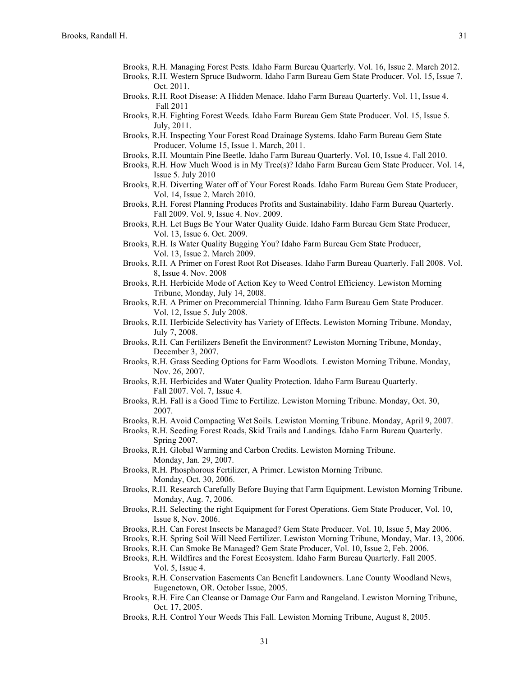- Brooks, R.H. Managing Forest Pests. Idaho Farm Bureau Quarterly. Vol. 16, Issue 2. March 2012.
- Brooks, R.H. Western Spruce Budworm. Idaho Farm Bureau Gem State Producer. Vol. 15, Issue 7. Oct. 2011.
- Brooks, R.H. Root Disease: A Hidden Menace. Idaho Farm Bureau Quarterly. Vol. 11, Issue 4. Fall 2011
- Brooks, R.H. Fighting Forest Weeds. Idaho Farm Bureau Gem State Producer. Vol. 15, Issue 5. July, 2011.
- Brooks, R.H. Inspecting Your Forest Road Drainage Systems. Idaho Farm Bureau Gem State Producer. Volume 15, Issue 1. March, 2011.
- Brooks, R.H. Mountain Pine Beetle. Idaho Farm Bureau Quarterly. Vol. 10, Issue 4. Fall 2010.
- Brooks, R.H. How Much Wood is in My Tree(s)? Idaho Farm Bureau Gem State Producer. Vol. 14, Issue 5. July 2010
- Brooks, R.H. Diverting Water off of Your Forest Roads. Idaho Farm Bureau Gem State Producer, Vol. 14, Issue 2. March 2010.
- Brooks, R.H. Forest Planning Produces Profits and Sustainability. Idaho Farm Bureau Quarterly. Fall 2009. Vol. 9, Issue 4. Nov. 2009.
- Brooks, R.H. Let Bugs Be Your Water Quality Guide. Idaho Farm Bureau Gem State Producer, Vol. 13, Issue 6. Oct. 2009.
- Brooks, R.H. Is Water Quality Bugging You? Idaho Farm Bureau Gem State Producer, Vol. 13, Issue 2. March 2009.
- Brooks, R.H. A Primer on Forest Root Rot Diseases. Idaho Farm Bureau Quarterly. Fall 2008. Vol. 8, Issue 4. Nov. 2008
- Brooks, R.H. Herbicide Mode of Action Key to Weed Control Efficiency. Lewiston Morning Tribune, Monday, July 14, 2008.
- Brooks, R.H. A Primer on Precommercial Thinning. Idaho Farm Bureau Gem State Producer. Vol. 12, Issue 5. July 2008.
- Brooks, R.H. Herbicide Selectivity has Variety of Effects. Lewiston Morning Tribune. Monday, July 7, 2008.
- Brooks, R.H. Can Fertilizers Benefit the Environment? Lewiston Morning Tribune, Monday, December 3, 2007.
- Brooks, R.H. Grass Seeding Options for Farm Woodlots. Lewiston Morning Tribune. Monday, Nov. 26, 2007.
- Brooks, R.H. Herbicides and Water Quality Protection. Idaho Farm Bureau Quarterly. Fall 2007. Vol. 7, Issue 4.
- Brooks, R.H. Fall is a Good Time to Fertilize. Lewiston Morning Tribune. Monday, Oct. 30, 2007.
- Brooks, R.H. Avoid Compacting Wet Soils. Lewiston Morning Tribune. Monday, April 9, 2007.
- Brooks, R.H. Seeding Forest Roads, Skid Trails and Landings. Idaho Farm Bureau Quarterly. Spring 2007.
- Brooks, R.H. Global Warming and Carbon Credits. Lewiston Morning Tribune. Monday, Jan. 29, 2007.
- Brooks, R.H. Phosphorous Fertilizer, A Primer. Lewiston Morning Tribune. Monday, Oct. 30, 2006.
- Brooks, R.H. Research Carefully Before Buying that Farm Equipment. Lewiston Morning Tribune. Monday, Aug. 7, 2006.
- Brooks, R.H. Selecting the right Equipment for Forest Operations. Gem State Producer, Vol. 10, Issue 8, Nov. 2006.
- Brooks, R.H. Can Forest Insects be Managed? Gem State Producer. Vol. 10, Issue 5, May 2006.
- Brooks, R.H. Spring Soil Will Need Fertilizer. Lewiston Morning Tribune, Monday, Mar. 13, 2006.
- Brooks, R.H. Can Smoke Be Managed? Gem State Producer, Vol. 10, Issue 2, Feb. 2006.
- Brooks, R.H. Wildfires and the Forest Ecosystem. Idaho Farm Bureau Quarterly. Fall 2005. Vol. 5, Issue 4.
- Brooks, R.H. Conservation Easements Can Benefit Landowners. Lane County Woodland News, Eugenetown, OR. October Issue, 2005.
- Brooks, R.H. Fire Can Cleanse or Damage Our Farm and Rangeland. Lewiston Morning Tribune, Oct. 17, 2005.
- Brooks, R.H. Control Your Weeds This Fall. Lewiston Morning Tribune, August 8, 2005.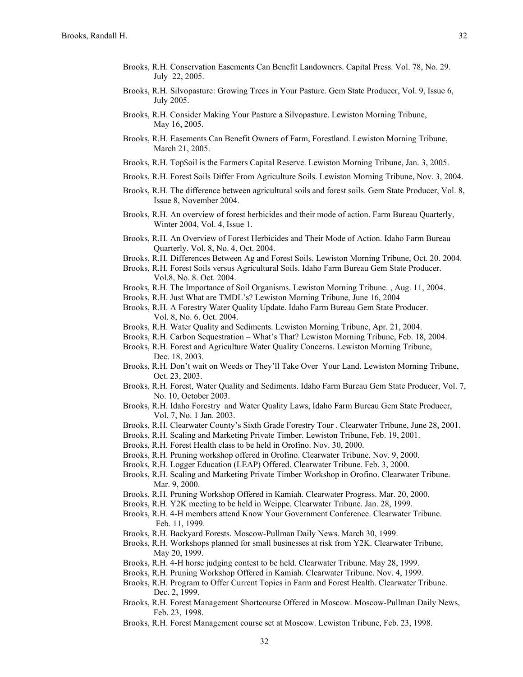- Brooks, R.H. Conservation Easements Can Benefit Landowners. Capital Press. Vol. 78, No. 29. July 22, 2005.
- Brooks, R.H. Silvopasture: Growing Trees in Your Pasture. Gem State Producer, Vol. 9, Issue 6, July 2005.
- Brooks, R.H. Consider Making Your Pasture a Silvopasture. Lewiston Morning Tribune, May 16, 2005.
- Brooks, R.H. Easements Can Benefit Owners of Farm, Forestland. Lewiston Morning Tribune, March 21, 2005.
- Brooks, R.H. Top\$oil is the Farmers Capital Reserve. Lewiston Morning Tribune, Jan. 3, 2005.
- Brooks, R.H. Forest Soils Differ From Agriculture Soils. Lewiston Morning Tribune, Nov. 3, 2004.
- Brooks, R.H. The difference between agricultural soils and forest soils. Gem State Producer, Vol. 8, Issue 8, November 2004.
- Brooks, R.H. An overview of forest herbicides and their mode of action. Farm Bureau Quarterly, Winter 2004, Vol. 4, Issue 1.
- Brooks, R.H. An Overview of Forest Herbicides and Their Mode of Action. Idaho Farm Bureau Quarterly. Vol. 8, No. 4, Oct. 2004.
- Brooks, R.H. Differences Between Ag and Forest Soils. Lewiston Morning Tribune, Oct. 20. 2004.
- Brooks, R.H. Forest Soils versus Agricultural Soils. Idaho Farm Bureau Gem State Producer. Vol.8, No. 8. Oct. 2004.
- Brooks, R.H. The Importance of Soil Organisms. Lewiston Morning Tribune. , Aug. 11, 2004.
- Brooks, R.H. Just What are TMDL's? Lewiston Morning Tribune, June 16, 2004
- Brooks, R.H. A Forestry Water Quality Update. Idaho Farm Bureau Gem State Producer. Vol. 8, No. 6. Oct. 2004.
- Brooks, R.H. Water Quality and Sediments. Lewiston Morning Tribune, Apr. 21, 2004.
- Brooks, R.H. Carbon Sequestration What's That? Lewiston Morning Tribune, Feb. 18, 2004.
- Brooks, R.H. Forest and Agriculture Water Quality Concerns. Lewiston Morning Tribune, Dec. 18, 2003.
- Brooks, R.H. Don't wait on Weeds or They'll Take Over Your Land. Lewiston Morning Tribune, Oct. 23, 2003.
- Brooks, R.H. Forest, Water Quality and Sediments. Idaho Farm Bureau Gem State Producer, Vol. 7, No. 10, October 2003.
- Brooks, R.H. Idaho Forestry and Water Quality Laws, Idaho Farm Bureau Gem State Producer, Vol. 7, No. 1 Jan. 2003.
- Brooks, R.H. Clearwater County's Sixth Grade Forestry Tour . Clearwater Tribune, June 28, 2001.
- Brooks, R.H. Scaling and Marketing Private Timber. Lewiston Tribune, Feb. 19, 2001.
- Brooks, R.H. Forest Health class to be held in Orofino. Nov. 30, 2000.
- Brooks, R.H. Pruning workshop offered in Orofino. Clearwater Tribune. Nov. 9, 2000.
- Brooks, R.H. Logger Education (LEAP) Offered. Clearwater Tribune. Feb. 3, 2000.
- Brooks, R.H. Scaling and Marketing Private Timber Workshop in Orofino. Clearwater Tribune. Mar. 9, 2000.
- Brooks, R.H. Pruning Workshop Offered in Kamiah. Clearwater Progress. Mar. 20, 2000.
- Brooks, R.H. Y2K meeting to be held in Weippe. Clearwater Tribune. Jan. 28, 1999.
- Brooks, R.H. 4-H members attend Know Your Government Conference. Clearwater Tribune. Feb. 11, 1999.
- Brooks, R.H. Backyard Forests. Moscow-Pullman Daily News. March 30, 1999.
- Brooks, R.H. Workshops planned for small businesses at risk from Y2K. Clearwater Tribune, May 20, 1999.
- Brooks, R.H. 4-H horse judging contest to be held. Clearwater Tribune. May 28, 1999.
- Brooks, R.H. Pruning Workshop Offered in Kamiah. Clearwater Tribune. Nov. 4, 1999.
- Brooks, R.H. Program to Offer Current Topics in Farm and Forest Health. Clearwater Tribune. Dec. 2, 1999.
- Brooks, R.H. Forest Management Shortcourse Offered in Moscow. Moscow-Pullman Daily News, Feb. 23, 1998.
- Brooks, R.H. Forest Management course set at Moscow. Lewiston Tribune, Feb. 23, 1998.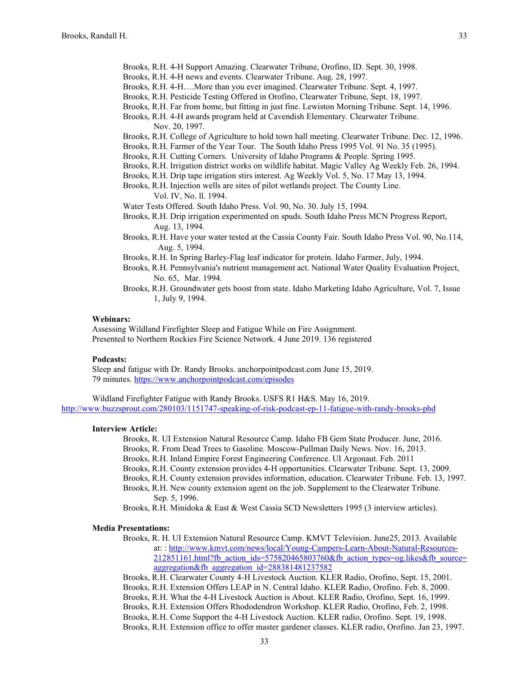- Brooks, R.H. 4-H Support Amazing. Clearwater Tribune, Orofino, ID. Sept. 30, 1998.
- Brooks, R.H. 4-H news and events. Clearwater Tribune. Aug. 28, 1997.
- Brooks, R.H. 4-H….More than you ever imagined. Clearwater Tribune. Sept. 4, 1997.
- Brooks, R.H. Pesticide Testing Offered in Orofino, Clearwater Tribune, Sept. 18, 1997.
- Brooks, R.H. Far from home, but fitting in just fine. Lewiston Morning Tribune. Sept. 14, 1996.
- Brooks, R.H. 4-H awards program held at Cavendish Elementary. Clearwater Tribune.
	- Nov. 20, 1997.
- Brooks, R.H. College of Agriculture to hold town hall meeting. Clearwater Tribune. Dec. 12, 1996.
- Brooks, R.H. Farmer of the Year Tour. The South Idaho Press 1995 Vol. 91 No. 35 (1995).
- Brooks, R.H. Cutting Corners. University of Idaho Programs & People. Spring 1995.
- Brooks, R.H. Irrigation district works on wildlife habitat. Magic Valley Ag Weekly Feb. 26, 1994.
- Brooks, R.H. Drip tape irrigation stirs interest. Ag Weekly Vol. 5, No. 17 May 13, 1994.
- Brooks, R.H. Injection wells are sites of pilot wetlands project. The County Line. Vol. IV, No. ll. 1994.
- Water Tests Offered. South Idaho Press. Vol. 90, No. 30. July 15, 1994.
- Brooks, R.H. Drip irrigation experimented on spuds. South Idaho Press MCN Progress Report, Aug. 13, 1994.
- Brooks, R.H. Have your water tested at the Cassia County Fair. South Idaho Press Vol. 90, No.114, Aug. 5, 1994.
- Brooks, R.H. In Spring Barley-Flag leaf indicator for protein. Idaho Farmer, July, 1994.
- Brooks, R.H. Pennsylvania's nutrient management act. National Water Quality Evaluation Project, No. 65, Mar. 1994.
- Brooks, R.H. Groundwater gets boost from state. Idaho Marketing Idaho Agriculture, Vol. 7, Issue 1, July 9, 1994.

### **Webinars:**

Assessing Wildland Firefighter Sleep and Fatigue While on Fire Assignment. Presented to Northern Rockies Fire Science Network. 4 June 2019. 136 registered

### **Podcasts:**

Sleep and fatigue with Dr. Randy Brooks. anchorpointpodcast.com June 15, 2019. 79 minutes.<https://www.anchorpointpodcast.com/episodes>

Wildland Firefighter Fatigue with Randy Brooks. USFS R1 H&S. May 16, 2019. <http://www.buzzsprout.com/280103/1151747-speaking-of-risk-podcast-ep-11-fatigue-with-randy-brooks-phd>

### **Interview Article:**

- Brooks, R. UI Extension Natural Resource Camp. Idaho FB Gem State Producer. June, 2016.
- Brooks, R. From Dead Trees to Gasoline. Moscow-Pullman Daily News. Nov. 16, 2013.
- Brooks, R.H. Inland Empire Forest Engineering Conference. UI Argonaut. Feb. 2011
- Brooks, R.H. County extension provides 4-H opportunities. Clearwater Tribune. Sept. 13, 2009.
- Brooks, R.H. County extension provides information, education. Clearwater Tribune. Feb. 13, 1997.
- Brooks, R.H. New county extension agent on the job. Supplement to the Clearwater Tribune. Sep. 5, 1996.
- Brooks, R.H. Minidoka & East & West Cassia SCD Newsletters 1995 (3 interview articles).

# **Media Presentations:**

- Brooks, R. H. UI Extension Natural Resource Camp. KMVT Television. June25, 2013. Available at: : [http://www.kmvt.com/news/local/Young-Campers-Learn-About-Natural-Resources-](http://www.kmvt.com/news/local/Young-Campers-Learn-About-Natural-Resources-212851161.html?fb_action_ids=575820465803760&fb_action_types=og.likes&fb_source=aggregation&fb_aggregation_id=288381481237582)[212851161.html?fb\\_action\\_ids=575820465803760&fb\\_action\\_types=og.likes&fb\\_source=](http://www.kmvt.com/news/local/Young-Campers-Learn-About-Natural-Resources-212851161.html?fb_action_ids=575820465803760&fb_action_types=og.likes&fb_source=aggregation&fb_aggregation_id=288381481237582) [aggregation&fb\\_aggregation\\_id=288381481237582](http://www.kmvt.com/news/local/Young-Campers-Learn-About-Natural-Resources-212851161.html?fb_action_ids=575820465803760&fb_action_types=og.likes&fb_source=aggregation&fb_aggregation_id=288381481237582)
- Brooks, R.H. Clearwater County 4-H Livestock Auction. KLER Radio, Orofino, Sept. 15, 2001.
- Brooks, R.H. Extension Offers LEAP in N. Central Idaho. KLER Radio, Orofino. Feb. 8, 2000.
- Brooks, R.H. What the 4-H Livestock Auction is About. KLER Radio, Orofino, Sept. 16, 1999.
- Brooks, R.H. Extension Offers Rhododendron Workshop. KLER Radio, Orofino, Feb. 2, 1998. Brooks, R.H. Come Support the 4-H Livestock Auction. KLER radio, Orofino. Sept. 19, 1998.
- Brooks, R.H. Extension office to offer master gardener classes. KLER radio, Orofino. Jan 23, 1997.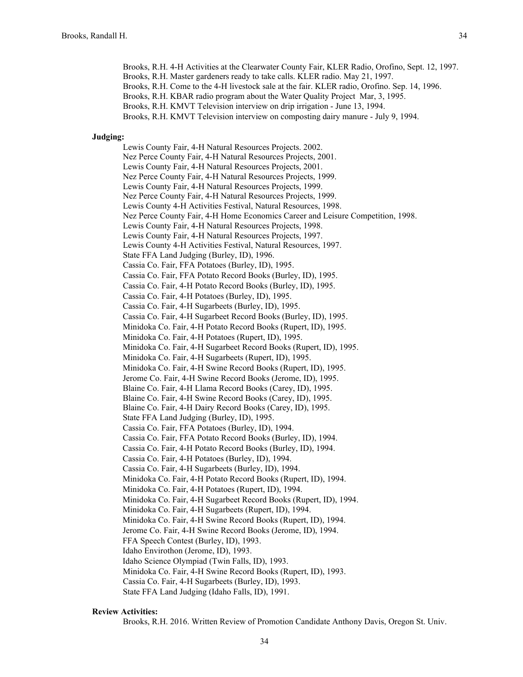Brooks, R.H. 4-H Activities at the Clearwater County Fair, KLER Radio, Orofino, Sept. 12, 1997. Brooks, R.H. Master gardeners ready to take calls. KLER radio. May 21, 1997. Brooks, R.H. Come to the 4-H livestock sale at the fair. KLER radio, Orofino. Sep. 14, 1996. Brooks, R.H. KBAR radio program about the Water Quality Project Mar, 3, 1995. Brooks, R.H. KMVT Television interview on drip irrigation - June 13, 1994. Brooks, R.H. KMVT Television interview on composting dairy manure - July 9, 1994.

### **Judging:**

Lewis County Fair, 4-H Natural Resources Projects. 2002. Nez Perce County Fair, 4-H Natural Resources Projects, 2001. Lewis County Fair, 4-H Natural Resources Projects, 2001. Nez Perce County Fair, 4-H Natural Resources Projects, 1999. Lewis County Fair, 4-H Natural Resources Projects, 1999. Nez Perce County Fair, 4-H Natural Resources Projects, 1999. Lewis County 4-H Activities Festival, Natural Resources, 1998. Nez Perce County Fair, 4-H Home Economics Career and Leisure Competition, 1998. Lewis County Fair, 4-H Natural Resources Projects, 1998. Lewis County Fair, 4-H Natural Resources Projects, 1997. Lewis County 4-H Activities Festival, Natural Resources, 1997. State FFA Land Judging (Burley, ID), 1996. Cassia Co. Fair, FFA Potatoes (Burley, ID), 1995. Cassia Co. Fair, FFA Potato Record Books (Burley, ID), 1995. Cassia Co. Fair, 4-H Potato Record Books (Burley, ID), 1995. Cassia Co. Fair, 4-H Potatoes (Burley, ID), 1995. Cassia Co. Fair, 4-H Sugarbeets (Burley, ID), 1995. Cassia Co. Fair, 4-H Sugarbeet Record Books (Burley, ID), 1995. Minidoka Co. Fair, 4-H Potato Record Books (Rupert, ID), 1995. Minidoka Co. Fair, 4-H Potatoes (Rupert, ID), 1995. Minidoka Co. Fair, 4-H Sugarbeet Record Books (Rupert, ID), 1995. Minidoka Co. Fair, 4-H Sugarbeets (Rupert, ID), 1995. Minidoka Co. Fair, 4-H Swine Record Books (Rupert, ID), 1995. Jerome Co. Fair, 4-H Swine Record Books (Jerome, ID), 1995. Blaine Co. Fair, 4-H Llama Record Books (Carey, ID), 1995. Blaine Co. Fair, 4-H Swine Record Books (Carey, ID), 1995. Blaine Co. Fair, 4-H Dairy Record Books (Carey, ID), 1995. State FFA Land Judging (Burley, ID), 1995. Cassia Co. Fair, FFA Potatoes (Burley, ID), 1994. Cassia Co. Fair, FFA Potato Record Books (Burley, ID), 1994. Cassia Co. Fair, 4-H Potato Record Books (Burley, ID), 1994. Cassia Co. Fair, 4-H Potatoes (Burley, ID), 1994. Cassia Co. Fair, 4-H Sugarbeets (Burley, ID), 1994. Minidoka Co. Fair, 4-H Potato Record Books (Rupert, ID), 1994. Minidoka Co. Fair, 4-H Potatoes (Rupert, ID), 1994. Minidoka Co. Fair, 4-H Sugarbeet Record Books (Rupert, ID), 1994. Minidoka Co. Fair, 4-H Sugarbeets (Rupert, ID), 1994. Minidoka Co. Fair, 4-H Swine Record Books (Rupert, ID), 1994. Jerome Co. Fair, 4-H Swine Record Books (Jerome, ID), 1994. FFA Speech Contest (Burley, ID), 1993. Idaho Envirothon (Jerome, ID), 1993. Idaho Science Olympiad (Twin Falls, ID), 1993. Minidoka Co. Fair, 4-H Swine Record Books (Rupert, ID), 1993. Cassia Co. Fair, 4-H Sugarbeets (Burley, ID), 1993. State FFA Land Judging (Idaho Falls, ID), 1991.

# **Review Activities:**

Brooks, R.H. 2016. Written Review of Promotion Candidate Anthony Davis, Oregon St. Univ.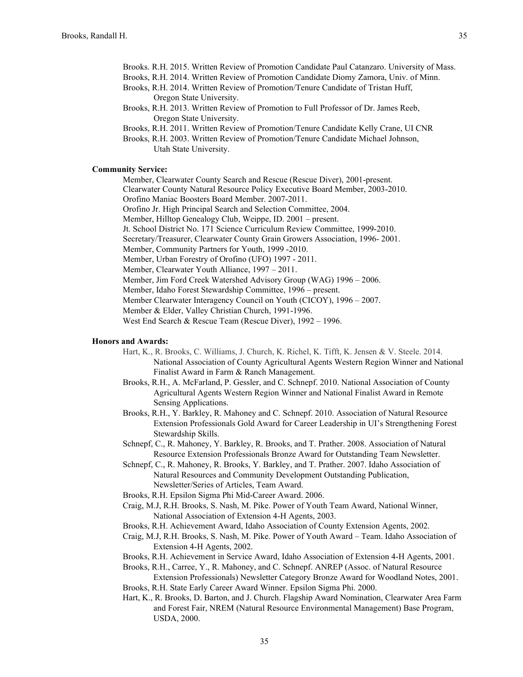- Brooks. R.H. 2015. Written Review of Promotion Candidate Paul Catanzaro. University of Mass.
- Brooks, R.H. 2014. Written Review of Promotion Candidate Diomy Zamora, Univ. of Minn.
- Brooks, R.H. 2014. Written Review of Promotion/Tenure Candidate of Tristan Huff, Oregon State University.
- Brooks, R.H. 2013. Written Review of Promotion to Full Professor of Dr. James Reeb, Oregon State University.
- Brooks, R.H. 2011. Written Review of Promotion/Tenure Candidate Kelly Crane, UI CNR
- Brooks, R.H. 2003. Written Review of Promotion/Tenure Candidate Michael Johnson, Utah State University.

# **Community Service:**

Member, Clearwater County Search and Rescue (Rescue Diver), 2001-present.

- Clearwater County Natural Resource Policy Executive Board Member, 2003-2010.
- Orofino Maniac Boosters Board Member. 2007-2011.
- Orofino Jr. High Principal Search and Selection Committee, 2004. Member, Hilltop Genealogy Club, Weippe, ID. 2001 – present.
- Jt. School District No. 171 Science Curriculum Review Committee, 1999-2010.
- Secretary/Treasurer, Clearwater County Grain Growers Association, 1996- 2001.
- Member, Community Partners for Youth, 1999 -2010.
- Member, Urban Forestry of Orofino (UFO) 1997 2011.
- Member, Clearwater Youth Alliance, 1997 2011.
- Member, Jim Ford Creek Watershed Advisory Group (WAG) 1996 2006.
- Member, Idaho Forest Stewardship Committee, 1996 present.
- Member Clearwater Interagency Council on Youth (CICOY), 1996 2007.
- Member & Elder, Valley Christian Church, 1991-1996.
- West End Search & Rescue Team (Rescue Diver), 1992 1996.

# **Honors and Awards:**

- Hart, K., R. Brooks, C. Williams, J. Church, K. Richel, K. Tifft, K. Jensen & V. Steele. 2014. National Association of County Agricultural Agents Western Region Winner and National Finalist Award in Farm & Ranch Management.
- Brooks, R.H., A. McFarland, P. Gessler, and C. Schnepf. 2010. National Association of County Agricultural Agents Western Region Winner and National Finalist Award in Remote Sensing Applications.
- Brooks, R.H., Y. Barkley, R. Mahoney and C. Schnepf. 2010. Association of Natural Resource Extension Professionals Gold Award for Career Leadership in UI's Strengthening Forest Stewardship Skills.
- Schnepf, C., R. Mahoney, Y. Barkley, R. Brooks, and T. Prather. 2008. Association of Natural Resource Extension Professionals Bronze Award for Outstanding Team Newsletter.
- Schnepf, C., R. Mahoney, R. Brooks, Y. Barkley, and T. Prather. 2007. Idaho Association of Natural Resources and Community Development Outstanding Publication, Newsletter/Series of Articles, Team Award.
- Brooks, R.H. Epsilon Sigma Phi Mid-Career Award. 2006.
- Craig, M.J, R.H. Brooks, S. Nash, M. Pike. Power of Youth Team Award, National Winner, National Association of Extension 4-H Agents, 2003.
- Brooks, R.H. Achievement Award, Idaho Association of County Extension Agents, 2002.
- Craig, M.J, R.H. Brooks, S. Nash, M. Pike. Power of Youth Award Team. Idaho Association of Extension 4-H Agents, 2002.
- Brooks, R.H. Achievement in Service Award, Idaho Association of Extension 4-H Agents, 2001.
- Brooks, R.H., Carree, Y., R. Mahoney, and C. Schnepf. ANREP (Assoc. of Natural Resource Extension Professionals) Newsletter Category Bronze Award for Woodland Notes, 2001.
- Brooks, R.H. State Early Career Award Winner. Epsilon Sigma Phi. 2000.
- Hart, K., R. Brooks, D. Barton, and J. Church. Flagship Award Nomination, Clearwater Area Farm and Forest Fair, NREM (Natural Resource Environmental Management) Base Program, USDA, 2000.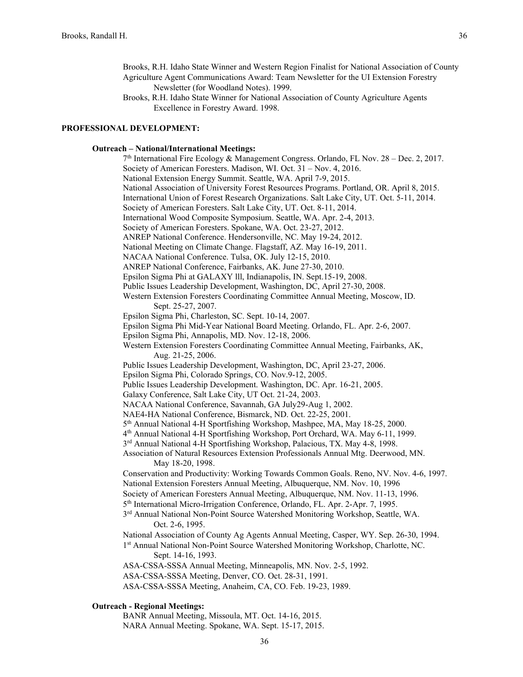- Brooks, R.H. Idaho State Winner and Western Region Finalist for National Association of County Agriculture Agent Communications Award: Team Newsletter for the UI Extension Forestry Newsletter (for Woodland Notes). 1999.
- Brooks, R.H. Idaho State Winner for National Association of County Agriculture Agents Excellence in Forestry Award. 1998.

### **PROFESSIONAL DEVELOPMENT:**

## **Outreach – National/International Meetings:**

 $7<sup>th</sup>$  International Fire Ecology & Management Congress. Orlando, FL Nov. 28 – Dec. 2, 2017. Society of American Foresters. Madison, WI. Oct. 31 – Nov. 4, 2016. National Extension Energy Summit. Seattle, WA. April 7-9, 2015. National Association of University Forest Resources Programs. Portland, OR. April 8, 2015. International Union of Forest Research Organizations. Salt Lake City, UT. Oct. 5-11, 2014. Society of American Foresters. Salt Lake City, UT. Oct. 8-11, 2014. International Wood Composite Symposium. Seattle, WA. Apr. 2-4, 2013. Society of American Foresters. Spokane, WA. Oct. 23-27, 2012. ANREP National Conference. Hendersonville, NC. May 19-24, 2012. National Meeting on Climate Change. Flagstaff, AZ. May 16-19, 2011. NACAA National Conference. Tulsa, OK. July 12-15, 2010. ANREP National Conference, Fairbanks, AK. June 27-30, 2010. Epsilon Sigma Phi at GALAXY lll, Indianapolis, IN. Sept.15-19, 2008. Public Issues Leadership Development, Washington, DC, April 27-30, 2008. Western Extension Foresters Coordinating Committee Annual Meeting, Moscow, ID. Sept. 25-27, 2007. Epsilon Sigma Phi, Charleston, SC. Sept. 10-14, 2007. Epsilon Sigma Phi Mid-Year National Board Meeting. Orlando, FL. Apr. 2-6, 2007. Epsilon Sigma Phi, Annapolis, MD. Nov. 12-18, 2006. Western Extension Foresters Coordinating Committee Annual Meeting, Fairbanks, AK, Aug. 21-25, 2006. Public Issues Leadership Development, Washington, DC, April 23-27, 2006. Epsilon Sigma Phi, Colorado Springs, CO. Nov.9-12, 2005. Public Issues Leadership Development. Washington, DC. Apr. 16-21, 2005. Galaxy Conference, Salt Lake City, UT Oct. 21-24, 2003. NACAA National Conference, Savannah, GA July29-Aug 1, 2002. NAE4-HA National Conference, Bismarck, ND. Oct. 22-25, 2001. 5th Annual National 4-H Sportfishing Workshop, Mashpee, MA, May 18-25, 2000. 4th Annual National 4-H Sportfishing Workshop, Port Orchard, WA. May 6-11, 1999. 3rd Annual National 4-H Sportfishing Workshop, Palacious, TX. May 4-8, 1998. Association of Natural Resources Extension Professionals Annual Mtg. Deerwood, MN. May 18-20, 1998. Conservation and Productivity: Working Towards Common Goals. Reno, NV. Nov. 4-6, 1997. National Extension Foresters Annual Meeting, Albuquerque, NM. Nov. 10, 1996 Society of American Foresters Annual Meeting, Albuquerque, NM. Nov. 11-13, 1996. 5<sup>th</sup> International Micro-Irrigation Conference, Orlando, FL. Apr. 2-Apr. 7, 1995. 3rd Annual National Non-Point Source Watershed Monitoring Workshop, Seattle, WA. Oct. 2-6, 1995. National Association of County Ag Agents Annual Meeting, Casper, WY. Sep. 26-30, 1994. 1st Annual National Non-Point Source Watershed Monitoring Workshop, Charlotte, NC. Sept. 14-16, 1993. ASA-CSSA-SSSA Annual Meeting, Minneapolis, MN. Nov. 2-5, 1992. ASA-CSSA-SSSA Meeting, Denver, CO. Oct. 28-31, 1991. ASA-CSSA-SSSA Meeting, Anaheim, CA, CO. Feb. 19-23, 1989.

# **Outreach - Regional Meetings:**

BANR Annual Meeting, Missoula, MT. Oct. 14-16, 2015.

NARA Annual Meeting. Spokane, WA. Sept. 15-17, 2015.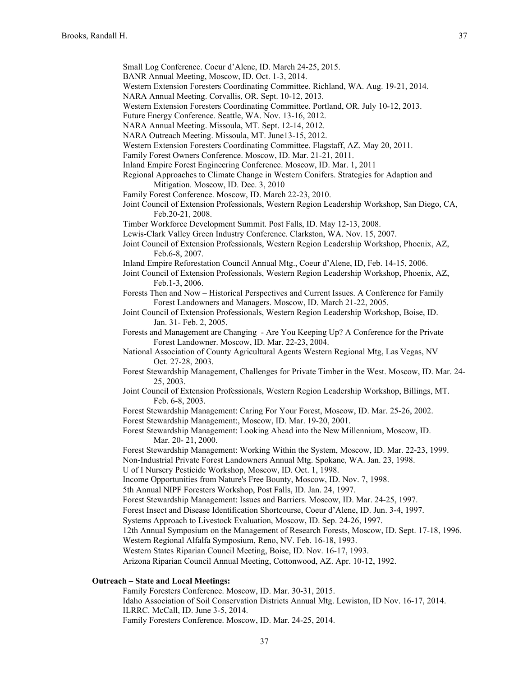Small Log Conference. Coeur d'Alene, ID. March 24-25, 2015.

- BANR Annual Meeting, Moscow, ID. Oct. 1-3, 2014.
- Western Extension Foresters Coordinating Committee. Richland, WA. Aug. 19-21, 2014.
- NARA Annual Meeting. Corvallis, OR. Sept. 10-12, 2013.

Western Extension Foresters Coordinating Committee. Portland, OR. July 10-12, 2013.

- Future Energy Conference. Seattle, WA. Nov. 13-16, 2012.
- NARA Annual Meeting. Missoula, MT. Sept. 12-14, 2012.
- NARA Outreach Meeting. Missoula, MT. June13-15, 2012.
- Western Extension Foresters Coordinating Committee. Flagstaff, AZ. May 20, 2011.
- Family Forest Owners Conference. Moscow, ID. Mar. 21-21, 2011.
- Inland Empire Forest Engineering Conference. Moscow, ID. Mar. 1, 2011
- Regional Approaches to Climate Change in Western Conifers. Strategies for Adaption and Mitigation. Moscow, ID. Dec. 3, 2010
- Family Forest Conference. Moscow, ID. March 22-23, 2010.
- Joint Council of Extension Professionals, Western Region Leadership Workshop, San Diego, CA, Feb.20-21, 2008.
- Timber Workforce Development Summit. Post Falls, ID. May 12-13, 2008.
- Lewis-Clark Valley Green Industry Conference. Clarkston, WA. Nov. 15, 2007.
- Joint Council of Extension Professionals, Western Region Leadership Workshop, Phoenix, AZ, Feb.6-8, 2007.
- Inland Empire Reforestation Council Annual Mtg., Coeur d'Alene, ID, Feb. 14-15, 2006.
- Joint Council of Extension Professionals, Western Region Leadership Workshop, Phoenix, AZ, Feb.1-3, 2006.
- Forests Then and Now Historical Perspectives and Current Issues. A Conference for Family Forest Landowners and Managers. Moscow, ID. March 21-22, 2005.
- Joint Council of Extension Professionals, Western Region Leadership Workshop, Boise, ID. Jan. 31- Feb. 2, 2005.
- Forests and Management are Changing Are You Keeping Up? A Conference for the Private Forest Landowner. Moscow, ID. Mar. 22-23, 2004.
- National Association of County Agricultural Agents Western Regional Mtg, Las Vegas, NV Oct. 27-28, 2003.
- Forest Stewardship Management, Challenges for Private Timber in the West. Moscow, ID. Mar. 24- 25, 2003.
- Joint Council of Extension Professionals, Western Region Leadership Workshop, Billings, MT. Feb. 6-8, 2003.
- Forest Stewardship Management: Caring For Your Forest, Moscow, ID. Mar. 25-26, 2002.
- Forest Stewardship Management:, Moscow, ID. Mar. 19-20, 2001.

Forest Stewardship Management: Looking Ahead into the New Millennium, Moscow, ID. Mar. 20- 21, 2000.

- Forest Stewardship Management: Working Within the System, Moscow, ID. Mar. 22-23, 1999.
- Non-Industrial Private Forest Landowners Annual Mtg. Spokane, WA. Jan. 23, 1998.

U of I Nursery Pesticide Workshop, Moscow, ID. Oct. 1, 1998.

Income Opportunities from Nature's Free Bounty, Moscow, ID. Nov. 7, 1998.

- 5th Annual NIPF Foresters Workshop, Post Falls, ID. Jan. 24, 1997.
- Forest Stewardship Management: Issues and Barriers. Moscow, ID. Mar. 24-25, 1997.
- Forest Insect and Disease Identification Shortcourse, Coeur d'Alene, ID. Jun. 3-4, 1997.

Systems Approach to Livestock Evaluation, Moscow, ID. Sep. 24-26, 1997.

12th Annual Symposium on the Management of Research Forests, Moscow, ID. Sept. 17-18, 1996. Western Regional Alfalfa Symposium, Reno, NV. Feb. 16-18, 1993.

Western States Riparian Council Meeting, Boise, ID. Nov. 16-17, 1993.

Arizona Riparian Council Annual Meeting, Cottonwood, AZ. Apr. 10-12, 1992.

## **Outreach – State and Local Meetings:**

Family Foresters Conference. Moscow, ID. Mar. 30-31, 2015.

Idaho Association of Soil Conservation Districts Annual Mtg. Lewiston, ID Nov. 16-17, 2014. ILRRC. McCall, ID. June 3-5, 2014.

Family Foresters Conference. Moscow, ID. Mar. 24-25, 2014.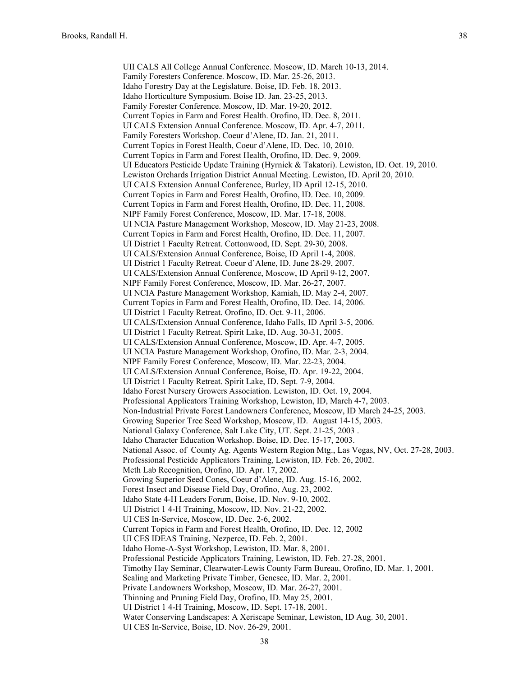UII CALS All College Annual Conference. Moscow, ID. March 10-13, 2014. Family Foresters Conference. Moscow, ID. Mar. 25-26, 2013. Idaho Forestry Day at the Legislature. Boise, ID. Feb. 18, 2013. Idaho Horticulture Symposium. Boise ID. Jan. 23-25, 2013. Family Forester Conference. Moscow, ID. Mar. 19-20, 2012. Current Topics in Farm and Forest Health. Orofino, ID. Dec. 8, 2011. UI CALS Extension Annual Conference. Moscow, ID. Apr. 4-7, 2011. Family Foresters Workshop. Coeur d'Alene, ID. Jan. 21, 2011. Current Topics in Forest Health, Coeur d'Alene, ID. Dec. 10, 2010. Current Topics in Farm and Forest Health, Orofino, ID. Dec. 9, 2009. UI Educators Pesticide Update Training (Hyrnick & Takatori). Lewiston, ID. Oct. 19, 2010. Lewiston Orchards Irrigation District Annual Meeting. Lewiston, ID. April 20, 2010. UI CALS Extension Annual Conference, Burley, ID April 12-15, 2010. Current Topics in Farm and Forest Health, Orofino, ID. Dec. 10, 2009. Current Topics in Farm and Forest Health, Orofino, ID. Dec. 11, 2008. NIPF Family Forest Conference, Moscow, ID. Mar. 17-18, 2008. UI NCIA Pasture Management Workshop, Moscow, ID. May 21-23, 2008. Current Topics in Farm and Forest Health, Orofino, ID. Dec. 11, 2007. UI District 1 Faculty Retreat. Cottonwood, ID. Sept. 29-30, 2008. UI CALS/Extension Annual Conference, Boise, ID April 1-4, 2008. UI District 1 Faculty Retreat. Coeur d'Alene, ID. June 28-29, 2007. UI CALS/Extension Annual Conference, Moscow, ID April 9-12, 2007. NIPF Family Forest Conference, Moscow, ID. Mar. 26-27, 2007. UI NCIA Pasture Management Workshop, Kamiah, ID. May 2-4, 2007. Current Topics in Farm and Forest Health, Orofino, ID. Dec. 14, 2006. UI District 1 Faculty Retreat. Orofino, ID. Oct. 9-11, 2006. UI CALS/Extension Annual Conference, Idaho Falls, ID April 3-5, 2006. UI District 1 Faculty Retreat. Spirit Lake, ID. Aug. 30-31, 2005. UI CALS/Extension Annual Conference, Moscow, ID. Apr. 4-7, 2005. UI NCIA Pasture Management Workshop, Orofino, ID. Mar. 2-3, 2004. NIPF Family Forest Conference, Moscow, ID. Mar. 22-23, 2004. UI CALS/Extension Annual Conference, Boise, ID. Apr. 19-22, 2004. UI District 1 Faculty Retreat. Spirit Lake, ID. Sept. 7-9, 2004. Idaho Forest Nursery Growers Association. Lewiston, ID. Oct. 19, 2004. Professional Applicators Training Workshop, Lewiston, ID, March 4-7, 2003. Non-Industrial Private Forest Landowners Conference, Moscow, ID March 24-25, 2003. Growing Superior Tree Seed Workshop, Moscow, ID. August 14-15, 2003. National Galaxy Conference, Salt Lake City, UT. Sept. 21-25, 2003 . Idaho Character Education Workshop. Boise, ID. Dec. 15-17, 2003. National Assoc. of County Ag. Agents Western Region Mtg., Las Vegas, NV, Oct. 27-28, 2003. Professional Pesticide Applicators Training, Lewiston, ID. Feb. 26, 2002. Meth Lab Recognition, Orofino, ID. Apr. 17, 2002. Growing Superior Seed Cones, Coeur d'Alene, ID. Aug. 15-16, 2002. Forest Insect and Disease Field Day, Orofino, Aug. 23, 2002. Idaho State 4-H Leaders Forum, Boise, ID. Nov. 9-10, 2002. UI District 1 4-H Training, Moscow, ID. Nov. 21-22, 2002. UI CES In-Service, Moscow, ID. Dec. 2-6, 2002. Current Topics in Farm and Forest Health, Orofino, ID. Dec. 12, 2002 UI CES IDEAS Training, Nezperce, ID. Feb. 2, 2001. Idaho Home-A-Syst Workshop, Lewiston, ID. Mar. 8, 2001. Professional Pesticide Applicators Training, Lewiston, ID. Feb. 27-28, 2001. Timothy Hay Seminar, Clearwater-Lewis County Farm Bureau, Orofino, ID. Mar. 1, 2001. Scaling and Marketing Private Timber, Genesee, ID. Mar. 2, 2001. Private Landowners Workshop, Moscow, ID. Mar. 26-27, 2001. Thinning and Pruning Field Day, Orofino, ID. May 25, 2001. UI District 1 4-H Training, Moscow, ID. Sept. 17-18, 2001. Water Conserving Landscapes: A Xeriscape Seminar, Lewiston, ID Aug. 30, 2001. UI CES In-Service, Boise, ID. Nov. 26-29, 2001.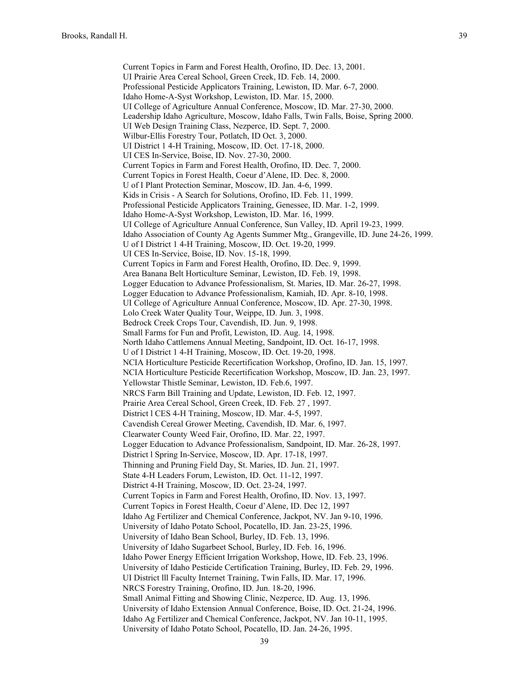Current Topics in Farm and Forest Health, Orofino, ID. Dec. 13, 2001. UI Prairie Area Cereal School, Green Creek, ID. Feb. 14, 2000. Professional Pesticide Applicators Training, Lewiston, ID. Mar. 6-7, 2000. Idaho Home-A-Syst Workshop, Lewiston, ID. Mar. 15, 2000. UI College of Agriculture Annual Conference, Moscow, ID. Mar. 27-30, 2000. Leadership Idaho Agriculture, Moscow, Idaho Falls, Twin Falls, Boise, Spring 2000. UI Web Design Training Class, Nezperce, ID. Sept. 7, 2000. Wilbur-Ellis Forestry Tour, Potlatch, ID Oct. 3, 2000. UI District 1 4-H Training, Moscow, ID. Oct. 17-18, 2000. UI CES In-Service, Boise, ID. Nov. 27-30, 2000. Current Topics in Farm and Forest Health, Orofino, ID. Dec. 7, 2000. Current Topics in Forest Health, Coeur d'Alene, ID. Dec. 8, 2000. U of I Plant Protection Seminar, Moscow, ID. Jan. 4-6, 1999. Kids in Crisis - A Search for Solutions, Orofino, ID. Feb. 11, 1999. Professional Pesticide Applicators Training, Genessee, ID. Mar. 1-2, 1999. Idaho Home-A-Syst Workshop, Lewiston, ID. Mar. 16, 1999. UI College of Agriculture Annual Conference, Sun Valley, ID. April 19-23, 1999. Idaho Association of County Ag Agents Summer Mtg., Grangeville, ID. June 24-26, 1999. U of I District 1 4-H Training, Moscow, ID. Oct. 19-20, 1999. UI CES In-Service, Boise, ID. Nov. 15-18, 1999. Current Topics in Farm and Forest Health, Orofino, ID. Dec. 9, 1999. Area Banana Belt Horticulture Seminar, Lewiston, ID. Feb. 19, 1998. Logger Education to Advance Professionalism, St. Maries, ID. Mar. 26-27, 1998. Logger Education to Advance Professionalism, Kamiah, ID. Apr. 8-10, 1998. UI College of Agriculture Annual Conference, Moscow, ID. Apr. 27-30, 1998. Lolo Creek Water Quality Tour, Weippe, ID. Jun. 3, 1998. Bedrock Creek Crops Tour, Cavendish, ID. Jun. 9, 1998. Small Farms for Fun and Profit, Lewiston, ID. Aug. 14, 1998. North Idaho Cattlemens Annual Meeting, Sandpoint, ID. Oct. 16-17, 1998. U of I District 1 4-H Training, Moscow, ID. Oct. 19-20, 1998. NCIA Horticulture Pesticide Recertification Workshop, Orofino, ID. Jan. 15, 1997. NCIA Horticulture Pesticide Recertification Workshop, Moscow, ID. Jan. 23, 1997. Yellowstar Thistle Seminar, Lewiston, ID. Feb.6, 1997. NRCS Farm Bill Training and Update, Lewiston, ID. Feb. 12, 1997. Prairie Area Cereal School, Green Creek, ID. Feb. 27 , 1997. District l CES 4-H Training, Moscow, ID. Mar. 4-5, 1997. Cavendish Cereal Grower Meeting, Cavendish, ID. Mar. 6, 1997. Clearwater County Weed Fair, Orofino, ID. Mar. 22, 1997. Logger Education to Advance Professionalism, Sandpoint, ID. Mar. 26-28, 1997. District l Spring In-Service, Moscow, ID. Apr. 17-18, 1997. Thinning and Pruning Field Day, St. Maries, ID. Jun. 21, 1997. State 4-H Leaders Forum, Lewiston, ID. Oct. 11-12, 1997. District 4-H Training, Moscow, ID. Oct. 23-24, 1997. Current Topics in Farm and Forest Health, Orofino, ID. Nov. 13, 1997. Current Topics in Forest Health, Coeur d'Alene, ID. Dec 12, 1997 Idaho Ag Fertilizer and Chemical Conference, Jackpot, NV. Jan 9-10, 1996. University of Idaho Potato School, Pocatello, ID. Jan. 23-25, 1996. University of Idaho Bean School, Burley, ID. Feb. 13, 1996. University of Idaho Sugarbeet School, Burley, ID. Feb. 16, 1996. Idaho Power Energy Efficient Irrigation Workshop, Howe, ID. Feb. 23, 1996. University of Idaho Pesticide Certification Training, Burley, ID. Feb. 29, 1996. UI District lll Faculty Internet Training, Twin Falls, ID. Mar. 17, 1996. NRCS Forestry Training, Orofino, ID. Jun. 18-20, 1996. Small Animal Fitting and Showing Clinic, Nezperce, ID. Aug. 13, 1996. University of Idaho Extension Annual Conference, Boise, ID. Oct. 21-24, 1996. Idaho Ag Fertilizer and Chemical Conference, Jackpot, NV. Jan 10-11, 1995. University of Idaho Potato School, Pocatello, ID. Jan. 24-26, 1995.